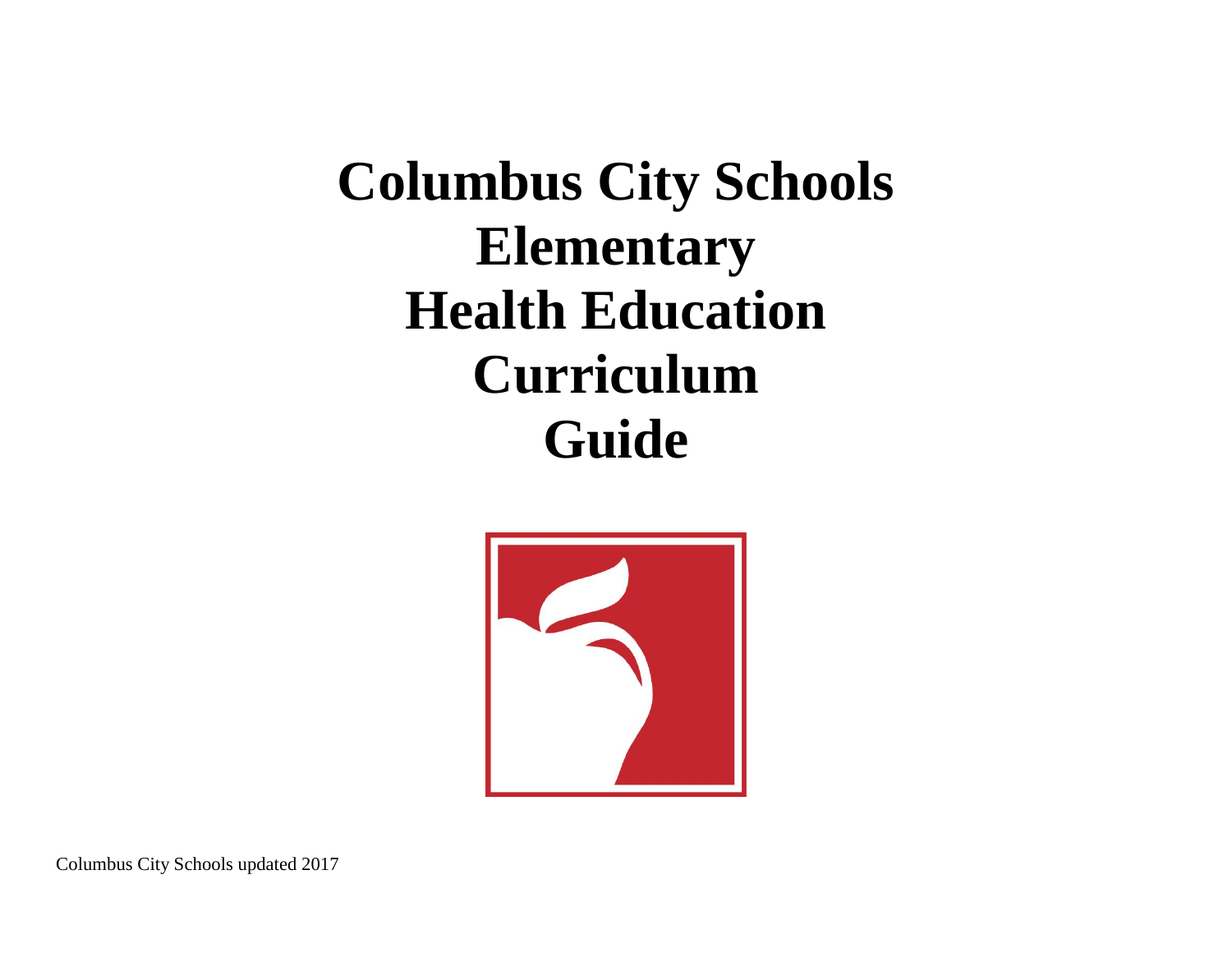**Columbus City Schools Elementary Health Education Curriculum Guide**



Columbus City Schools updated 2017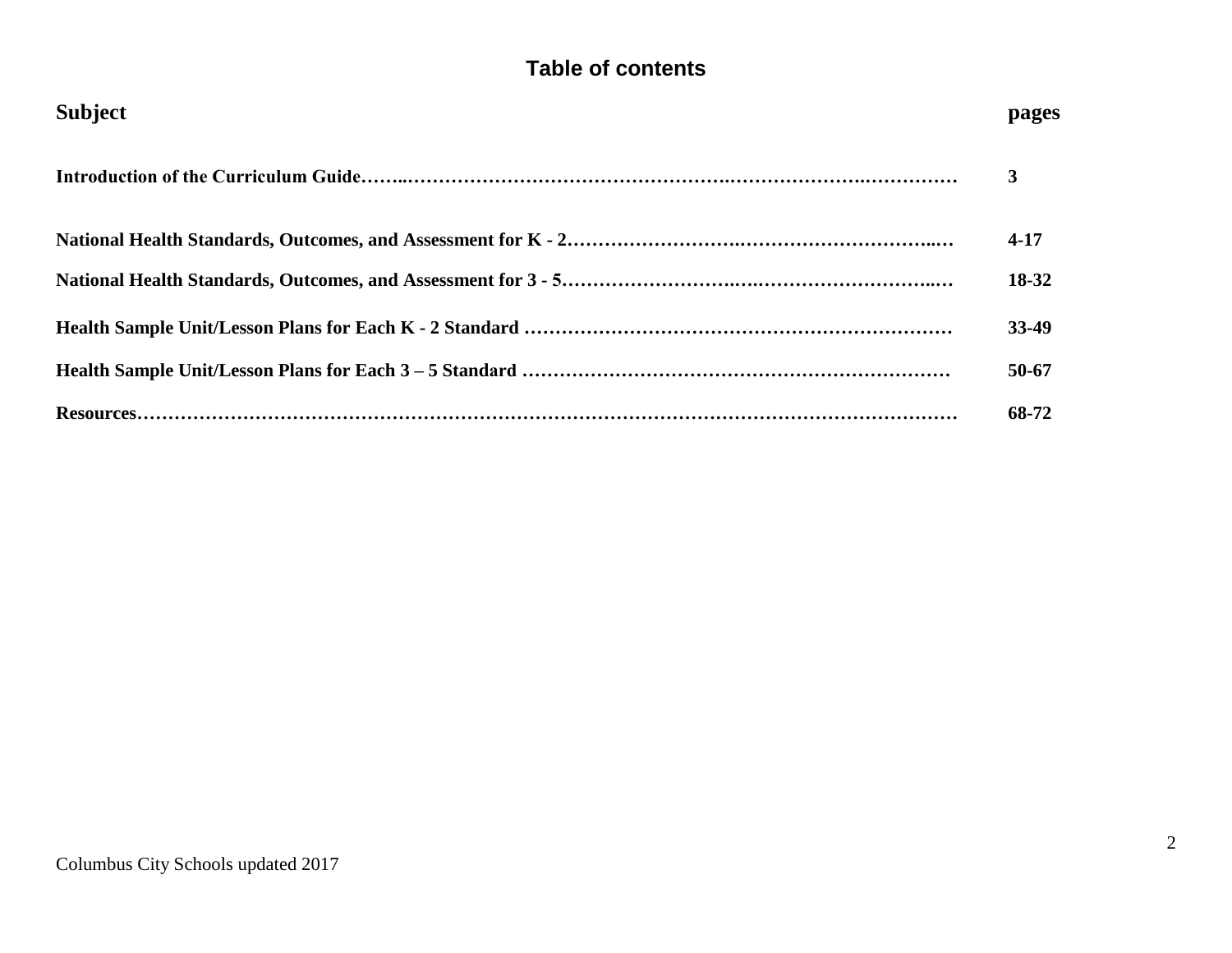# **Table of contents**

| <b>Subject</b> | pages     |
|----------------|-----------|
|                | 3         |
|                | $4 - 17$  |
|                | 18-32     |
|                | 33-49     |
|                | $50 - 67$ |
|                | 68-72     |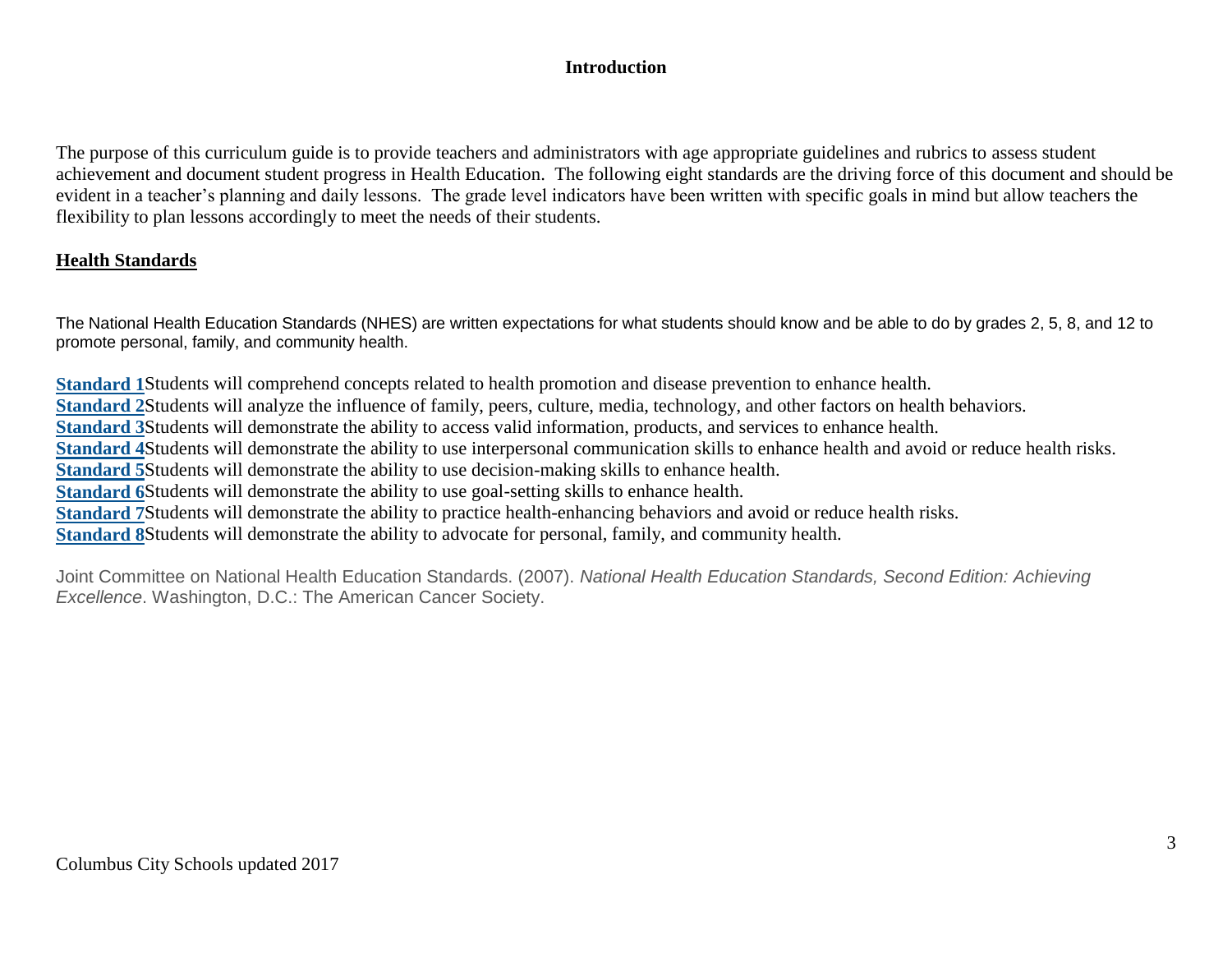# **Introduction**

The purpose of this curriculum guide is to provide teachers and administrators with age appropriate guidelines and rubrics to assess student achievement and document student progress in Health Education. The following eight standards are the driving force of this document and should be evident in a teacher's planning and daily lessons. The grade level indicators have been written with specific goals in mind but allow teachers the flexibility to plan lessons accordingly to meet the needs of their students.

# **Health Standards**

The National Health Education Standards (NHES) are written expectations for what students should know and be able to do by grades 2, 5, 8, and 12 to promote personal, family, and community health.

**[Standard 1](https://www.cdc.gov/healthyschools/sher/standards/1.htm)**Students will comprehend concepts related to health promotion and disease prevention to enhance health. **[Standard 2](https://www.cdc.gov/healthyschools/sher/standards/2.htm)**Students will analyze the influence of family, peers, culture, media, technology, and other factors on health behaviors. **[Standard 3](https://www.cdc.gov/healthyschools/sher/standards/3.htm)**Students will demonstrate the ability to access valid information, products, and services to enhance health. **[Standard 4](https://www.cdc.gov/healthyschools/sher/standards/4.htm)**Students will demonstrate the ability to use interpersonal communication skills to enhance health and avoid or reduce health risks. **[Standard 5](https://www.cdc.gov/healthyschools/sher/standards/5.htm)**Students will demonstrate the ability to use decision-making skills to enhance health. **[Standard 6](https://www.cdc.gov/healthyschools/sher/standards/6.htm)**Students will demonstrate the ability to use goal-setting skills to enhance health. **[Standard 7](https://www.cdc.gov/healthyschools/sher/standards/7.htm)**Students will demonstrate the ability to practice health-enhancing behaviors and avoid or reduce health risks. **[Standard 8](https://www.cdc.gov/healthyschools/sher/standards/8.htm)**Students will demonstrate the ability to advocate for personal, family, and community health.

Joint Committee on National Health Education Standards. (2007). *National Health Education Standards, Second Edition: Achieving Excellence*. Washington, D.C.: The American Cancer Society.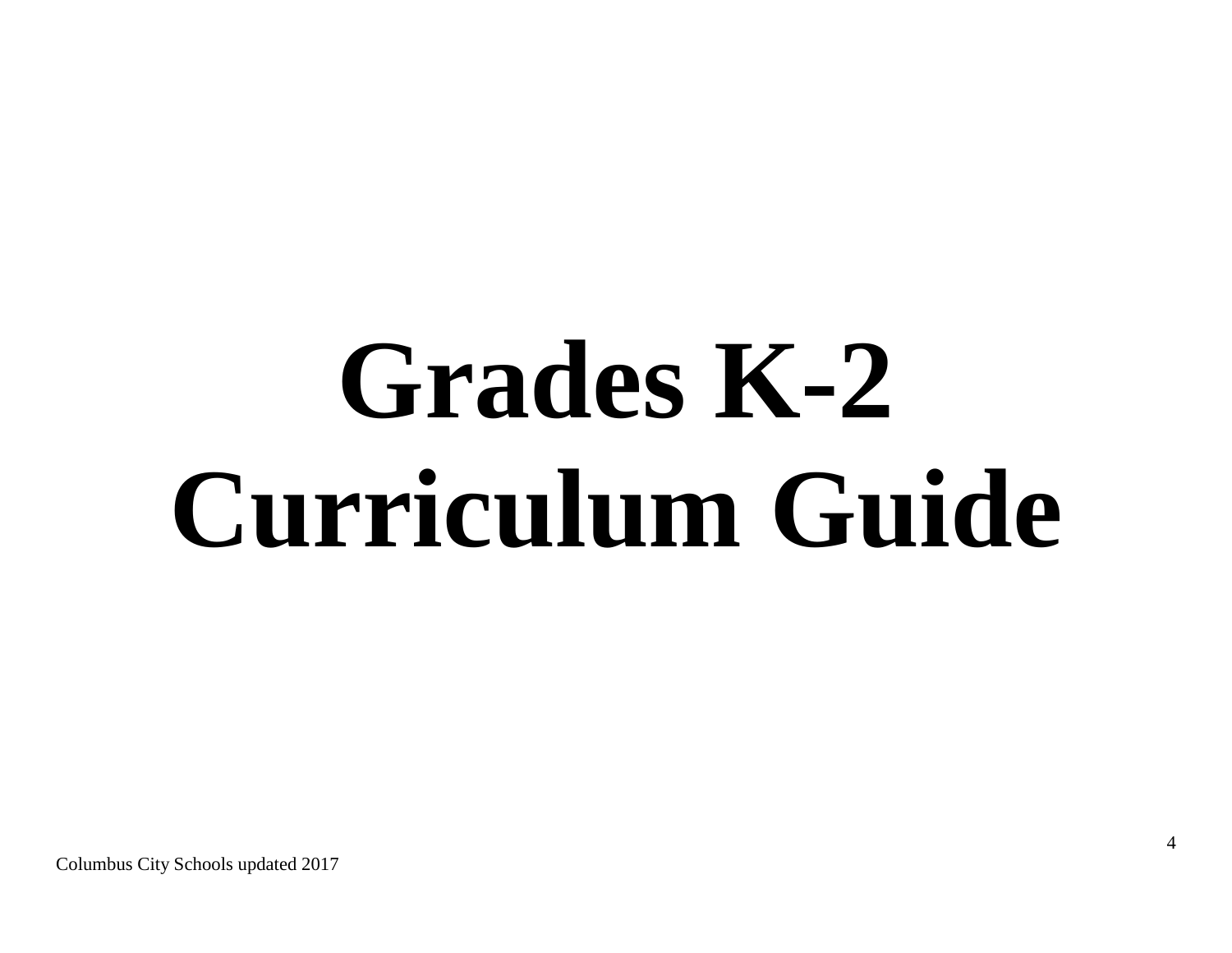# **Grades K-2 Curriculum Guide**

Columbus City Schools updated 2017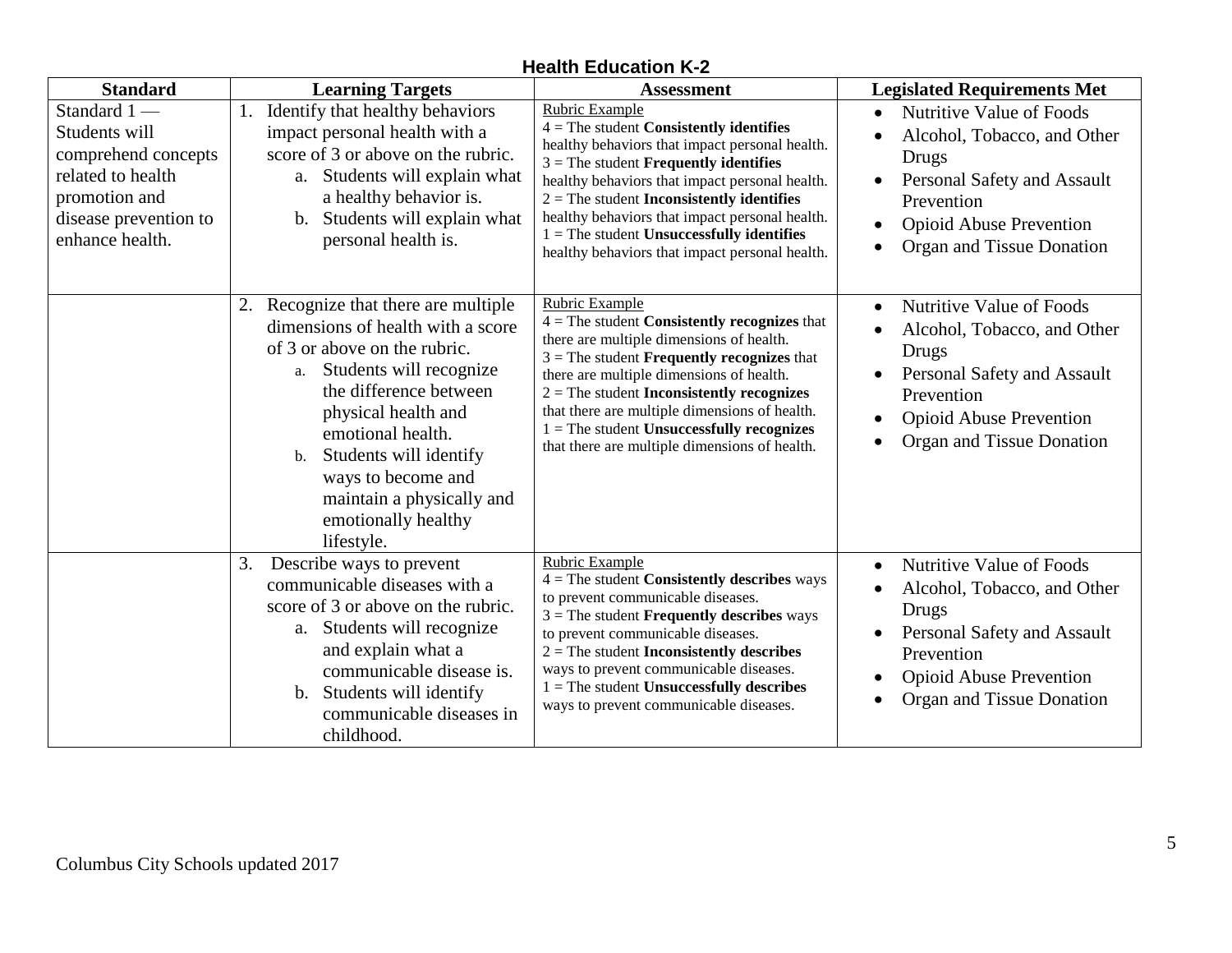| <b>Health Education K-2</b> |  |
|-----------------------------|--|
|-----------------------------|--|

| <b>Standard</b>                                                                                                                       | <b>Learning Targets</b>                                                                                                                                                                                                                                                                                                                  | <b>Assessment</b>                                                                                                                                                                                                                                                                                                                                                                                                             | <b>Legislated Requirements Met</b>                                                                                                                                                        |
|---------------------------------------------------------------------------------------------------------------------------------------|------------------------------------------------------------------------------------------------------------------------------------------------------------------------------------------------------------------------------------------------------------------------------------------------------------------------------------------|-------------------------------------------------------------------------------------------------------------------------------------------------------------------------------------------------------------------------------------------------------------------------------------------------------------------------------------------------------------------------------------------------------------------------------|-------------------------------------------------------------------------------------------------------------------------------------------------------------------------------------------|
| Standard 1-<br>Students will<br>comprehend concepts<br>related to health<br>promotion and<br>disease prevention to<br>enhance health. | Identify that healthy behaviors<br>impact personal health with a<br>score of 3 or above on the rubric.<br>a. Students will explain what<br>a healthy behavior is.<br>b. Students will explain what<br>personal health is.                                                                                                                | Rubric Example<br>$4 =$ The student Consistently identifies<br>healthy behaviors that impact personal health.<br>$3$ = The student <b>Frequently identifies</b><br>healthy behaviors that impact personal health.<br>$2$ = The student <b>Inconsistently identifies</b><br>healthy behaviors that impact personal health.<br>$1 =$ The student Unsuccessfully identifies<br>healthy behaviors that impact personal health.    | Nutritive Value of Foods<br>Alcohol, Tobacco, and Other<br><b>Drugs</b><br>Personal Safety and Assault<br>Prevention<br><b>Opioid Abuse Prevention</b><br>Organ and Tissue Donation       |
|                                                                                                                                       | 2. Recognize that there are multiple<br>dimensions of health with a score<br>of 3 or above on the rubric.<br>Students will recognize<br>a.<br>the difference between<br>physical health and<br>emotional health.<br>Students will identify<br>b.<br>ways to become and<br>maintain a physically and<br>emotionally healthy<br>lifestyle. | <b>Rubric Example</b><br>$4 =$ The student Consistently recognizes that<br>there are multiple dimensions of health.<br>$3$ = The student <b>Frequently recognizes</b> that<br>there are multiple dimensions of health.<br>$2$ = The student <b>Inconsistently recognizes</b><br>that there are multiple dimensions of health.<br>$1 =$ The student Unsuccessfully recognizes<br>that there are multiple dimensions of health. | Nutritive Value of Foods<br>$\bullet$<br>Alcohol, Tobacco, and Other<br>Drugs<br>Personal Safety and Assault<br>Prevention<br><b>Opioid Abuse Prevention</b><br>Organ and Tissue Donation |
|                                                                                                                                       | Describe ways to prevent<br>3.<br>communicable diseases with a<br>score of 3 or above on the rubric.<br>a. Students will recognize<br>and explain what a<br>communicable disease is.<br>b. Students will identify<br>communicable diseases in<br>childhood.                                                                              | <b>Rubric Example</b><br>$4 =$ The student Consistently describes ways<br>to prevent communicable diseases.<br>$3$ = The student <b>Frequently describes</b> ways<br>to prevent communicable diseases.<br>$2$ = The student <b>Inconsistently describes</b><br>ways to prevent communicable diseases.<br>$1 =$ The student Unsuccessfully describes<br>ways to prevent communicable diseases.                                 | Nutritive Value of Foods<br>$\bullet$<br>Alcohol, Tobacco, and Other<br>Drugs<br>Personal Safety and Assault<br>Prevention<br><b>Opioid Abuse Prevention</b><br>Organ and Tissue Donation |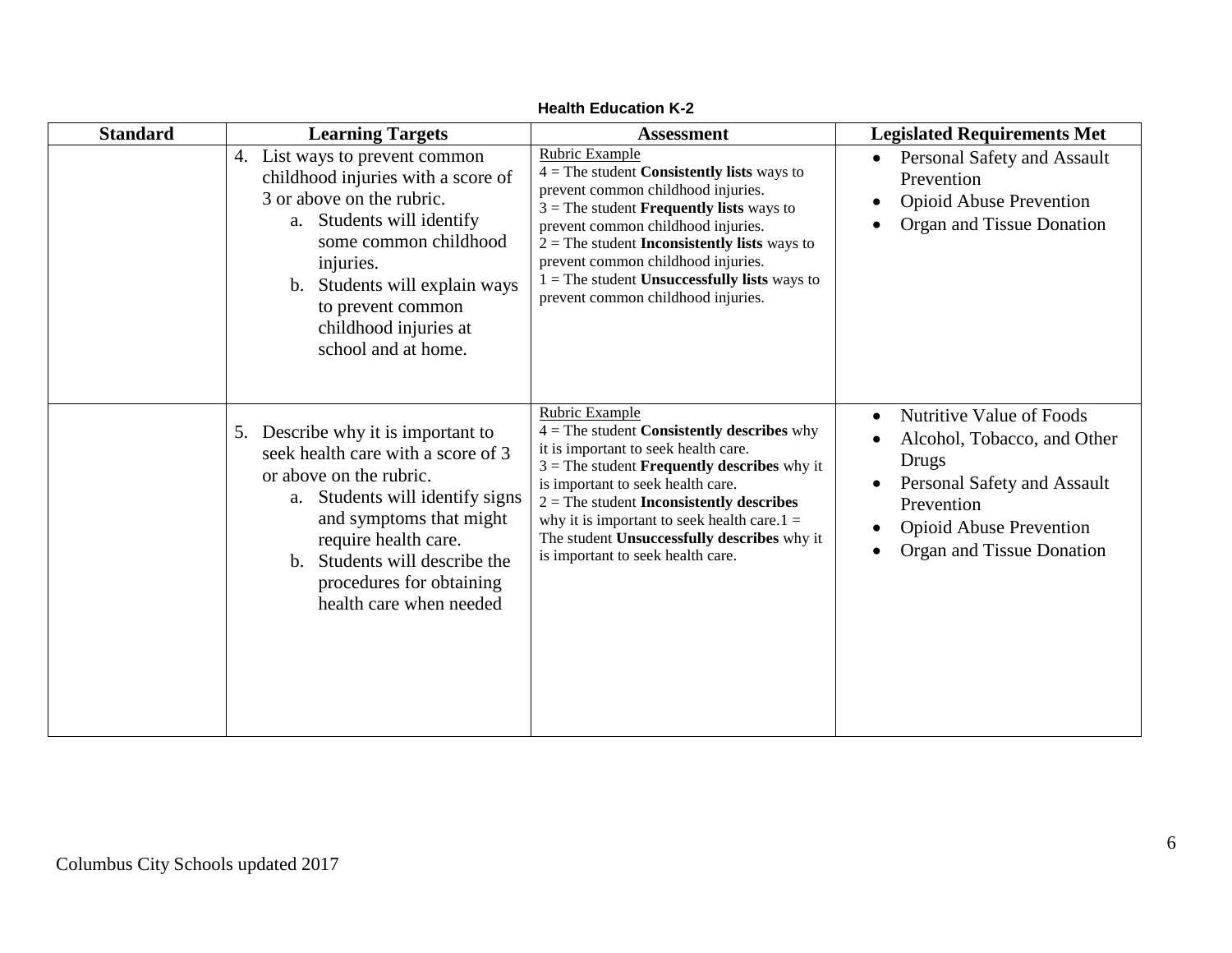| <b>Standard</b> | <b>Learning Targets</b>                                                                                                                                                                                                                                                              | <b>Assessment</b>                                                                                                                                                                                                                                                                                                                                                                                    | <b>Legislated Requirements Met</b>                                                                                                                                                                                               |
|-----------------|--------------------------------------------------------------------------------------------------------------------------------------------------------------------------------------------------------------------------------------------------------------------------------------|------------------------------------------------------------------------------------------------------------------------------------------------------------------------------------------------------------------------------------------------------------------------------------------------------------------------------------------------------------------------------------------------------|----------------------------------------------------------------------------------------------------------------------------------------------------------------------------------------------------------------------------------|
|                 | 4. List ways to prevent common<br>childhood injuries with a score of<br>3 or above on the rubric.<br>Students will identify<br>a.<br>some common childhood<br>injuries.<br>Students will explain ways<br>b.<br>to prevent common<br>childhood injuries at<br>school and at home.     | Rubric Example<br>$4 =$ The student <b>Consistently lists</b> ways to<br>prevent common childhood injuries.<br>$3$ = The student <b>Frequently lists</b> ways to<br>prevent common childhood injuries.<br>$2 =$ The student <b>Inconsistently lists</b> ways to<br>prevent common childhood injuries.<br>$1 =$ The student <b>Unsuccessfully lists</b> ways to<br>prevent common childhood injuries. | Personal Safety and Assault<br>$\bullet$<br>Prevention<br><b>Opioid Abuse Prevention</b><br>$\bullet$<br>Organ and Tissue Donation<br>$\bullet$                                                                                  |
|                 | 5. Describe why it is important to<br>seek health care with a score of 3<br>or above on the rubric.<br>Students will identify signs<br>a.<br>and symptoms that might<br>require health care.<br>b. Students will describe the<br>procedures for obtaining<br>health care when needed | Rubric Example<br>$4 =$ The student Consistently describes why<br>it is important to seek health care.<br>$3$ = The student <b>Frequently describes</b> why it<br>is important to seek health care.<br>$2 =$ The student <b>Inconsistently describes</b><br>why it is important to seek health care. $1 =$<br>The student Unsuccessfully describes why it<br>is important to seek health care.       | Nutritive Value of Foods<br>$\bullet$<br>Alcohol, Tobacco, and Other<br>$\bullet$<br>Drugs<br>Personal Safety and Assault<br>Prevention<br><b>Opioid Abuse Prevention</b><br>$\bullet$<br>Organ and Tissue Donation<br>$\bullet$ |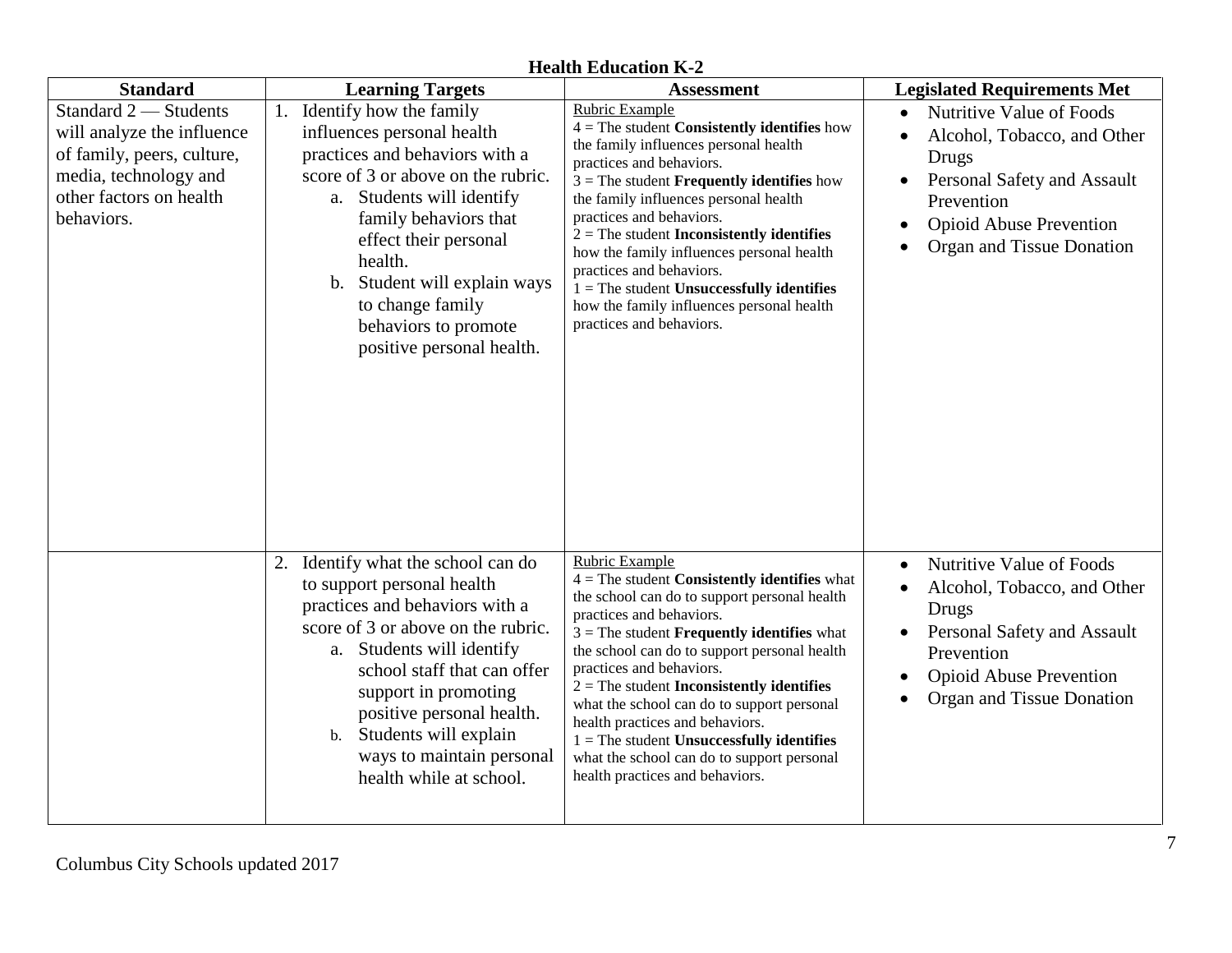|                                                                                                                                                                        |                                                                                                                                                                                                                                                                                                                                                                           | <b>Hearth Equeation N-2</b>                                                                                                                                                                                                                                                                                                                                                                                                                                                                                                                            |                                                                                                                                                                                                                                 |
|------------------------------------------------------------------------------------------------------------------------------------------------------------------------|---------------------------------------------------------------------------------------------------------------------------------------------------------------------------------------------------------------------------------------------------------------------------------------------------------------------------------------------------------------------------|--------------------------------------------------------------------------------------------------------------------------------------------------------------------------------------------------------------------------------------------------------------------------------------------------------------------------------------------------------------------------------------------------------------------------------------------------------------------------------------------------------------------------------------------------------|---------------------------------------------------------------------------------------------------------------------------------------------------------------------------------------------------------------------------------|
| <b>Standard</b><br>Standard 2 - Students<br>will analyze the influence<br>of family, peers, culture,<br>media, technology and<br>other factors on health<br>behaviors. | <b>Learning Targets</b><br>Identify how the family<br>influences personal health<br>practices and behaviors with a<br>score of 3 or above on the rubric.<br>a. Students will identify<br>family behaviors that<br>effect their personal<br>health.<br>Student will explain ways<br>$\mathbf b$ .<br>to change family<br>behaviors to promote<br>positive personal health. | <b>Assessment</b><br>Rubric Example<br>$4 =$ The student Consistently identifies how<br>the family influences personal health<br>practices and behaviors.<br>$3$ = The student <b>Frequently identifies</b> how<br>the family influences personal health<br>practices and behaviors.<br>$2$ = The student <b>Inconsistently identifies</b><br>how the family influences personal health<br>practices and behaviors.<br>$1 =$ The student Unsuccessfully identifies<br>how the family influences personal health<br>practices and behaviors.            | <b>Legislated Requirements Met</b><br>Nutritive Value of Foods<br>$\bullet$<br>Alcohol, Tobacco, and Other<br>Drugs<br>Personal Safety and Assault<br>Prevention<br><b>Opioid Abuse Prevention</b><br>Organ and Tissue Donation |
|                                                                                                                                                                        | Identify what the school can do<br>2.<br>to support personal health<br>practices and behaviors with a<br>score of 3 or above on the rubric.<br>a. Students will identify<br>school staff that can offer<br>support in promoting<br>positive personal health.<br>Students will explain<br>$b$ .<br>ways to maintain personal<br>health while at school.                    | Rubric Example<br>$4 =$ The student Consistently identifies what<br>the school can do to support personal health<br>practices and behaviors.<br>$3$ = The student <b>Frequently identifies</b> what<br>the school can do to support personal health<br>practices and behaviors.<br>$2 =$ The student <b>Inconsistently identifies</b><br>what the school can do to support personal<br>health practices and behaviors.<br>$1 =$ The student Unsuccessfully identifies<br>what the school can do to support personal<br>health practices and behaviors. | Nutritive Value of Foods<br>$\bullet$<br>Alcohol, Tobacco, and Other<br>Drugs<br>Personal Safety and Assault<br>Prevention<br><b>Opioid Abuse Prevention</b><br>Organ and Tissue Donation<br>$\bullet$                          |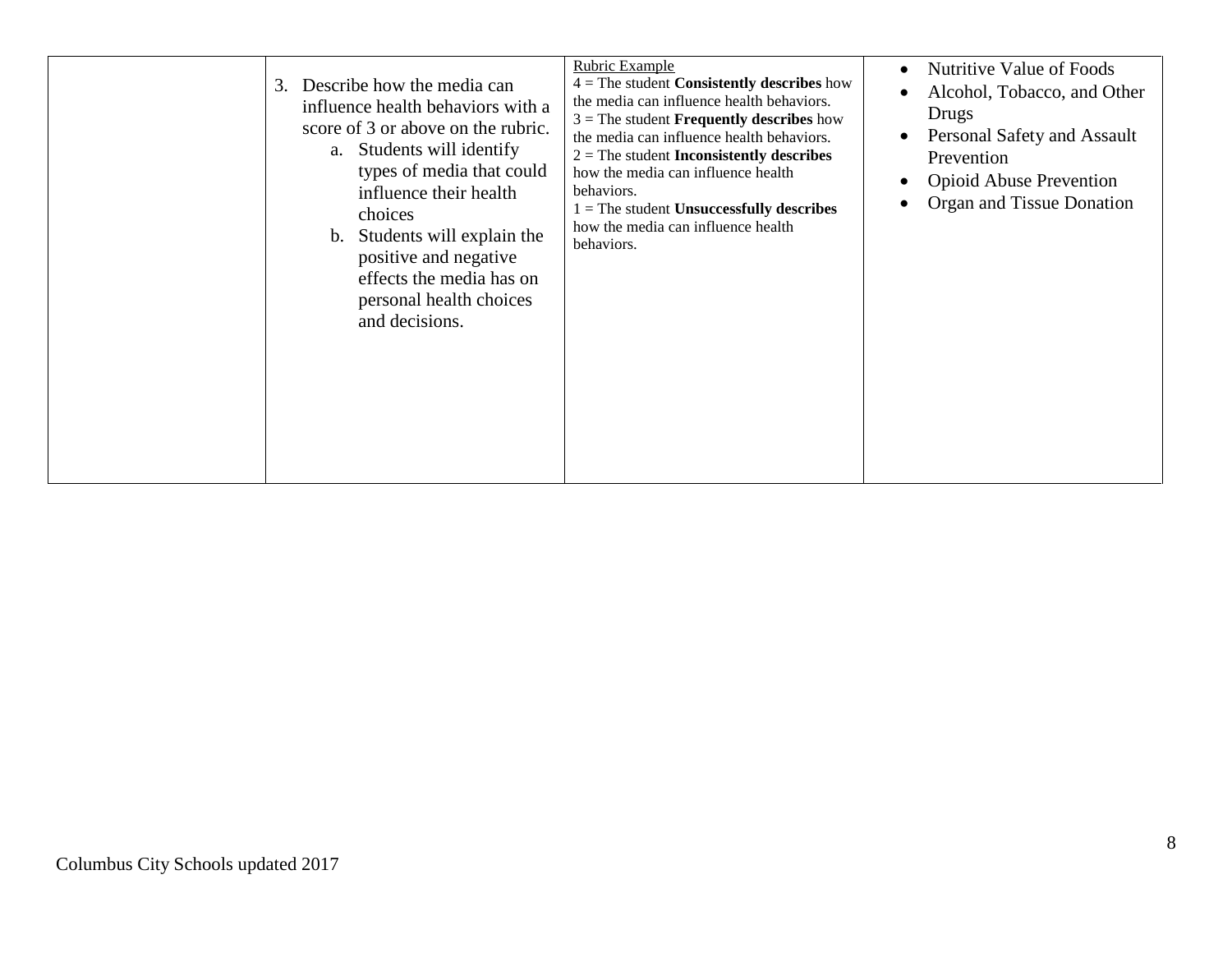| 3. | Describe how the media can<br>influence health behaviors with a<br>score of 3 or above on the rubric.<br>a. Students will identify<br>types of media that could                    | Rubric Example<br>$4 =$ The student Consistently describes how<br>the media can influence health behaviors.<br>$3$ = The student <b>Frequently describes</b> how<br>the media can influence health behaviors.<br>$2 =$ The student <b>Inconsistently describes</b> | Nutritive Value of Foods<br>Alcohol, Tobacco, and Other<br>Drugs<br>Personal Safety and Assault<br>Prevention |
|----|------------------------------------------------------------------------------------------------------------------------------------------------------------------------------------|--------------------------------------------------------------------------------------------------------------------------------------------------------------------------------------------------------------------------------------------------------------------|---------------------------------------------------------------------------------------------------------------|
|    | influence their health<br>choices<br>Students will explain the<br>$\mathbf{b}$ .<br>positive and negative<br>effects the media has on<br>personal health choices<br>and decisions. | behaviors.<br>$1 =$ The student Unsuccessfully describes<br>how the media can influence health<br>behaviors.                                                                                                                                                       | <b>Opioid Abuse Prevention</b><br>Organ and Tissue Donation                                                   |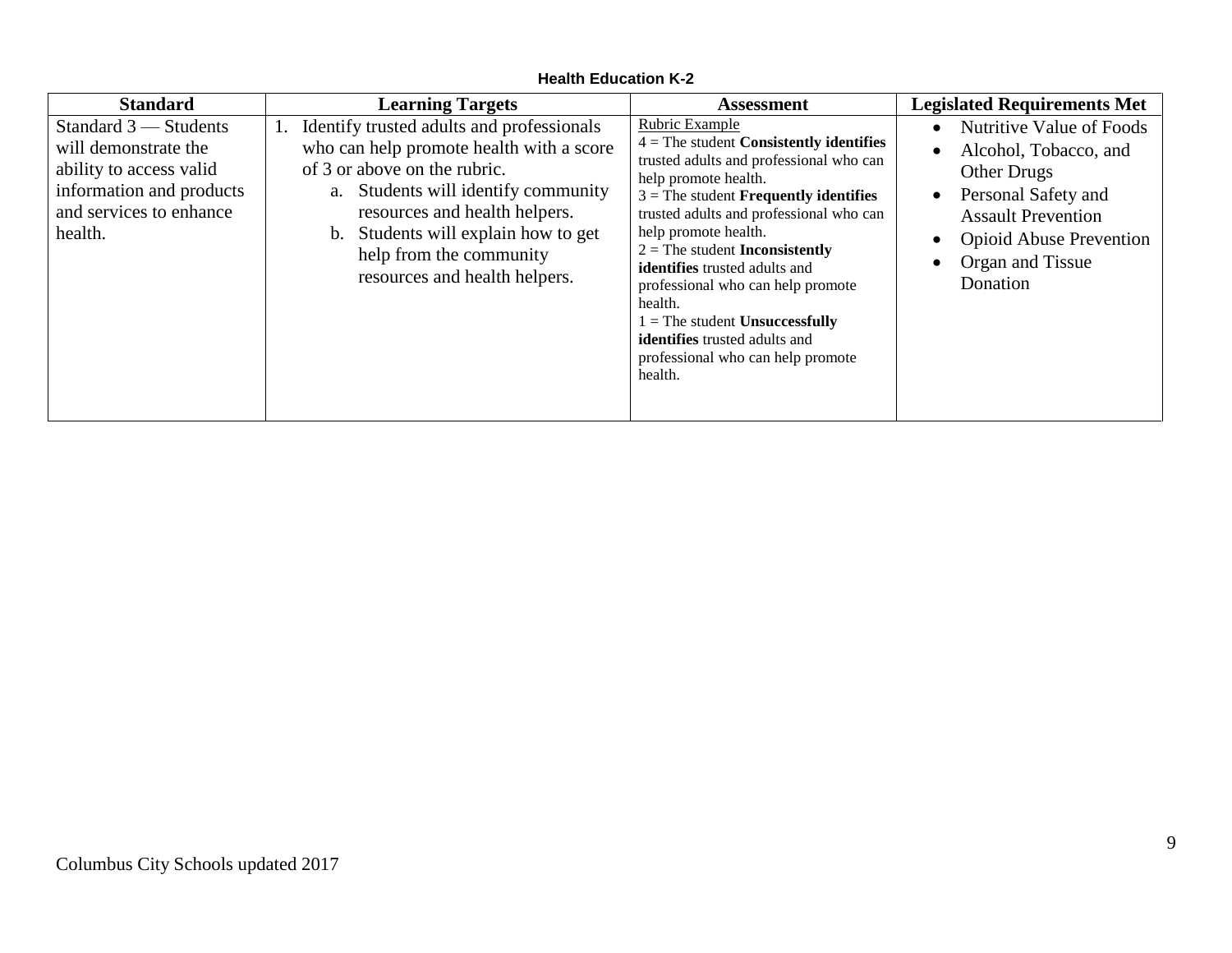| <b>Standard</b>                                                                                                                              | <b>Learning Targets</b>                                                                                                                                                                                                                                                                             | <b>Assessment</b>                                                                                                                                                                                                                                                                                                                                                                                                                                                                                    | <b>Legislated Requirements Met</b>                                                                                                                                                                                                                             |
|----------------------------------------------------------------------------------------------------------------------------------------------|-----------------------------------------------------------------------------------------------------------------------------------------------------------------------------------------------------------------------------------------------------------------------------------------------------|------------------------------------------------------------------------------------------------------------------------------------------------------------------------------------------------------------------------------------------------------------------------------------------------------------------------------------------------------------------------------------------------------------------------------------------------------------------------------------------------------|----------------------------------------------------------------------------------------------------------------------------------------------------------------------------------------------------------------------------------------------------------------|
| Standard $3$ — Students<br>will demonstrate the<br>ability to access valid<br>information and products<br>and services to enhance<br>health. | 1. Identify trusted adults and professionals<br>who can help promote health with a score<br>of 3 or above on the rubric.<br>a. Students will identify community<br>resources and health helpers.<br>b. Students will explain how to get<br>help from the community<br>resources and health helpers. | Rubric Example<br>$4 =$ The student Consistently identifies<br>trusted adults and professional who can<br>help promote health.<br>$3$ = The student <b>Frequently identifies</b><br>trusted adults and professional who can<br>help promote health.<br>$2 =$ The student <b>Inconsistently</b><br>identifies trusted adults and<br>professional who can help promote<br>health.<br>$1 =$ The student Unsuccessfully<br>identifies trusted adults and<br>professional who can help promote<br>health. | Nutritive Value of Foods<br>$\bullet$<br>Alcohol, Tobacco, and<br>$\bullet$<br><b>Other Drugs</b><br>Personal Safety and<br>$\bullet$<br><b>Assault Prevention</b><br><b>Opioid Abuse Prevention</b><br>$\bullet$<br>Organ and Tissue<br>$\bullet$<br>Donation |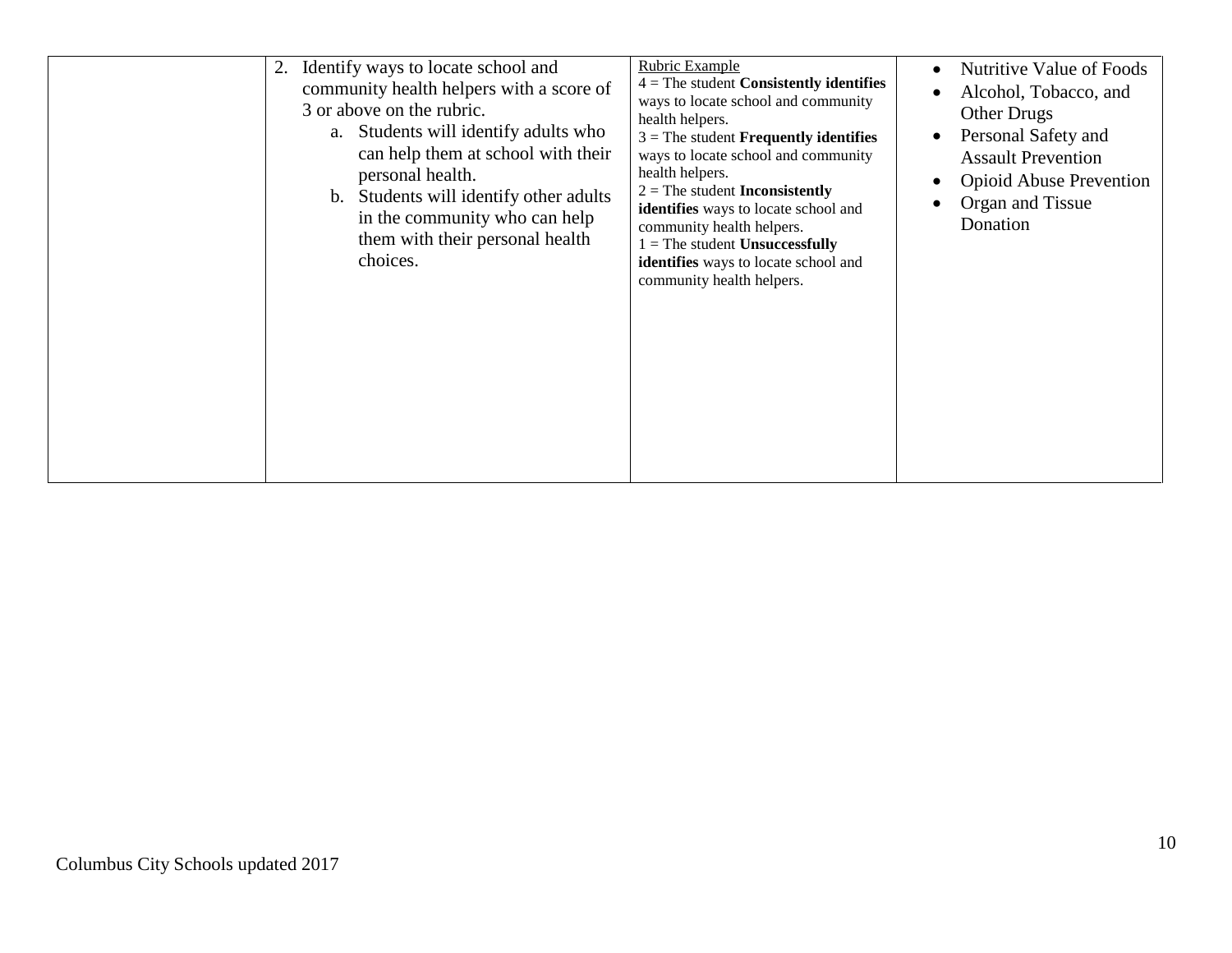| Identify ways to locate school and<br>2.<br>community health helpers with a score of<br>3 or above on the rubric.<br>a. Students will identify adults who<br>can help them at school with their<br>personal health.<br>b. Students will identify other adults<br>in the community who can help<br>them with their personal health<br>choices. | Rubric Example<br>Nutritive Value of Foods<br>$4 =$ The student Consistently identifies<br>Alcohol, Tobacco, and<br>ways to locate school and community<br><b>Other Drugs</b><br>health helpers.<br>Personal Safety and<br>$3$ = The student <b>Frequently identifies</b><br>ways to locate school and community<br><b>Assault Prevention</b><br>health helpers.<br><b>Opioid Abuse Prevention</b><br>$2 =$ The student <b>Inconsistently</b><br>Organ and Tissue<br>identifies ways to locate school and<br>Donation<br>community health helpers.<br>$1 =$ The student Unsuccessfully<br>identifies ways to locate school and<br>community health helpers. |  |
|-----------------------------------------------------------------------------------------------------------------------------------------------------------------------------------------------------------------------------------------------------------------------------------------------------------------------------------------------|-------------------------------------------------------------------------------------------------------------------------------------------------------------------------------------------------------------------------------------------------------------------------------------------------------------------------------------------------------------------------------------------------------------------------------------------------------------------------------------------------------------------------------------------------------------------------------------------------------------------------------------------------------------|--|
|-----------------------------------------------------------------------------------------------------------------------------------------------------------------------------------------------------------------------------------------------------------------------------------------------------------------------------------------------|-------------------------------------------------------------------------------------------------------------------------------------------------------------------------------------------------------------------------------------------------------------------------------------------------------------------------------------------------------------------------------------------------------------------------------------------------------------------------------------------------------------------------------------------------------------------------------------------------------------------------------------------------------------|--|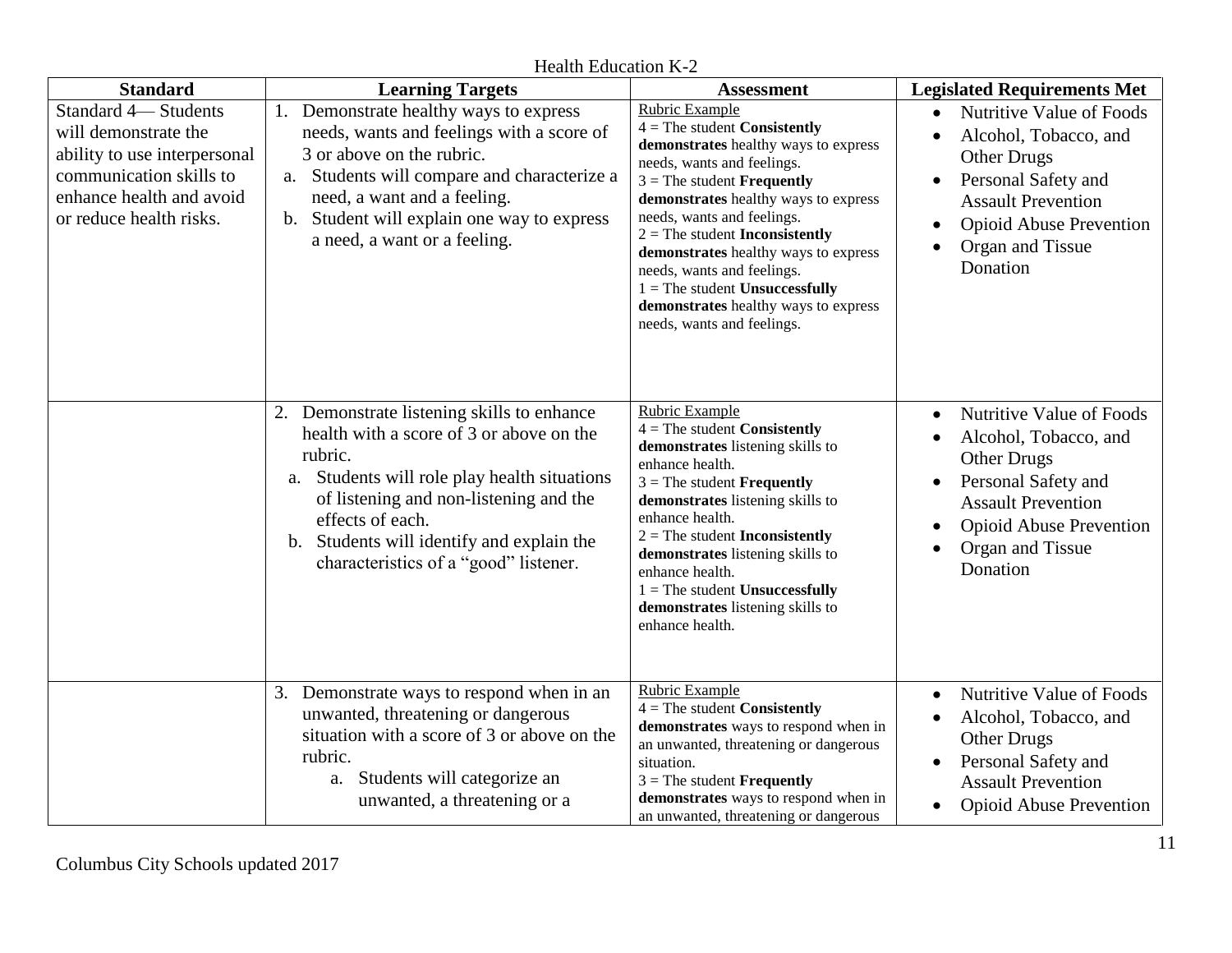**Standard Learning Targets Assessment Legislated Requirements Met** Standard 4— Students will demonstrate the ability to use interpersonal communication skills to enhance health and avoid or reduce health risks. 1. Demonstrate healthy ways to express needs, wants and feelings with a score of 3 or above on the rubric. a. Students will compare and characterize a need, a want and a feeling. b. Student will explain one way to express a need, a want or a feeling. Rubric Example 4 = The student **Consistently demonstrates** healthy ways to express needs, wants and feelings. 3 = The student **Frequently demonstrates** healthy ways to express needs, wants and feelings. 2 = The student **Inconsistently demonstrates** healthy ways to express needs, wants and feelings. 1 = The student **Unsuccessfully demonstrates** healthy ways to express needs, wants and feelings. Nutritive Value of Foods Alcohol, Tobacco, and Other Drugs • Personal Safety and Assault Prevention Opioid Abuse Prevention Organ and Tissue **Donation** 2. Demonstrate listening skills to enhance health with a score of 3 or above on the rubric. a. Students will role play health situations of listening and non-listening and the effects of each. b. Students will identify and explain the characteristics of a "good" listener. Rubric Example 4 = The student **Consistently demonstrates** listening skills to enhance health. 3 = The student **Frequently demonstrates** listening skills to enhance health. 2 = The student **Inconsistently demonstrates** listening skills to enhance health. 1 = The student **Unsuccessfully demonstrates** listening skills to enhance health. Nutritive Value of Foods Alcohol, Tobacco, and Other Drugs • Personal Safety and Assault Prevention Opioid Abuse Prevention Organ and Tissue Donation 3. Demonstrate ways to respond when in an unwanted, threatening or dangerous situation with a score of 3 or above on the rubric. a. Students will categorize an unwanted, a threatening or a Rubric Example 4 = The student **Consistently demonstrates** ways to respond when in an unwanted, threatening or dangerous situation. 3 = The student **Frequently demonstrates** ways to respond when in an unwanted, threatening or dangerous • Nutritive Value of Foods Alcohol, Tobacco, and Other Drugs • Personal Safety and Assault Prevention • Opioid Abuse Prevention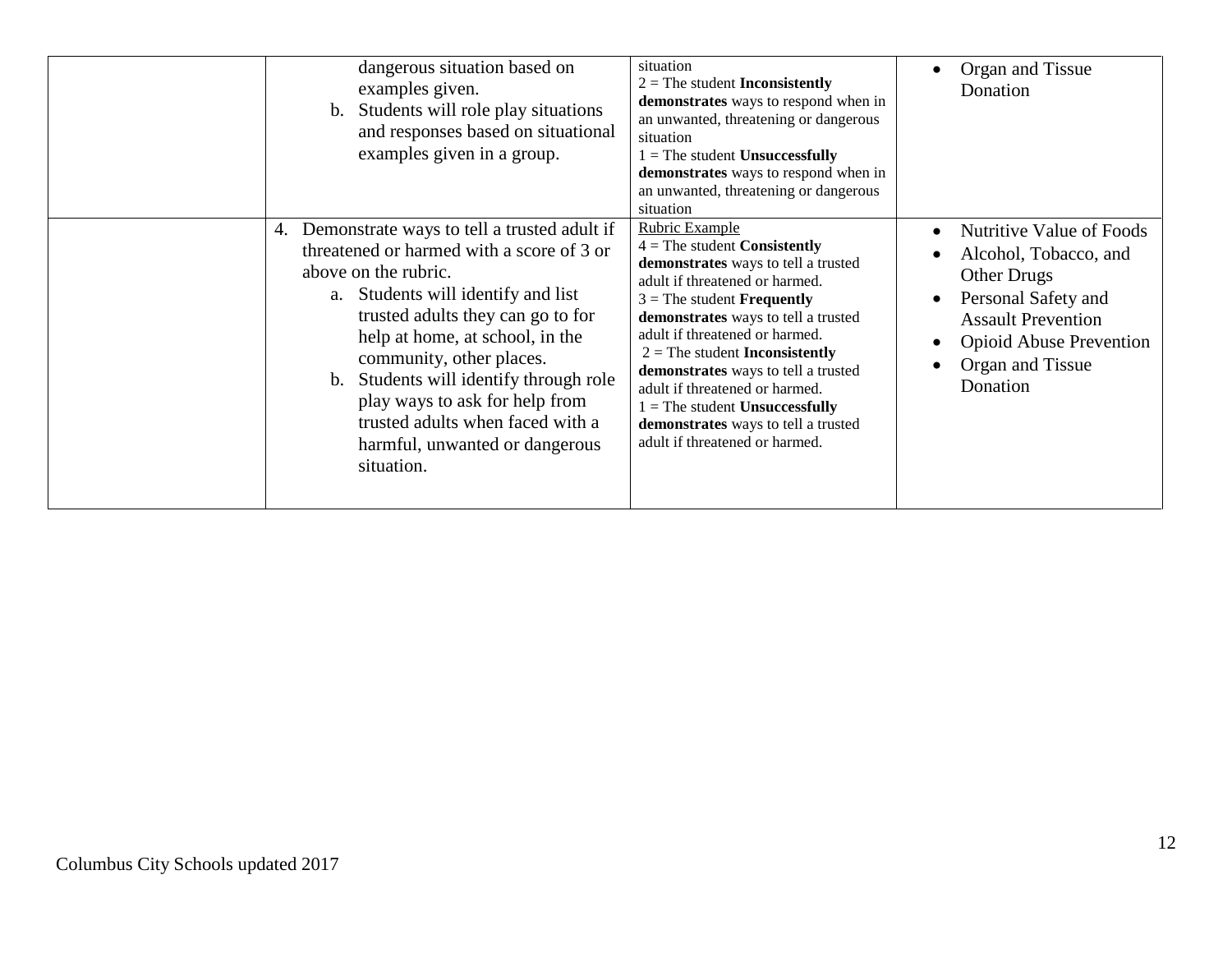| dangerous situation based on<br>examples given.<br>b. Students will role play situations<br>and responses based on situational<br>examples given in a group.                                                                                                                                                                                                                                                                  | situation<br>$2 =$ The student Inconsistently<br>demonstrates ways to respond when in<br>an unwanted, threatening or dangerous<br>situation<br>$1 =$ The student Unsuccessfully<br>demonstrates ways to respond when in<br>an unwanted, threatening or dangerous<br>situation<br><b>Rubric Example</b>                                                                                                                                                   | Organ and Tissue<br>$\bullet$<br>Donation                                                                                                                                                     |
|-------------------------------------------------------------------------------------------------------------------------------------------------------------------------------------------------------------------------------------------------------------------------------------------------------------------------------------------------------------------------------------------------------------------------------|----------------------------------------------------------------------------------------------------------------------------------------------------------------------------------------------------------------------------------------------------------------------------------------------------------------------------------------------------------------------------------------------------------------------------------------------------------|-----------------------------------------------------------------------------------------------------------------------------------------------------------------------------------------------|
| 4. Demonstrate ways to tell a trusted adult if<br>threatened or harmed with a score of 3 or<br>above on the rubric.<br>a. Students will identify and list<br>trusted adults they can go to for<br>help at home, at school, in the<br>community, other places.<br>b. Students will identify through role<br>play ways to ask for help from<br>trusted adults when faced with a<br>harmful, unwanted or dangerous<br>situation. | $4 =$ The student Consistently<br>demonstrates ways to tell a trusted<br>adult if threatened or harmed.<br>$3$ = The student <b>Frequently</b><br>demonstrates ways to tell a trusted<br>adult if threatened or harmed.<br>$2 =$ The student <b>Inconsistently</b><br>demonstrates ways to tell a trusted<br>adult if threatened or harmed.<br>$1 =$ The student Unsuccessfully<br>demonstrates ways to tell a trusted<br>adult if threatened or harmed. | Nutritive Value of Foods<br>Alcohol, Tobacco, and<br><b>Other Drugs</b><br>Personal Safety and<br><b>Assault Prevention</b><br><b>Opioid Abuse Prevention</b><br>Organ and Tissue<br>Donation |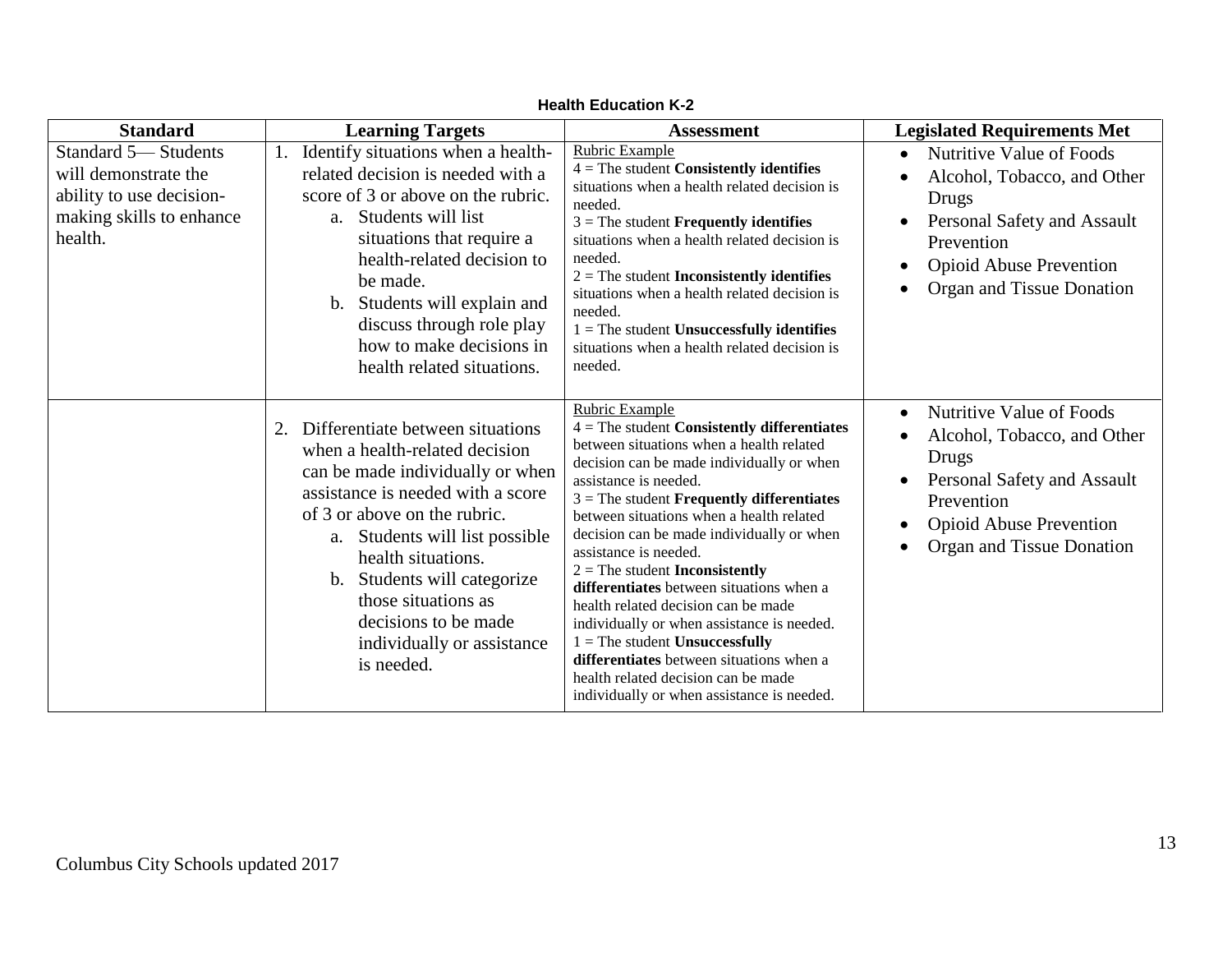| <b>Standard</b>                                                                                                | <b>Learning Targets</b>                                                                                                                                                                                                                                                                                                                                                | <b>Assessment</b>                                                                                                                                                                                                                                                                                                                                                                                                                                                                                                                                                                                                                                                                                          | <b>Legislated Requirements Met</b>                                                                                                                                                                                  |
|----------------------------------------------------------------------------------------------------------------|------------------------------------------------------------------------------------------------------------------------------------------------------------------------------------------------------------------------------------------------------------------------------------------------------------------------------------------------------------------------|------------------------------------------------------------------------------------------------------------------------------------------------------------------------------------------------------------------------------------------------------------------------------------------------------------------------------------------------------------------------------------------------------------------------------------------------------------------------------------------------------------------------------------------------------------------------------------------------------------------------------------------------------------------------------------------------------------|---------------------------------------------------------------------------------------------------------------------------------------------------------------------------------------------------------------------|
| Standard 5-Students<br>will demonstrate the<br>ability to use decision-<br>making skills to enhance<br>health. | Identify situations when a health-<br>related decision is needed with a<br>score of 3 or above on the rubric.<br>Students will list<br>a.<br>situations that require a<br>health-related decision to<br>be made.<br>b. Students will explain and<br>discuss through role play<br>how to make decisions in<br>health related situations.                                | Rubric Example<br>$4 =$ The student Consistently identifies<br>situations when a health related decision is<br>needed.<br>$3$ = The student <b>Frequently identifies</b><br>situations when a health related decision is<br>needed.<br>$2 =$ The student <b>Inconsistently identifies</b><br>situations when a health related decision is<br>needed.<br>$1 =$ The student Unsuccessfully identifies<br>situations when a health related decision is<br>needed.                                                                                                                                                                                                                                             | Nutritive Value of Foods<br>$\bullet$<br>Alcohol, Tobacco, and Other<br>Drugs<br>Personal Safety and Assault<br>Prevention<br><b>Opioid Abuse Prevention</b><br>$\bullet$<br>Organ and Tissue Donation<br>$\bullet$ |
|                                                                                                                | Differentiate between situations<br>2.<br>when a health-related decision<br>can be made individually or when<br>assistance is needed with a score<br>of 3 or above on the rubric.<br>a. Students will list possible<br>health situations.<br>Students will categorize<br>b.<br>those situations as<br>decisions to be made<br>individually or assistance<br>is needed. | Rubric Example<br>$4 =$ The student Consistently differentiates<br>between situations when a health related<br>decision can be made individually or when<br>assistance is needed.<br>$3$ = The student <b>Frequently differentiates</b><br>between situations when a health related<br>decision can be made individually or when<br>assistance is needed.<br>$2 =$ The student <b>Inconsistently</b><br>differentiates between situations when a<br>health related decision can be made<br>individually or when assistance is needed.<br>$1 =$ The student Unsuccessfully<br>differentiates between situations when a<br>health related decision can be made<br>individually or when assistance is needed. | Nutritive Value of Foods<br>Alcohol, Tobacco, and Other<br>٠<br>Drugs<br>Personal Safety and Assault<br>Prevention<br><b>Opioid Abuse Prevention</b><br>Organ and Tissue Donation                                   |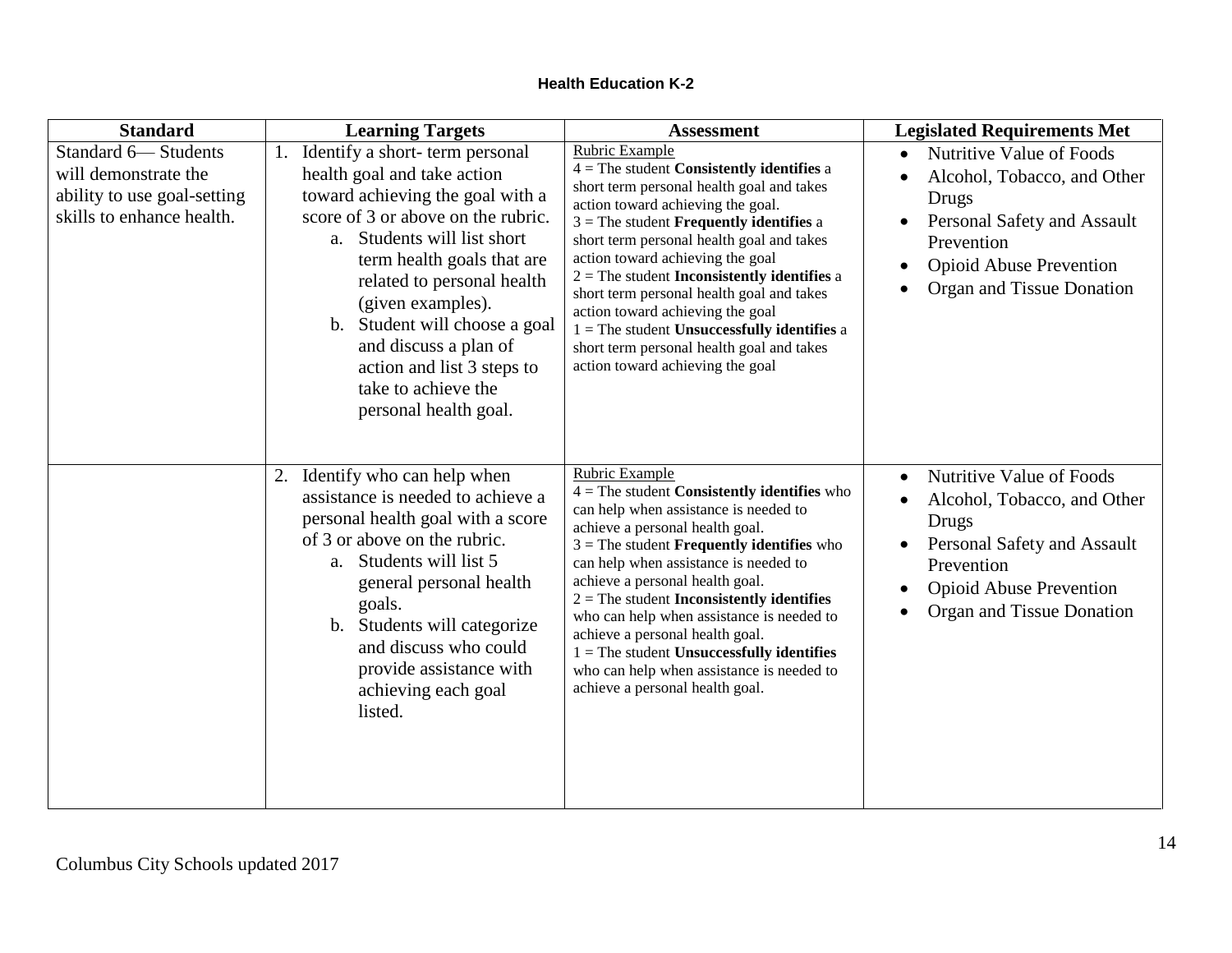| <b>Standard</b>                                                                                         | <b>Learning Targets</b>                                                                                                                                                                                                                                                                                                                                                                            | <b>Assessment</b>                                                                                                                                                                                                                                                                                                                                                                                                                                                                                                                                                             | <b>Legislated Requirements Met</b>                                                                                                                                                                     |
|---------------------------------------------------------------------------------------------------------|----------------------------------------------------------------------------------------------------------------------------------------------------------------------------------------------------------------------------------------------------------------------------------------------------------------------------------------------------------------------------------------------------|-------------------------------------------------------------------------------------------------------------------------------------------------------------------------------------------------------------------------------------------------------------------------------------------------------------------------------------------------------------------------------------------------------------------------------------------------------------------------------------------------------------------------------------------------------------------------------|--------------------------------------------------------------------------------------------------------------------------------------------------------------------------------------------------------|
| Standard 6-Students<br>will demonstrate the<br>ability to use goal-setting<br>skills to enhance health. | 1. Identify a short-term personal<br>health goal and take action<br>toward achieving the goal with a<br>score of 3 or above on the rubric.<br>a. Students will list short<br>term health goals that are<br>related to personal health<br>(given examples).<br>b. Student will choose a goal<br>and discuss a plan of<br>action and list 3 steps to<br>take to achieve the<br>personal health goal. | <b>Rubric Example</b><br>$4$ = The student <b>Consistently identifies</b> a<br>short term personal health goal and takes<br>action toward achieving the goal.<br>$3$ = The student <b>Frequently identifies</b> a<br>short term personal health goal and takes<br>action toward achieving the goal<br>$2$ = The student <b>Inconsistently identifies</b> a<br>short term personal health goal and takes<br>action toward achieving the goal<br>$1 =$ The student Unsuccessfully identifies a<br>short term personal health goal and takes<br>action toward achieving the goal | Nutritive Value of Foods<br>Alcohol, Tobacco, and Other<br>Drugs<br>Personal Safety and Assault<br>Prevention<br><b>Opioid Abuse Prevention</b><br>Organ and Tissue Donation<br>$\bullet$              |
|                                                                                                         | 2. Identify who can help when<br>assistance is needed to achieve a<br>personal health goal with a score<br>of 3 or above on the rubric.<br>a. Students will list 5<br>general personal health<br>goals.<br>b. Students will categorize<br>and discuss who could<br>provide assistance with<br>achieving each goal<br>listed.                                                                       | Rubric Example<br>$4 =$ The student Consistently identifies who<br>can help when assistance is needed to<br>achieve a personal health goal.<br>$3$ = The student <b>Frequently identifies</b> who<br>can help when assistance is needed to<br>achieve a personal health goal.<br>$2$ = The student <b>Inconsistently identifies</b><br>who can help when assistance is needed to<br>achieve a personal health goal.<br>$1 =$ The student Unsuccessfully identifies<br>who can help when assistance is needed to<br>achieve a personal health goal.                            | Nutritive Value of Foods<br>$\bullet$<br>Alcohol, Tobacco, and Other<br>$\bullet$<br>Drugs<br>Personal Safety and Assault<br>Prevention<br><b>Opioid Abuse Prevention</b><br>Organ and Tissue Donation |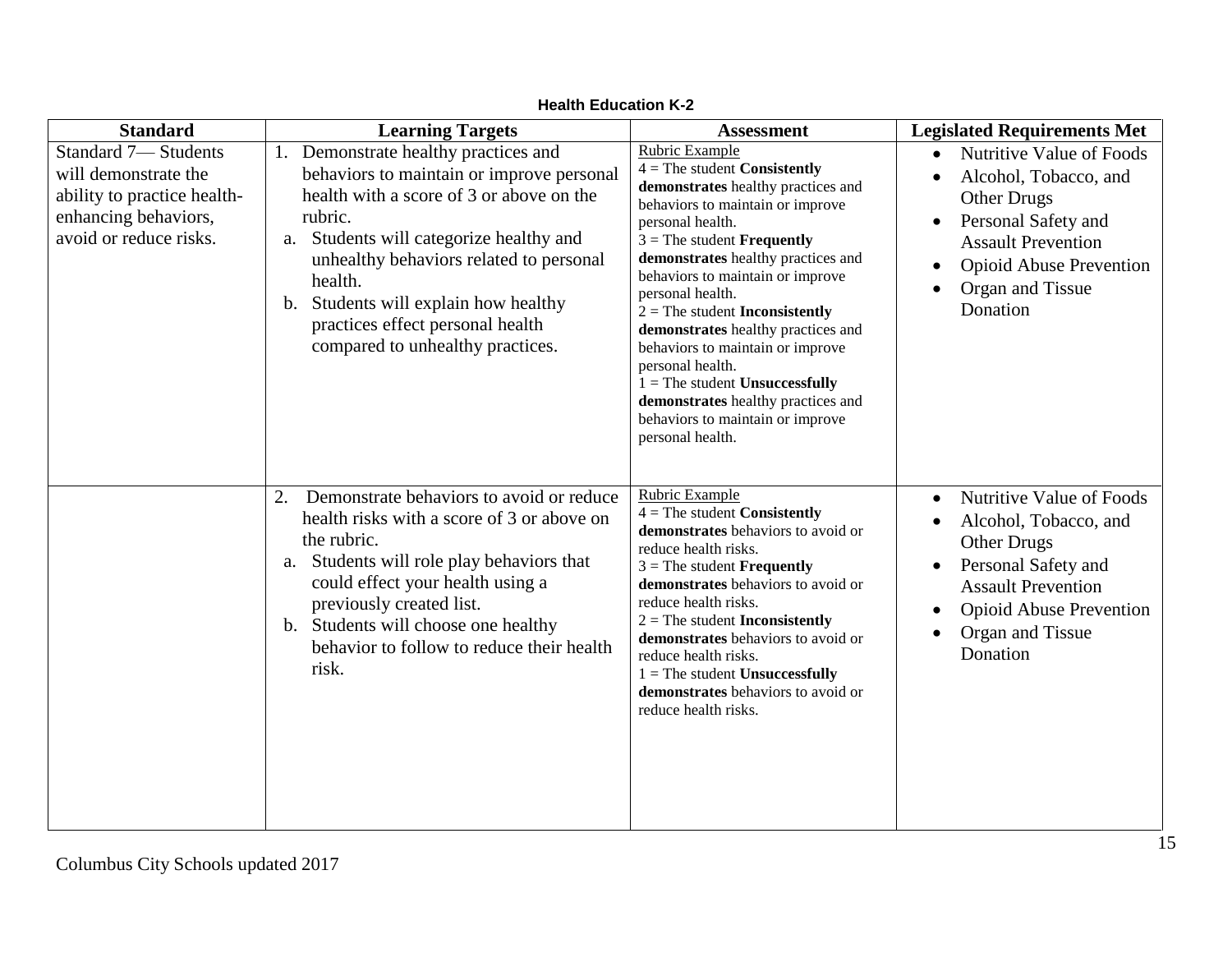| <b>Standard</b>                                                                                                                     | <b>Learning Targets</b>                                                                                                                                                                                                                                                                                                                                      | <b>Assessment</b>                                                                                                                                                                                                                                                                                                                                                                                                                                                                                                                                                     | <b>Legislated Requirements Met</b>                                                                                                                                                                                |
|-------------------------------------------------------------------------------------------------------------------------------------|--------------------------------------------------------------------------------------------------------------------------------------------------------------------------------------------------------------------------------------------------------------------------------------------------------------------------------------------------------------|-----------------------------------------------------------------------------------------------------------------------------------------------------------------------------------------------------------------------------------------------------------------------------------------------------------------------------------------------------------------------------------------------------------------------------------------------------------------------------------------------------------------------------------------------------------------------|-------------------------------------------------------------------------------------------------------------------------------------------------------------------------------------------------------------------|
| <b>Standard 7-Students</b><br>will demonstrate the<br>ability to practice health-<br>enhancing behaviors,<br>avoid or reduce risks. | 1. Demonstrate healthy practices and<br>behaviors to maintain or improve personal<br>health with a score of 3 or above on the<br>rubric.<br>a. Students will categorize healthy and<br>unhealthy behaviors related to personal<br>health.<br>Students will explain how healthy<br>b.<br>practices effect personal health<br>compared to unhealthy practices. | Rubric Example<br>$4 =$ The student <b>Consistently</b><br>demonstrates healthy practices and<br>behaviors to maintain or improve<br>personal health.<br>$3$ = The student <b>Frequently</b><br>demonstrates healthy practices and<br>behaviors to maintain or improve<br>personal health.<br>$2 =$ The student <b>Inconsistently</b><br>demonstrates healthy practices and<br>behaviors to maintain or improve<br>personal health.<br>$1 =$ The student Unsuccessfully<br>demonstrates healthy practices and<br>behaviors to maintain or improve<br>personal health. | <b>Nutritive Value of Foods</b><br>$\bullet$<br>Alcohol, Tobacco, and<br><b>Other Drugs</b><br>Personal Safety and<br><b>Assault Prevention</b><br><b>Opioid Abuse Prevention</b><br>Organ and Tissue<br>Donation |
|                                                                                                                                     | Demonstrate behaviors to avoid or reduce<br>2.<br>health risks with a score of 3 or above on<br>the rubric.<br>a. Students will role play behaviors that<br>could effect your health using a<br>previously created list.<br>b. Students will choose one healthy<br>behavior to follow to reduce their health<br>risk.                                        | Rubric Example<br>$4 =$ The student Consistently<br>demonstrates behaviors to avoid or<br>reduce health risks.<br>$3$ = The student <b>Frequently</b><br>demonstrates behaviors to avoid or<br>reduce health risks.<br>$2 =$ The student <b>Inconsistently</b><br>demonstrates behaviors to avoid or<br>reduce health risks.<br>$1 =$ The student Unsuccessfully<br>demonstrates behaviors to avoid or<br>reduce health risks.                                                                                                                                        | Nutritive Value of Foods<br>$\bullet$<br>Alcohol, Tobacco, and<br>$\bullet$<br>Other Drugs<br>Personal Safety and<br><b>Assault Prevention</b><br><b>Opioid Abuse Prevention</b><br>Organ and Tissue<br>Donation  |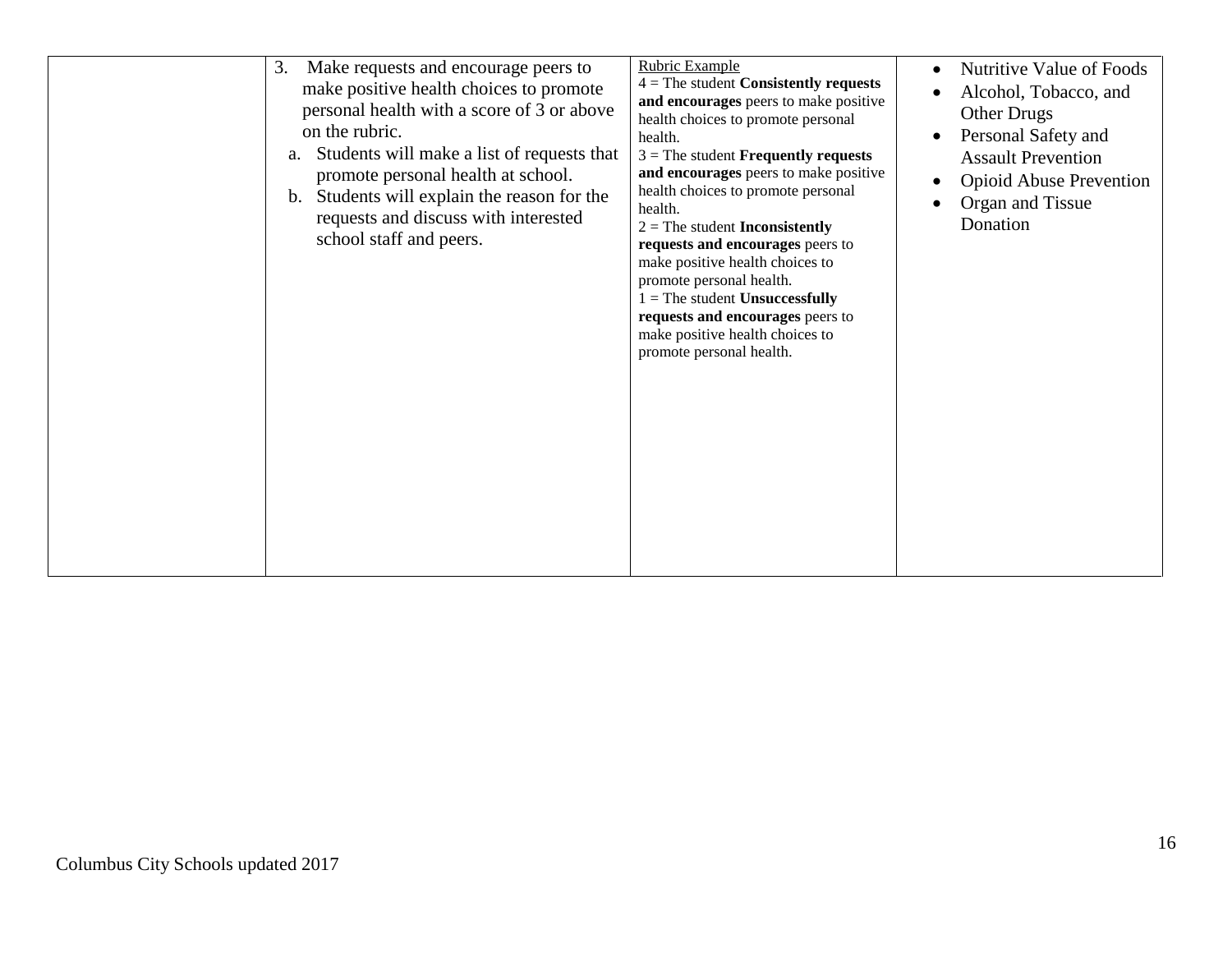| Make requests and encourage peers to<br>3.<br>make positive health choices to promote<br>personal health with a score of 3 or above<br>on the rubric.<br>Students will make a list of requests that<br>a.<br>promote personal health at school.<br>Students will explain the reason for the<br>b.<br>requests and discuss with interested<br>school staff and peers. | Rubric Example<br>$4 =$ The student Consistently requests<br>and encourages peers to make positive<br>health choices to promote personal<br>health.<br>$3$ = The student <b>Frequently requests</b><br>and encourages peers to make positive<br>health choices to promote personal<br>health.<br>$2 =$ The student <b>Inconsistently</b><br>requests and encourages peers to<br>make positive health choices to<br>promote personal health.<br>$1 =$ The student Unsuccessfully<br>requests and encourages peers to<br>make positive health choices to<br>promote personal health. | Nutritive Value of Foods<br>$\bullet$<br>Alcohol, Tobacco, and<br><b>Other Drugs</b><br>Personal Safety and<br>$\bullet$<br><b>Assault Prevention</b><br><b>Opioid Abuse Prevention</b><br>$\bullet$<br>Organ and Tissue<br>Donation |
|----------------------------------------------------------------------------------------------------------------------------------------------------------------------------------------------------------------------------------------------------------------------------------------------------------------------------------------------------------------------|------------------------------------------------------------------------------------------------------------------------------------------------------------------------------------------------------------------------------------------------------------------------------------------------------------------------------------------------------------------------------------------------------------------------------------------------------------------------------------------------------------------------------------------------------------------------------------|--------------------------------------------------------------------------------------------------------------------------------------------------------------------------------------------------------------------------------------|
|----------------------------------------------------------------------------------------------------------------------------------------------------------------------------------------------------------------------------------------------------------------------------------------------------------------------------------------------------------------------|------------------------------------------------------------------------------------------------------------------------------------------------------------------------------------------------------------------------------------------------------------------------------------------------------------------------------------------------------------------------------------------------------------------------------------------------------------------------------------------------------------------------------------------------------------------------------------|--------------------------------------------------------------------------------------------------------------------------------------------------------------------------------------------------------------------------------------|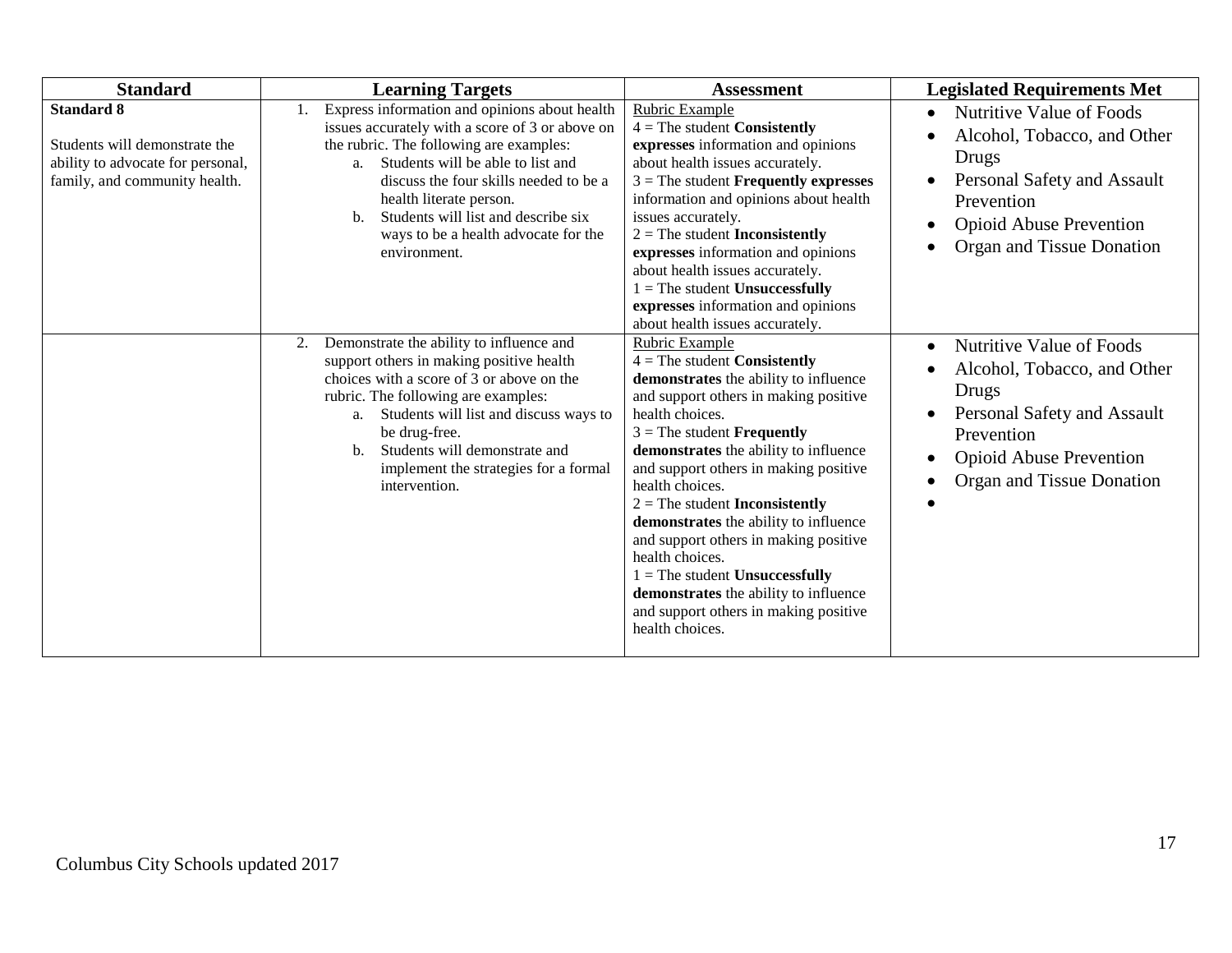| <b>Standard</b>                                                                                                          | <b>Learning Targets</b>                                                                                                                                                                                                                                                                                                                                          | <b>Assessment</b>                                                                                                                                                                                                                                                                                                                                                                                                                                                                                                                                                                          | <b>Legislated Requirements Met</b>                                                                                                                                                        |
|--------------------------------------------------------------------------------------------------------------------------|------------------------------------------------------------------------------------------------------------------------------------------------------------------------------------------------------------------------------------------------------------------------------------------------------------------------------------------------------------------|--------------------------------------------------------------------------------------------------------------------------------------------------------------------------------------------------------------------------------------------------------------------------------------------------------------------------------------------------------------------------------------------------------------------------------------------------------------------------------------------------------------------------------------------------------------------------------------------|-------------------------------------------------------------------------------------------------------------------------------------------------------------------------------------------|
| <b>Standard 8</b><br>Students will demonstrate the<br>ability to advocate for personal,<br>family, and community health. | Express information and opinions about health<br>issues accurately with a score of 3 or above on<br>the rubric. The following are examples:<br>Students will be able to list and<br>a.<br>discuss the four skills needed to be a<br>health literate person.<br>Students will list and describe six<br>b.<br>ways to be a health advocate for the<br>environment. | Rubric Example<br>$4 =$ The student Consistently<br>expresses information and opinions<br>about health issues accurately.<br>$3$ = The student <b>Frequently expresses</b><br>information and opinions about health<br>issues accurately.<br>$2 =$ The student <b>Inconsistently</b><br>expresses information and opinions<br>about health issues accurately.<br>$1 =$ The student Unsuccessfully<br>expresses information and opinions<br>about health issues accurately.                                                                                                                 | Nutritive Value of Foods<br>$\bullet$<br>Alcohol, Tobacco, and Other<br>Drugs<br>Personal Safety and Assault<br>Prevention<br><b>Opioid Abuse Prevention</b><br>Organ and Tissue Donation |
|                                                                                                                          | Demonstrate the ability to influence and<br>2.<br>support others in making positive health<br>choices with a score of 3 or above on the<br>rubric. The following are examples:<br>a. Students will list and discuss ways to<br>be drug-free.<br>Students will demonstrate and<br>b.<br>implement the strategies for a formal<br>intervention.                    | Rubric Example<br>$4 =$ The student <b>Consistently</b><br>demonstrates the ability to influence<br>and support others in making positive<br>health choices.<br>$3$ = The student <b>Frequently</b><br>demonstrates the ability to influence<br>and support others in making positive<br>health choices.<br>$2 =$ The student Inconsistently<br>demonstrates the ability to influence<br>and support others in making positive<br>health choices.<br>$1 =$ The student Unsuccessfully<br>demonstrates the ability to influence<br>and support others in making positive<br>health choices. | Nutritive Value of Foods<br>Alcohol, Tobacco, and Other<br>Drugs<br>Personal Safety and Assault<br>Prevention<br><b>Opioid Abuse Prevention</b><br>Organ and Tissue Donation              |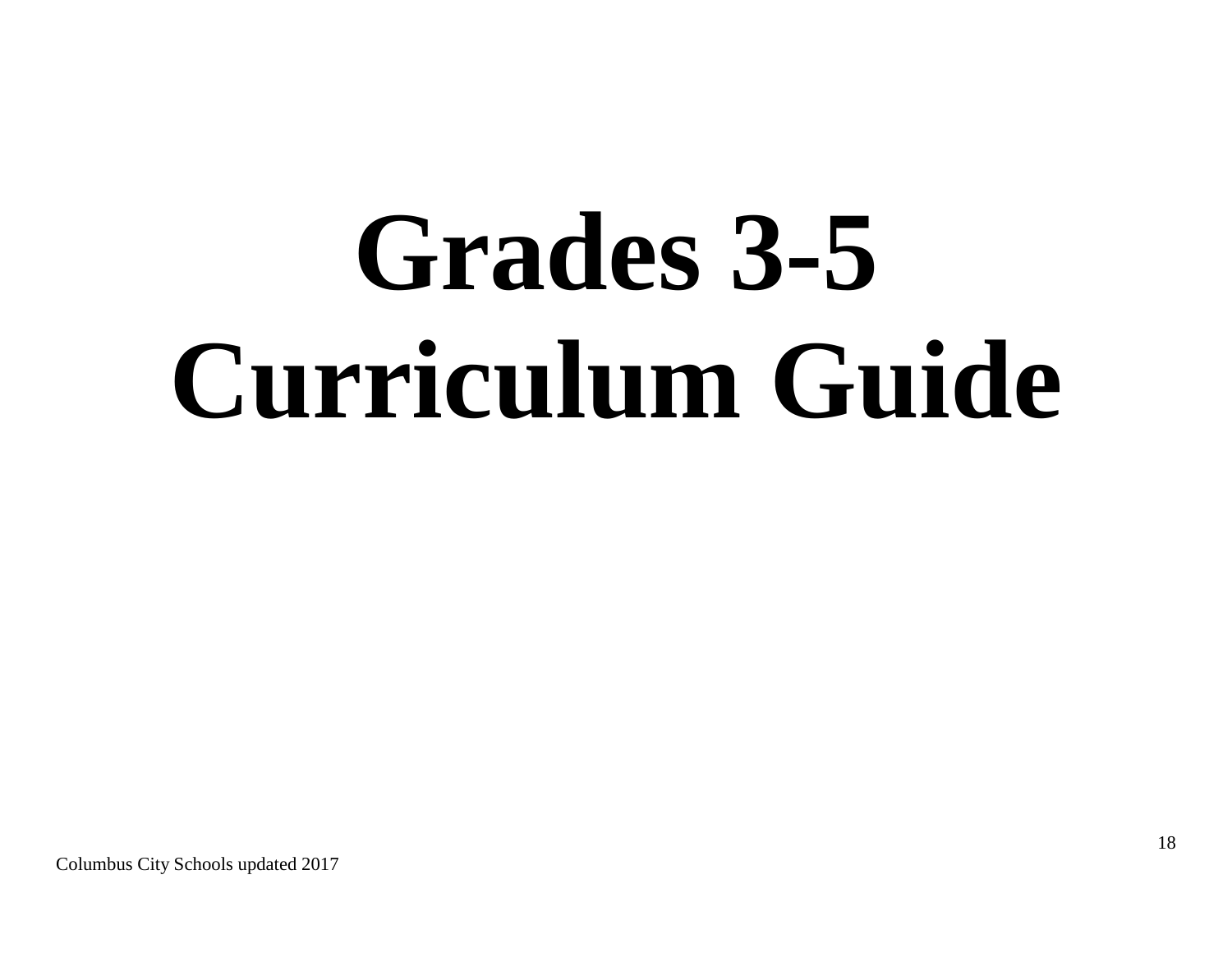# **Grades 3-5 Curriculum Guide**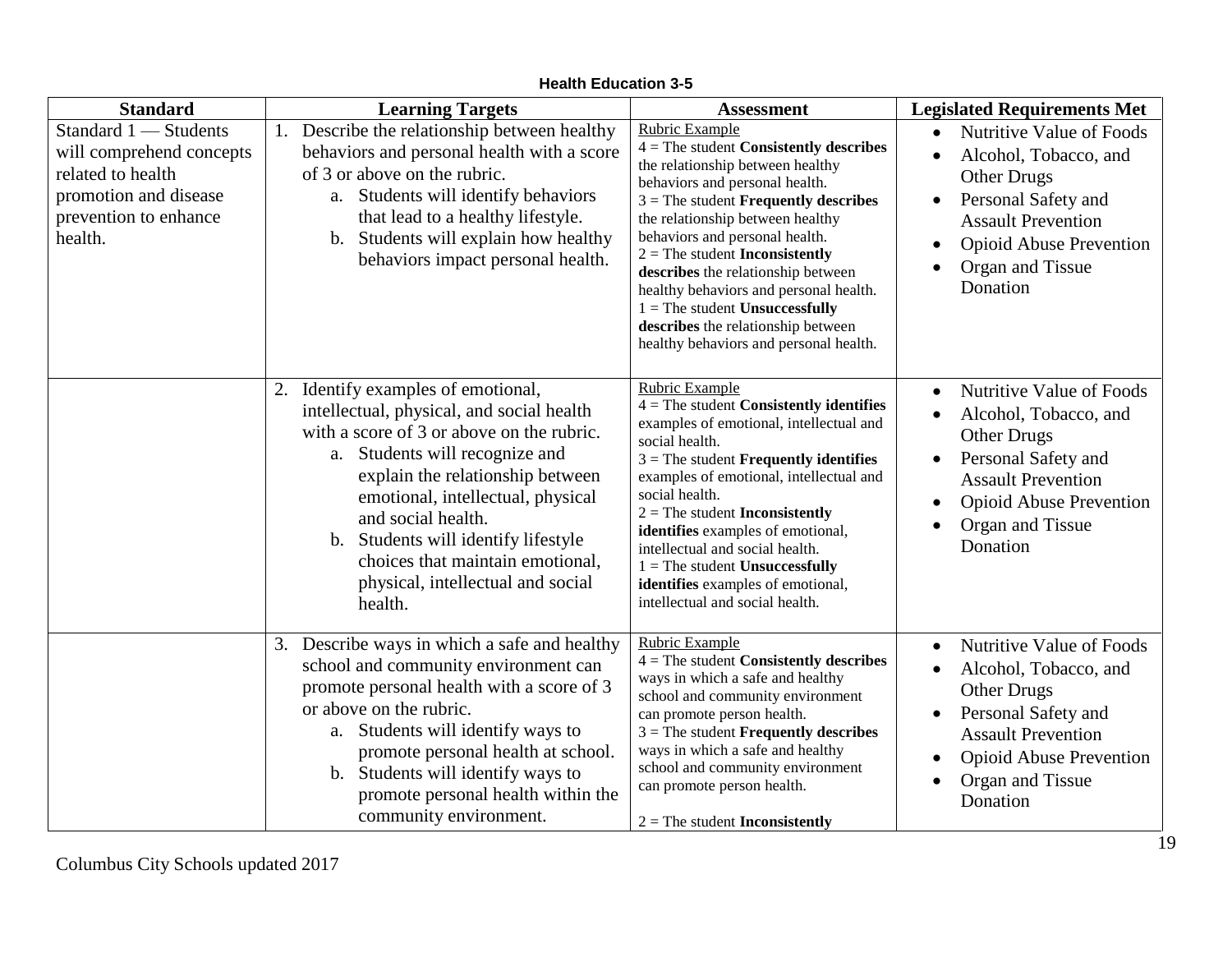| <b>Standard</b>                                                                                                                     | <b>Learning Targets</b>                                                                                                                                                                                                                                                                                                                                                                  | <b>Assessment</b>                                                                                                                                                                                                                                                                                                                                                                                                                                                                               | <b>Legislated Requirements Met</b>                                                                                                                                                                                                                       |
|-------------------------------------------------------------------------------------------------------------------------------------|------------------------------------------------------------------------------------------------------------------------------------------------------------------------------------------------------------------------------------------------------------------------------------------------------------------------------------------------------------------------------------------|-------------------------------------------------------------------------------------------------------------------------------------------------------------------------------------------------------------------------------------------------------------------------------------------------------------------------------------------------------------------------------------------------------------------------------------------------------------------------------------------------|----------------------------------------------------------------------------------------------------------------------------------------------------------------------------------------------------------------------------------------------------------|
| Standard 1 - Students<br>will comprehend concepts<br>related to health<br>promotion and disease<br>prevention to enhance<br>health. | 1. Describe the relationship between healthy<br>behaviors and personal health with a score<br>of 3 or above on the rubric.<br>a. Students will identify behaviors<br>that lead to a healthy lifestyle.<br>b. Students will explain how healthy<br>behaviors impact personal health.                                                                                                      | Rubric Example<br>$4 =$ The student Consistently describes<br>the relationship between healthy<br>behaviors and personal health.<br>$3$ = The student <b>Frequently describes</b><br>the relationship between healthy<br>behaviors and personal health.<br>$2 =$ The student Inconsistently<br>describes the relationship between<br>healthy behaviors and personal health.<br>$1 =$ The student Unsuccessfully<br>describes the relationship between<br>healthy behaviors and personal health. | <b>Nutritive Value of Foods</b><br>$\bullet$<br>Alcohol, Tobacco, and<br>$\bullet$<br><b>Other Drugs</b><br>Personal Safety and<br>$\bullet$<br><b>Assault Prevention</b><br><b>Opioid Abuse Prevention</b><br>$\bullet$<br>Organ and Tissue<br>Donation |
|                                                                                                                                     | 2. Identify examples of emotional,<br>intellectual, physical, and social health<br>with a score of 3 or above on the rubric.<br>a. Students will recognize and<br>explain the relationship between<br>emotional, intellectual, physical<br>and social health.<br>b. Students will identify lifestyle<br>choices that maintain emotional,<br>physical, intellectual and social<br>health. | Rubric Example<br>$4$ = The student <b>Consistently identifies</b><br>examples of emotional, intellectual and<br>social health.<br>$3$ = The student <b>Frequently identifies</b><br>examples of emotional, intellectual and<br>social health.<br>$2 =$ The student Inconsistently<br>identifies examples of emotional,<br>intellectual and social health.<br>$1 =$ The student Unsuccessfully<br>identifies examples of emotional,<br>intellectual and social health.                          | Nutritive Value of Foods<br>$\bullet$<br>Alcohol, Tobacco, and<br>$\bullet$<br><b>Other Drugs</b><br>Personal Safety and<br><b>Assault Prevention</b><br><b>Opioid Abuse Prevention</b><br>$\bullet$<br>Organ and Tissue<br>Donation                     |
|                                                                                                                                     | $\overline{3}$ . Describe ways in which a safe and healthy<br>school and community environment can<br>promote personal health with a score of 3<br>or above on the rubric.<br>a. Students will identify ways to<br>promote personal health at school.<br>b. Students will identify ways to<br>promote personal health within the<br>community environment.                               | <b>Rubric Example</b><br>$4 =$ The student Consistently describes<br>ways in which a safe and healthy<br>school and community environment<br>can promote person health.<br>$3$ = The student <b>Frequently describes</b><br>ways in which a safe and healthy<br>school and community environment<br>can promote person health.<br>$2 =$ The student Inconsistently                                                                                                                              | Nutritive Value of Foods<br>$\bullet$<br>Alcohol, Tobacco, and<br>$\bullet$<br><b>Other Drugs</b><br>Personal Safety and<br>$\bullet$<br><b>Assault Prevention</b><br><b>Opioid Abuse Prevention</b><br>Organ and Tissue<br>$\bullet$<br>Donation        |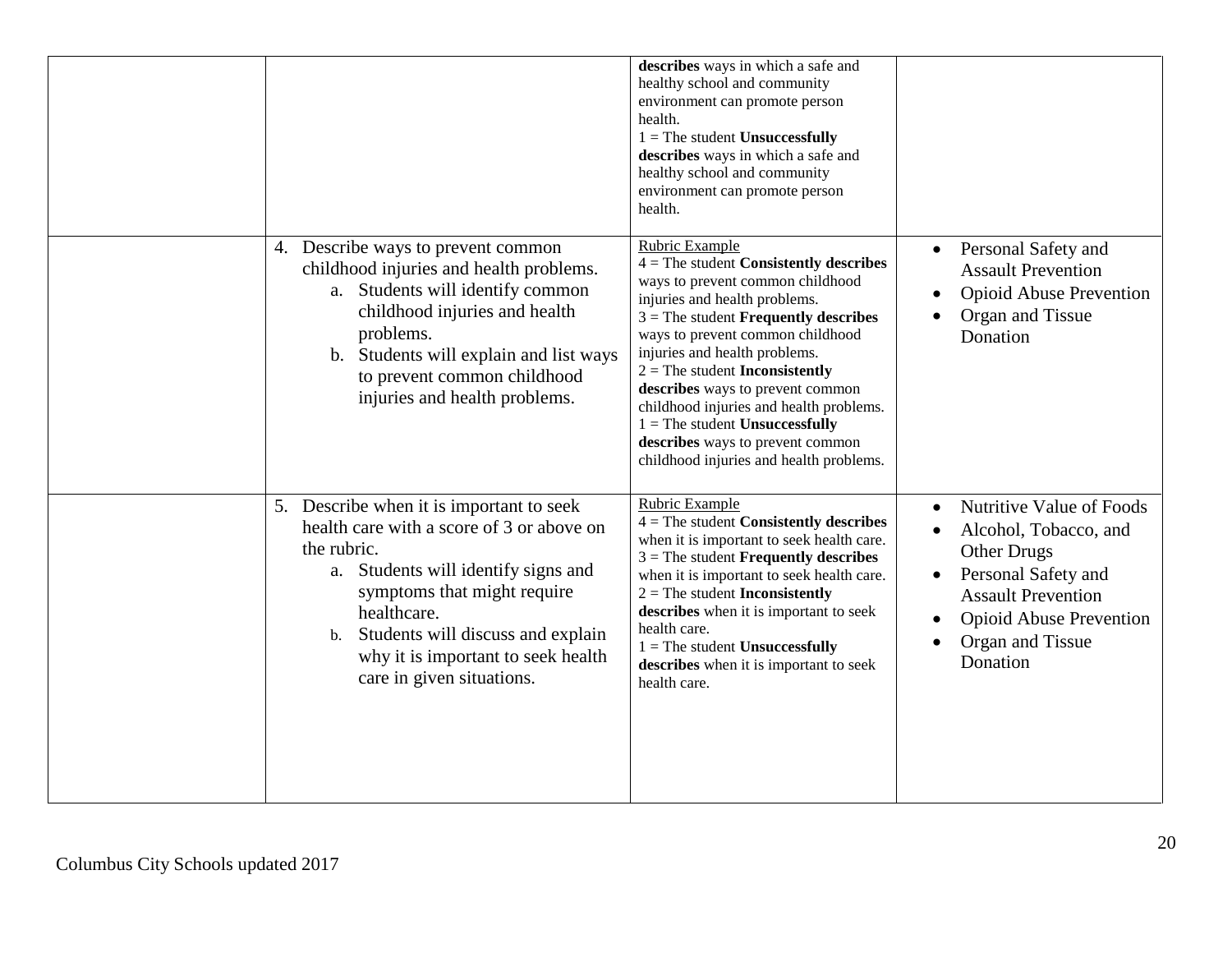|                                                                                                                                                                                                                                                                                                                       | describes ways in which a safe and<br>healthy school and community<br>environment can promote person<br>health.<br>$1 =$ The student Unsuccessfully<br>describes ways in which a safe and<br>healthy school and community<br>environment can promote person<br>health.                                                                                                                                                                                                                             |                                                                                                                                                                                               |
|-----------------------------------------------------------------------------------------------------------------------------------------------------------------------------------------------------------------------------------------------------------------------------------------------------------------------|----------------------------------------------------------------------------------------------------------------------------------------------------------------------------------------------------------------------------------------------------------------------------------------------------------------------------------------------------------------------------------------------------------------------------------------------------------------------------------------------------|-----------------------------------------------------------------------------------------------------------------------------------------------------------------------------------------------|
| 4. Describe ways to prevent common<br>childhood injuries and health problems.<br>a. Students will identify common<br>childhood injuries and health<br>problems.<br>b. Students will explain and list ways<br>to prevent common childhood<br>injuries and health problems.                                             | Rubric Example<br>$4 =$ The student Consistently describes<br>ways to prevent common childhood<br>injuries and health problems.<br>$3$ = The student <b>Frequently describes</b><br>ways to prevent common childhood<br>injuries and health problems.<br>$2 =$ The student <b>Inconsistently</b><br>describes ways to prevent common<br>childhood injuries and health problems.<br>$1 =$ The student Unsuccessfully<br>describes ways to prevent common<br>childhood injuries and health problems. | Personal Safety and<br>$\bullet$<br><b>Assault Prevention</b><br><b>Opioid Abuse Prevention</b><br>Organ and Tissue<br>Donation                                                               |
| 5. Describe when it is important to seek<br>health care with a score of 3 or above on<br>the rubric.<br>Students will identify signs and<br>a.<br>symptoms that might require<br>healthcare.<br>Students will discuss and explain<br>$\mathbf b$ .<br>why it is important to seek health<br>care in given situations. | <b>Rubric Example</b><br>$4 =$ The student Consistently describes<br>when it is important to seek health care.<br>$3$ = The student <b>Frequently describes</b><br>when it is important to seek health care.<br>$2 =$ The student Inconsistently<br>describes when it is important to seek<br>health care.<br>$1 =$ The student Unsuccessfully<br>describes when it is important to seek<br>health care.                                                                                           | Nutritive Value of Foods<br>Alcohol, Tobacco, and<br><b>Other Drugs</b><br>Personal Safety and<br><b>Assault Prevention</b><br><b>Opioid Abuse Prevention</b><br>Organ and Tissue<br>Donation |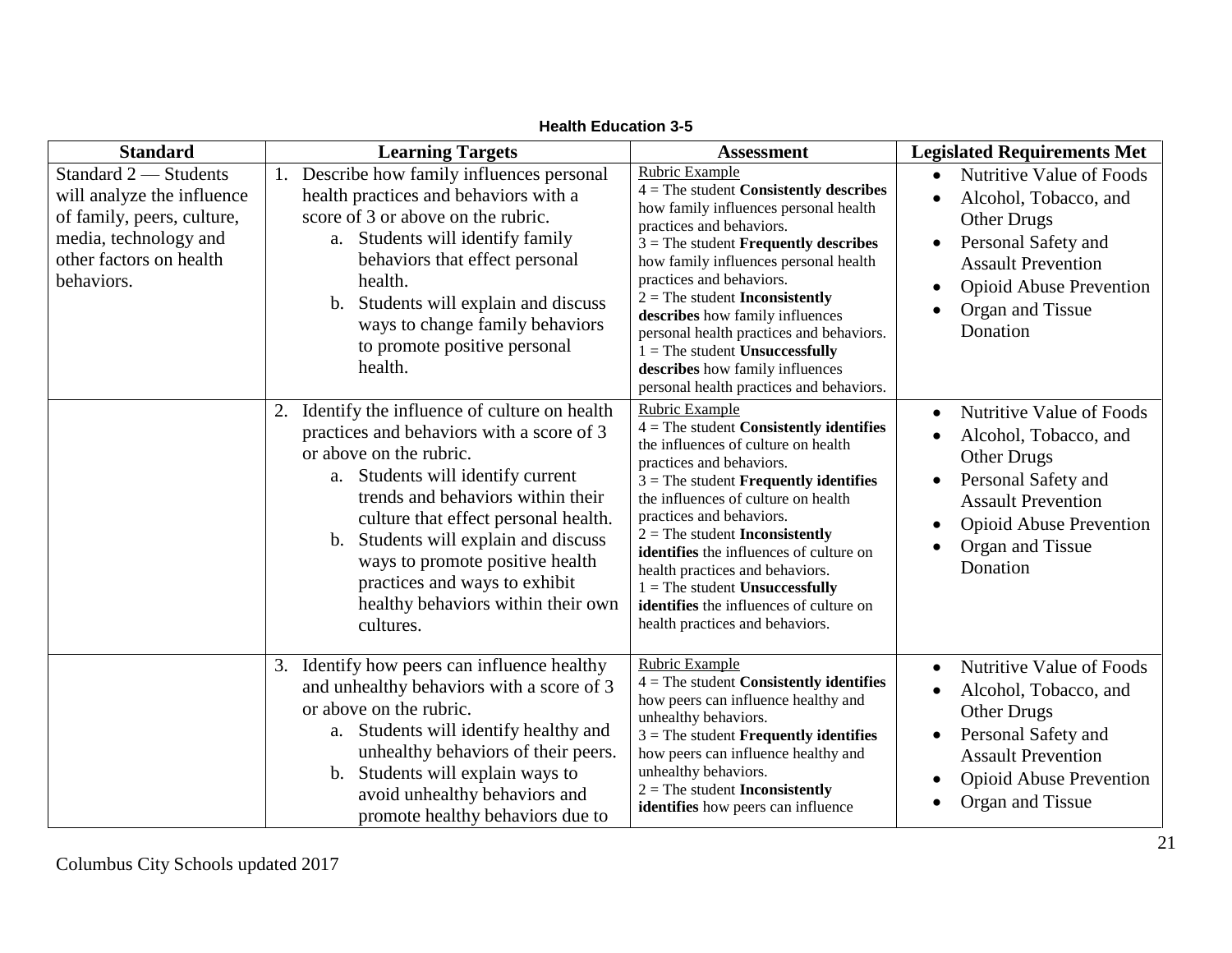| <b>Standard</b>                                                                                                                                     | <b>Learning Targets</b>                                                                                                                                                                                                                                                                                                                                                                                             | <b>Assessment</b>                                                                                                                                                                                                                                                                                                                                                                                                                                                                              | <b>Legislated Requirements Met</b>                                                                                                                                                                         |
|-----------------------------------------------------------------------------------------------------------------------------------------------------|---------------------------------------------------------------------------------------------------------------------------------------------------------------------------------------------------------------------------------------------------------------------------------------------------------------------------------------------------------------------------------------------------------------------|------------------------------------------------------------------------------------------------------------------------------------------------------------------------------------------------------------------------------------------------------------------------------------------------------------------------------------------------------------------------------------------------------------------------------------------------------------------------------------------------|------------------------------------------------------------------------------------------------------------------------------------------------------------------------------------------------------------|
| Standard 2 - Students<br>will analyze the influence<br>of family, peers, culture,<br>media, technology and<br>other factors on health<br>behaviors. | Describe how family influences personal<br>health practices and behaviors with a<br>score of 3 or above on the rubric.<br>a. Students will identify family<br>behaviors that effect personal<br>health.<br>Students will explain and discuss<br>$\mathbf{b}$ .<br>ways to change family behaviors<br>to promote positive personal<br>health.                                                                        | Rubric Example<br>$4 =$ The student Consistently describes<br>how family influences personal health<br>practices and behaviors.<br>$3$ = The student <b>Frequently describes</b><br>how family influences personal health<br>practices and behaviors.<br>$2 =$ The student Inconsistently<br>describes how family influences<br>personal health practices and behaviors.<br>$1 =$ The student Unsuccessfully<br>describes how family influences<br>personal health practices and behaviors.    | Nutritive Value of Foods<br>Alcohol, Tobacco, and<br><b>Other Drugs</b><br>Personal Safety and<br><b>Assault Prevention</b><br><b>Opioid Abuse Prevention</b><br>Organ and Tissue<br>Donation              |
|                                                                                                                                                     | Identify the influence of culture on health<br>practices and behaviors with a score of 3<br>or above on the rubric.<br>a. Students will identify current<br>trends and behaviors within their<br>culture that effect personal health.<br>Students will explain and discuss<br>$\mathbf{b}$ .<br>ways to promote positive health<br>practices and ways to exhibit<br>healthy behaviors within their own<br>cultures. | Rubric Example<br>$4 =$ The student Consistently identifies<br>the influences of culture on health<br>practices and behaviors.<br>$3$ = The student <b>Frequently identifies</b><br>the influences of culture on health<br>practices and behaviors.<br>$2 =$ The student <b>Inconsistently</b><br>identifies the influences of culture on<br>health practices and behaviors.<br>$1 =$ The student Unsuccessfully<br>identifies the influences of culture on<br>health practices and behaviors. | Nutritive Value of Foods<br>$\bullet$<br>Alcohol, Tobacco, and<br><b>Other Drugs</b><br>Personal Safety and<br><b>Assault Prevention</b><br><b>Opioid Abuse Prevention</b><br>Organ and Tissue<br>Donation |
|                                                                                                                                                     | Identify how peers can influence healthy<br>3.<br>and unhealthy behaviors with a score of 3<br>or above on the rubric.<br>a. Students will identify healthy and<br>unhealthy behaviors of their peers.<br>Students will explain ways to<br>$\mathbf{b}$ .<br>avoid unhealthy behaviors and<br>promote healthy behaviors due to                                                                                      | <b>Rubric Example</b><br>$4 =$ The student Consistently identifies<br>how peers can influence healthy and<br>unhealthy behaviors.<br>$3$ = The student <b>Frequently identifies</b><br>how peers can influence healthy and<br>unhealthy behaviors.<br>$2 =$ The student Inconsistently<br>identifies how peers can influence                                                                                                                                                                   | <b>Nutritive Value of Foods</b><br>$\bullet$<br>Alcohol, Tobacco, and<br><b>Other Drugs</b><br>Personal Safety and<br><b>Assault Prevention</b><br><b>Opioid Abuse Prevention</b><br>Organ and Tissue      |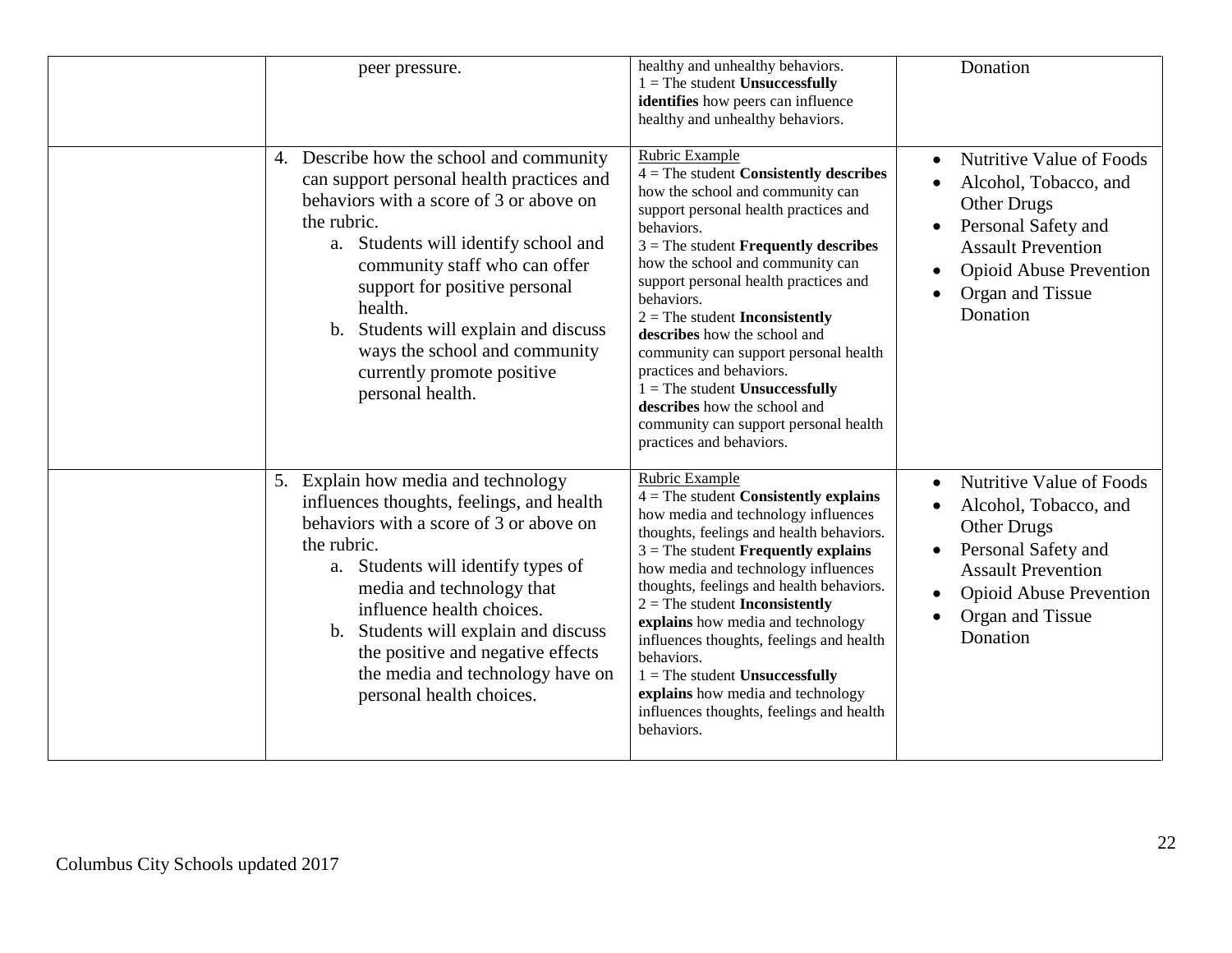| peer pressure.                                                                                                                                                                                                                                                                                                                                                                                        | healthy and unhealthy behaviors.<br>$1 =$ The student <b>Unsuccessfully</b><br>identifies how peers can influence<br>healthy and unhealthy behaviors.                                                                                                                                                                                                                                                                                                                                                                                                                                      | Donation                                                                                                                                                                                                                |
|-------------------------------------------------------------------------------------------------------------------------------------------------------------------------------------------------------------------------------------------------------------------------------------------------------------------------------------------------------------------------------------------------------|--------------------------------------------------------------------------------------------------------------------------------------------------------------------------------------------------------------------------------------------------------------------------------------------------------------------------------------------------------------------------------------------------------------------------------------------------------------------------------------------------------------------------------------------------------------------------------------------|-------------------------------------------------------------------------------------------------------------------------------------------------------------------------------------------------------------------------|
| Describe how the school and community<br>4.<br>can support personal health practices and<br>behaviors with a score of 3 or above on<br>the rubric.<br>Students will identify school and<br>a.<br>community staff who can offer<br>support for positive personal<br>health.<br>b. Students will explain and discuss<br>ways the school and community<br>currently promote positive<br>personal health. | Rubric Example<br>$4 =$ The student Consistently describes<br>how the school and community can<br>support personal health practices and<br>behaviors.<br>$3$ = The student <b>Frequently describes</b><br>how the school and community can<br>support personal health practices and<br>behaviors.<br>$2 =$ The student <b>Inconsistently</b><br>describes how the school and<br>community can support personal health<br>practices and behaviors.<br>$1 =$ The student Unsuccessfully<br>describes how the school and<br>community can support personal health<br>practices and behaviors. | Nutritive Value of Foods<br>$\bullet$<br>Alcohol, Tobacco, and<br><b>Other Drugs</b><br>Personal Safety and<br>$\bullet$<br><b>Assault Prevention</b><br><b>Opioid Abuse Prevention</b><br>Organ and Tissue<br>Donation |
| 5. Explain how media and technology<br>influences thoughts, feelings, and health<br>behaviors with a score of 3 or above on<br>the rubric.<br>Students will identify types of<br>a.<br>media and technology that<br>influence health choices.<br>b. Students will explain and discuss<br>the positive and negative effects<br>the media and technology have on<br>personal health choices.            | Rubric Example<br>$4 =$ The student Consistently explains<br>how media and technology influences<br>thoughts, feelings and health behaviors.<br>$3$ = The student <b>Frequently explains</b><br>how media and technology influences<br>thoughts, feelings and health behaviors.<br>$2 =$ The student <b>Inconsistently</b><br>explains how media and technology<br>influences thoughts, feelings and health<br>behaviors.<br>$1 =$ The student Unsuccessfully<br>explains how media and technology<br>influences thoughts, feelings and health<br>behaviors.                               | Nutritive Value of Foods<br>$\bullet$<br>Alcohol, Tobacco, and<br><b>Other Drugs</b><br>Personal Safety and<br>$\bullet$<br><b>Assault Prevention</b><br><b>Opioid Abuse Prevention</b><br>Organ and Tissue<br>Donation |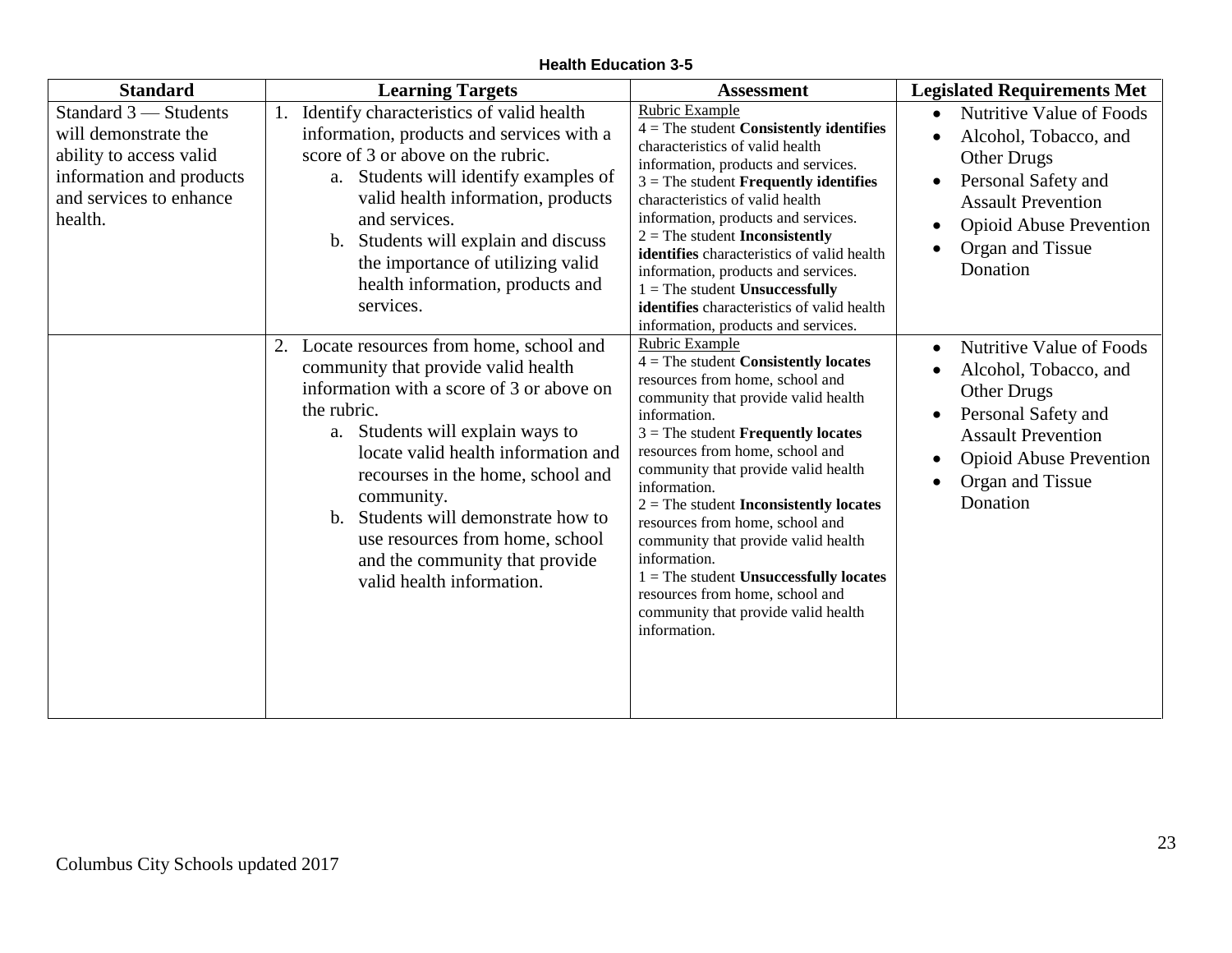| <b>Standard</b>                                                                                                                            | <b>Learning Targets</b>                                                                                                                                                                                                                                                                                                                                                                                             | <b>Assessment</b>                                                                                                                                                                                                                                                                                                                                                                                                                                                                                                                                                              | <b>Legislated Requirements Met</b>                                                                                                                                                                                                                             |
|--------------------------------------------------------------------------------------------------------------------------------------------|---------------------------------------------------------------------------------------------------------------------------------------------------------------------------------------------------------------------------------------------------------------------------------------------------------------------------------------------------------------------------------------------------------------------|--------------------------------------------------------------------------------------------------------------------------------------------------------------------------------------------------------------------------------------------------------------------------------------------------------------------------------------------------------------------------------------------------------------------------------------------------------------------------------------------------------------------------------------------------------------------------------|----------------------------------------------------------------------------------------------------------------------------------------------------------------------------------------------------------------------------------------------------------------|
| Standard 3 - Students<br>will demonstrate the<br>ability to access valid<br>information and products<br>and services to enhance<br>health. | Identify characteristics of valid health<br>information, products and services with a<br>score of 3 or above on the rubric.<br>a. Students will identify examples of<br>valid health information, products<br>and services.<br>b. Students will explain and discuss<br>the importance of utilizing valid<br>health information, products and<br>services.                                                           | Rubric Example<br>$4$ = The student <b>Consistently identifies</b><br>characteristics of valid health<br>information, products and services.<br>$3$ = The student <b>Frequently identifies</b><br>characteristics of valid health<br>information, products and services.<br>$2 =$ The student <b>Inconsistently</b><br>identifies characteristics of valid health<br>information, products and services.<br>$1 =$ The student Unsuccessfully<br>identifies characteristics of valid health<br>information, products and services.                                              | Nutritive Value of Foods<br>$\bullet$<br>Alcohol, Tobacco, and<br>$\bullet$<br><b>Other Drugs</b><br>Personal Safety and<br>$\bullet$<br><b>Assault Prevention</b><br><b>Opioid Abuse Prevention</b><br>$\bullet$<br>Organ and Tissue<br>Donation              |
|                                                                                                                                            | 2. Locate resources from home, school and<br>community that provide valid health<br>information with a score of 3 or above on<br>the rubric.<br>a. Students will explain ways to<br>locate valid health information and<br>recourses in the home, school and<br>community.<br>b. Students will demonstrate how to<br>use resources from home, school<br>and the community that provide<br>valid health information. | Rubric Example<br>$4 =$ The student Consistently locates<br>resources from home, school and<br>community that provide valid health<br>information.<br>$3$ = The student <b>Frequently locates</b><br>resources from home, school and<br>community that provide valid health<br>information.<br>$2 =$ The student <b>Inconsistently locates</b><br>resources from home, school and<br>community that provide valid health<br>information.<br>$1 =$ The student Unsuccessfully locates<br>resources from home, school and<br>community that provide valid health<br>information. | <b>Nutritive Value of Foods</b><br>$\bullet$<br>Alcohol, Tobacco, and<br>$\bullet$<br>Other Drugs<br>Personal Safety and<br>$\bullet$<br><b>Assault Prevention</b><br><b>Opioid Abuse Prevention</b><br>$\bullet$<br>Organ and Tissue<br>$\bullet$<br>Donation |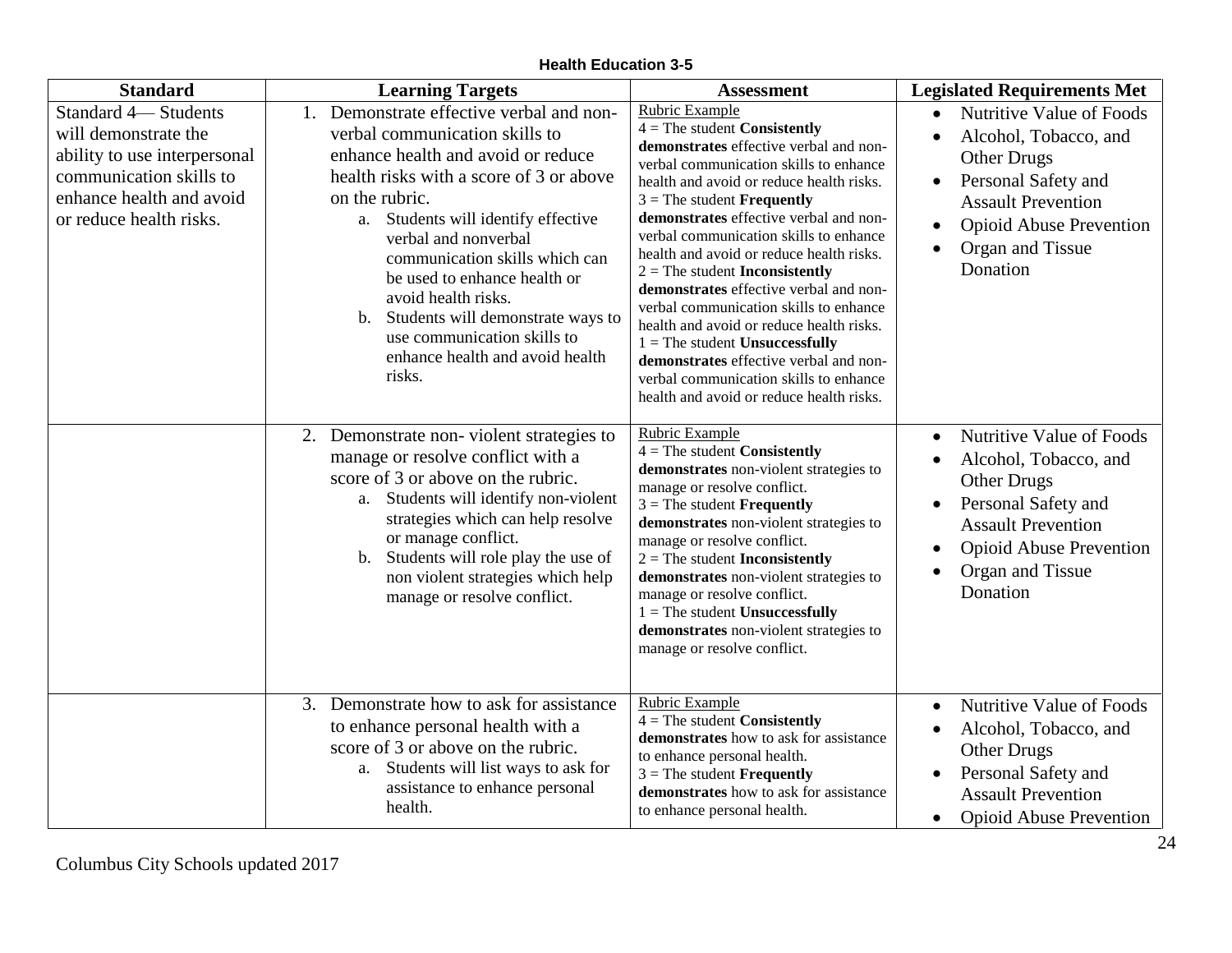**Health Education 3-5**

| <b>Standard</b>                                                                                                                                               | <b>Learning Targets</b>                                                                                                                                                                                                                                                                                                                                                                                                                                         | <b>Assessment</b>                                                                                                                                                                                                                                                                                                                                                                                                                                                                                                                                                                                                                                                                                      | <b>Legislated Requirements Met</b>                                                                                                                                                                                                                |
|---------------------------------------------------------------------------------------------------------------------------------------------------------------|-----------------------------------------------------------------------------------------------------------------------------------------------------------------------------------------------------------------------------------------------------------------------------------------------------------------------------------------------------------------------------------------------------------------------------------------------------------------|--------------------------------------------------------------------------------------------------------------------------------------------------------------------------------------------------------------------------------------------------------------------------------------------------------------------------------------------------------------------------------------------------------------------------------------------------------------------------------------------------------------------------------------------------------------------------------------------------------------------------------------------------------------------------------------------------------|---------------------------------------------------------------------------------------------------------------------------------------------------------------------------------------------------------------------------------------------------|
| Standard 4-Students<br>will demonstrate the<br>ability to use interpersonal<br>communication skills to<br>enhance health and avoid<br>or reduce health risks. | 1. Demonstrate effective verbal and non-<br>verbal communication skills to<br>enhance health and avoid or reduce<br>health risks with a score of 3 or above<br>on the rubric.<br>Students will identify effective<br>a.<br>verbal and nonverbal<br>communication skills which can<br>be used to enhance health or<br>avoid health risks.<br>Students will demonstrate ways to<br>b.<br>use communication skills to<br>enhance health and avoid health<br>risks. | Rubric Example<br>$4 =$ The student Consistently<br>demonstrates effective verbal and non-<br>verbal communication skills to enhance<br>health and avoid or reduce health risks.<br>$3$ = The student <b>Frequently</b><br>demonstrates effective verbal and non-<br>verbal communication skills to enhance<br>health and avoid or reduce health risks.<br>$2 =$ The student <b>Inconsistently</b><br>demonstrates effective verbal and non-<br>verbal communication skills to enhance<br>health and avoid or reduce health risks.<br>$1 =$ The student Unsuccessfully<br>demonstrates effective verbal and non-<br>verbal communication skills to enhance<br>health and avoid or reduce health risks. | Nutritive Value of Foods<br>$\bullet$<br>Alcohol, Tobacco, and<br>$\bullet$<br><b>Other Drugs</b><br>Personal Safety and<br>$\bullet$<br><b>Assault Prevention</b><br><b>Opioid Abuse Prevention</b><br>$\bullet$<br>Organ and Tissue<br>Donation |
|                                                                                                                                                               | 2. Demonstrate non-violent strategies to<br>manage or resolve conflict with a<br>score of 3 or above on the rubric.<br>Students will identify non-violent<br>a.<br>strategies which can help resolve<br>or manage conflict.<br>Students will role play the use of<br>$\mathbf{b}$ .<br>non violent strategies which help<br>manage or resolve conflict.                                                                                                         | Rubric Example<br>$4 =$ The student Consistently<br>demonstrates non-violent strategies to<br>manage or resolve conflict.<br>$3$ = The student <b>Frequently</b><br>demonstrates non-violent strategies to<br>manage or resolve conflict.<br>$2 =$ The student <b>Inconsistently</b><br>demonstrates non-violent strategies to<br>manage or resolve conflict.<br>$1 =$ The student Unsuccessfully<br>demonstrates non-violent strategies to<br>manage or resolve conflict.                                                                                                                                                                                                                             | Nutritive Value of Foods<br>$\bullet$<br>Alcohol, Tobacco, and<br>$\bullet$<br><b>Other Drugs</b><br>Personal Safety and<br>$\bullet$<br><b>Assault Prevention</b><br><b>Opioid Abuse Prevention</b><br>$\bullet$<br>Organ and Tissue<br>Donation |
|                                                                                                                                                               | 3. Demonstrate how to ask for assistance<br>to enhance personal health with a<br>score of 3 or above on the rubric.<br>a. Students will list ways to ask for<br>assistance to enhance personal<br>health.                                                                                                                                                                                                                                                       | Rubric Example<br>$4 =$ The student Consistently<br>demonstrates how to ask for assistance<br>to enhance personal health.<br>$3$ = The student <b>Frequently</b><br>demonstrates how to ask for assistance<br>to enhance personal health.                                                                                                                                                                                                                                                                                                                                                                                                                                                              | Nutritive Value of Foods<br>$\bullet$<br>Alcohol, Tobacco, and<br>$\bullet$<br><b>Other Drugs</b><br>Personal Safety and<br>$\bullet$<br><b>Assault Prevention</b><br><b>Opioid Abuse Prevention</b><br>$\bullet$                                 |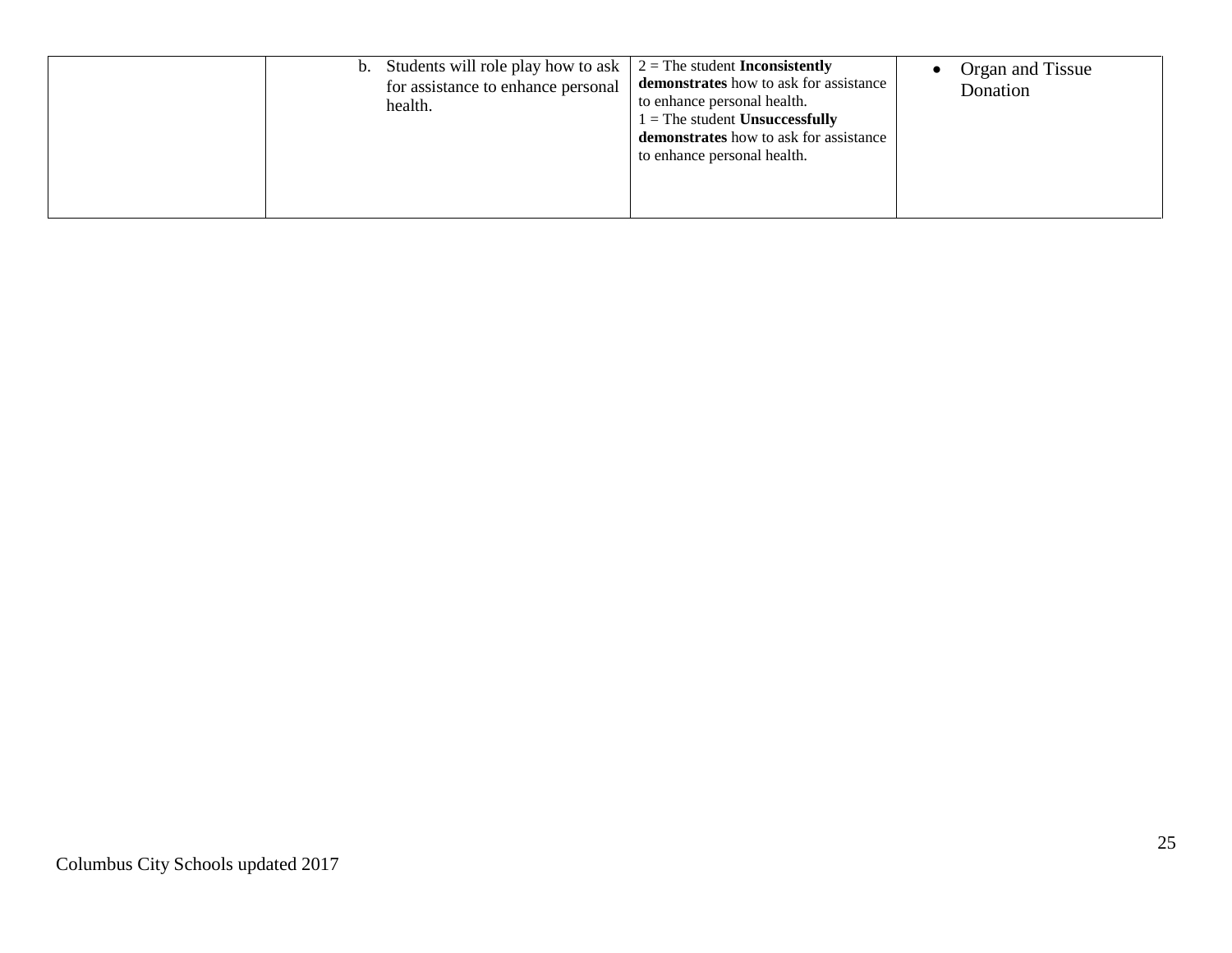| b. Students will role play how to ask<br>for assistance to enhance personal<br>health. | $2 =$ The student <b>Inconsistently</b><br>demonstrates how to ask for assistance<br>to enhance personal health.<br>$1 =$ The student Unsuccessfully<br>demonstrates how to ask for assistance<br>to enhance personal health. | Organ and Tissue<br>Donation |
|----------------------------------------------------------------------------------------|-------------------------------------------------------------------------------------------------------------------------------------------------------------------------------------------------------------------------------|------------------------------|
|----------------------------------------------------------------------------------------|-------------------------------------------------------------------------------------------------------------------------------------------------------------------------------------------------------------------------------|------------------------------|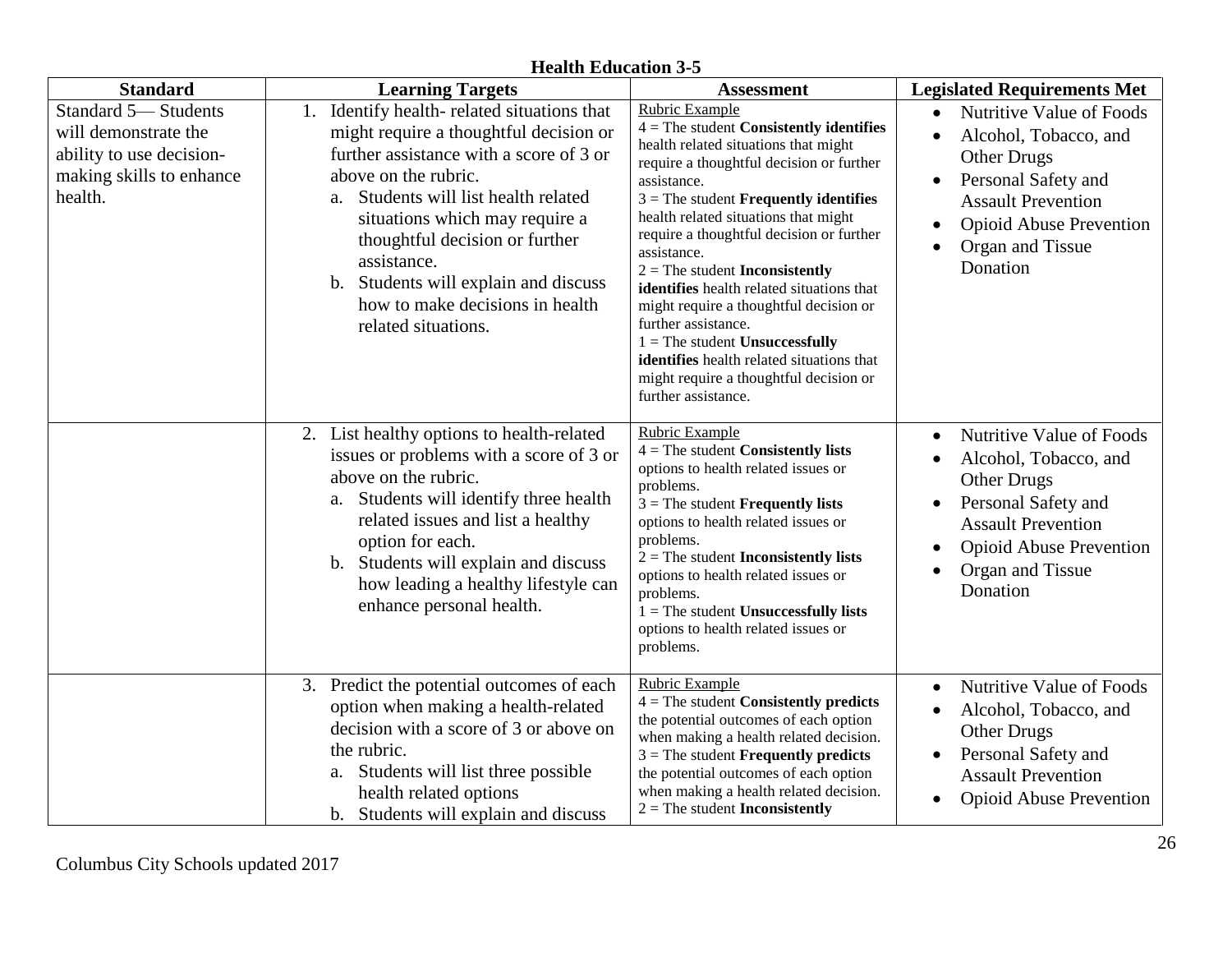#### **Standard Learning Targets Assessment Legislated Requirements Met** Standard 5— Students will demonstrate the ability to use decisionmaking skills to enhance health. 1. Identify health- related situations that might require a thoughtful decision or further assistance with a score of 3 or above on the rubric. a. Students will list health related situations which may require a thoughtful decision or further assistance. b. Students will explain and discuss how to make decisions in health related situations. Rubric Example 4 = The student **Consistently identifies** health related situations that might require a thoughtful decision or further assistance. 3 = The student **Frequently identifies** health related situations that might require a thoughtful decision or further assistance. 2 = The student **Inconsistently identifies** health related situations that might require a thoughtful decision or further assistance. 1 = The student **Unsuccessfully identifies** health related situations that might require a thoughtful decision or further assistance. Nutritive Value of Foods Alcohol, Tobacco, and Other Drugs • Personal Safety and Assault Prevention Opioid Abuse Prevention Organ and Tissue **Donation** 2. List healthy options to health-related issues or problems with a score of 3 or above on the rubric. a. Students will identify three health related issues and list a healthy option for each. b. Students will explain and discuss how leading a healthy lifestyle can enhance personal health. Rubric Example 4 = The student **Consistently lists**  options to health related issues or problems. 3 = The student **Frequently lists** options to health related issues or problems. 2 = The student **Inconsistently lists**  options to health related issues or problems. 1 = The student **Unsuccessfully lists** options to health related issues or problems. Nutritive Value of Foods Alcohol, Tobacco, and Other Drugs • Personal Safety and Assault Prevention Opioid Abuse Prevention Organ and Tissue Donation 3. Predict the potential outcomes of each option when making a health-related decision with a score of 3 or above on the rubric. a. Students will list three possible health related options b. Students will explain and discuss Rubric Example 4 = The student **Consistently predicts**  the potential outcomes of each option when making a health related decision. 3 = The student **Frequently predicts** the potential outcomes of each option when making a health related decision. 2 = The student **Inconsistently** Nutritive Value of Foods Alcohol, Tobacco, and Other Drugs • Personal Safety and Assault Prevention • Opioid Abuse Prevention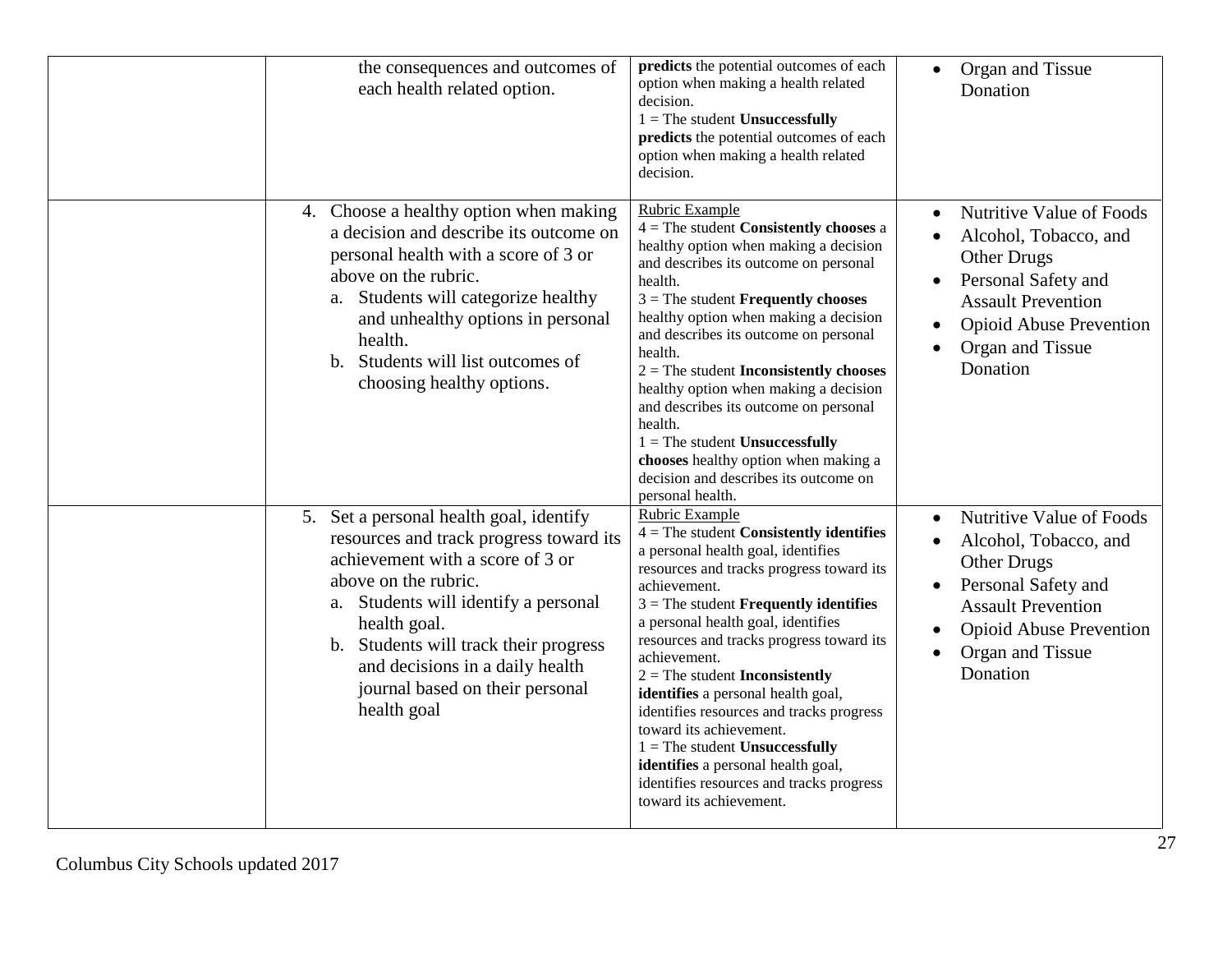| the consequences and outcomes of<br>each health related option.                                                                                                                                                                                                                                                                      | predicts the potential outcomes of each<br>option when making a health related<br>decision.<br>$1 =$ The student Unsuccessfully<br>predicts the potential outcomes of each<br>option when making a health related<br>decision.                                                                                                                                                                                                                                                                                                                                                                                             | Organ and Tissue<br>$\bullet$<br>Donation                                                                                                                                                                                                  |
|--------------------------------------------------------------------------------------------------------------------------------------------------------------------------------------------------------------------------------------------------------------------------------------------------------------------------------------|----------------------------------------------------------------------------------------------------------------------------------------------------------------------------------------------------------------------------------------------------------------------------------------------------------------------------------------------------------------------------------------------------------------------------------------------------------------------------------------------------------------------------------------------------------------------------------------------------------------------------|--------------------------------------------------------------------------------------------------------------------------------------------------------------------------------------------------------------------------------------------|
| 4. Choose a healthy option when making<br>a decision and describe its outcome on<br>personal health with a score of 3 or<br>above on the rubric.<br>a. Students will categorize healthy<br>and unhealthy options in personal<br>health.<br>b. Students will list outcomes of<br>choosing healthy options.                            | Rubric Example<br>$4 =$ The student <b>Consistently chooses</b> a<br>healthy option when making a decision<br>and describes its outcome on personal<br>health.<br>$3$ = The student <b>Frequently chooses</b><br>healthy option when making a decision<br>and describes its outcome on personal<br>health.<br>$2 =$ The student <b>Inconsistently chooses</b><br>healthy option when making a decision<br>and describes its outcome on personal<br>health.<br>$1 =$ The student Unsuccessfully<br>chooses healthy option when making a<br>decision and describes its outcome on<br>personal health.                        | Nutritive Value of Foods<br>$\bullet$<br>Alcohol, Tobacco, and<br>$\bullet$<br>Other Drugs<br>Personal Safety and<br>$\bullet$<br><b>Assault Prevention</b><br><b>Opioid Abuse Prevention</b><br>$\bullet$<br>Organ and Tissue<br>Donation |
| 5. Set a personal health goal, identify<br>resources and track progress toward its<br>achievement with a score of 3 or<br>above on the rubric.<br>a. Students will identify a personal<br>health goal.<br>b. Students will track their progress<br>and decisions in a daily health<br>journal based on their personal<br>health goal | Rubric Example<br>$4 =$ The student Consistently identifies<br>a personal health goal, identifies<br>resources and tracks progress toward its<br>achievement.<br>$3$ = The student <b>Frequently identifies</b><br>a personal health goal, identifies<br>resources and tracks progress toward its<br>achievement.<br>$2 =$ The student <b>Inconsistently</b><br>identifies a personal health goal,<br>identifies resources and tracks progress<br>toward its achievement.<br>$1 =$ The student Unsuccessfully<br>identifies a personal health goal,<br>identifies resources and tracks progress<br>toward its achievement. | Nutritive Value of Foods<br>$\bullet$<br>Alcohol, Tobacco, and<br><b>Other Drugs</b><br>Personal Safety and<br>$\bullet$<br><b>Assault Prevention</b><br><b>Opioid Abuse Prevention</b><br>Organ and Tissue<br>Donation                    |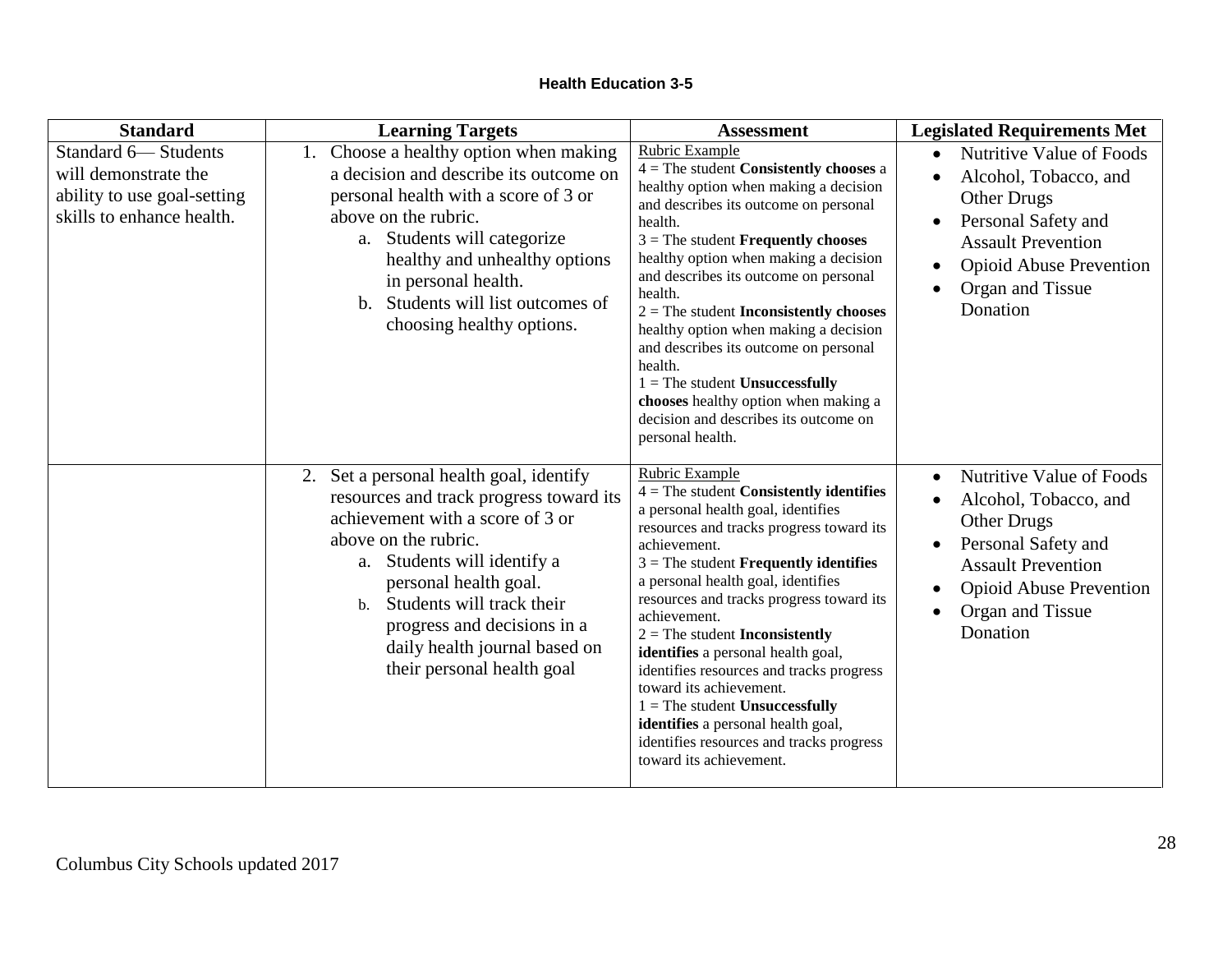| <b>Standard</b>                                                                                         | <b>Learning Targets</b>                                                                                                                                                                                                                                                                                                                          | <b>Assessment</b>                                                                                                                                                                                                                                                                                                                                                                                                                                                                                                                                                                                                   | <b>Legislated Requirements Met</b>                                                                                                                                                                                                                |
|---------------------------------------------------------------------------------------------------------|--------------------------------------------------------------------------------------------------------------------------------------------------------------------------------------------------------------------------------------------------------------------------------------------------------------------------------------------------|---------------------------------------------------------------------------------------------------------------------------------------------------------------------------------------------------------------------------------------------------------------------------------------------------------------------------------------------------------------------------------------------------------------------------------------------------------------------------------------------------------------------------------------------------------------------------------------------------------------------|---------------------------------------------------------------------------------------------------------------------------------------------------------------------------------------------------------------------------------------------------|
| Standard 6-Students<br>will demonstrate the<br>ability to use goal-setting<br>skills to enhance health. | 1. Choose a healthy option when making<br>a decision and describe its outcome on<br>personal health with a score of 3 or<br>above on the rubric.<br>a. Students will categorize<br>healthy and unhealthy options<br>in personal health.<br>b. Students will list outcomes of<br>choosing healthy options.                                        | Rubric Example<br>$4 =$ The student Consistently chooses a<br>healthy option when making a decision<br>and describes its outcome on personal<br>health.<br>$3$ = The student <b>Frequently chooses</b><br>healthy option when making a decision<br>and describes its outcome on personal<br>health.<br>$2 =$ The student <b>Inconsistently chooses</b><br>healthy option when making a decision<br>and describes its outcome on personal<br>health.<br>$1 =$ The student Unsuccessfully<br>chooses healthy option when making a<br>decision and describes its outcome on<br>personal health.                        | Nutritive Value of Foods<br>$\bullet$<br>Alcohol, Tobacco, and<br>$\bullet$<br><b>Other Drugs</b><br>Personal Safety and<br>$\bullet$<br><b>Assault Prevention</b><br><b>Opioid Abuse Prevention</b><br>$\bullet$<br>Organ and Tissue<br>Donation |
|                                                                                                         | 2. Set a personal health goal, identify<br>resources and track progress toward its<br>achievement with a score of 3 or<br>above on the rubric.<br>a. Students will identify a<br>personal health goal.<br>Students will track their<br>$h_{\cdot}$<br>progress and decisions in a<br>daily health journal based on<br>their personal health goal | Rubric Example<br>$4 =$ The student Consistently identifies<br>a personal health goal, identifies<br>resources and tracks progress toward its<br>achievement.<br>$3$ = The student <b>Frequently identifies</b><br>a personal health goal, identifies<br>resources and tracks progress toward its<br>achievement.<br>$2 =$ The student Inconsistently<br>identifies a personal health goal,<br>identifies resources and tracks progress<br>toward its achievement.<br>$1 =$ The student Unsuccessfully<br>identifies a personal health goal,<br>identifies resources and tracks progress<br>toward its achievement. | Nutritive Value of Foods<br>$\bullet$<br>Alcohol, Tobacco, and<br>$\bullet$<br><b>Other Drugs</b><br>Personal Safety and<br>$\bullet$<br><b>Assault Prevention</b><br><b>Opioid Abuse Prevention</b><br>Organ and Tissue<br>Donation              |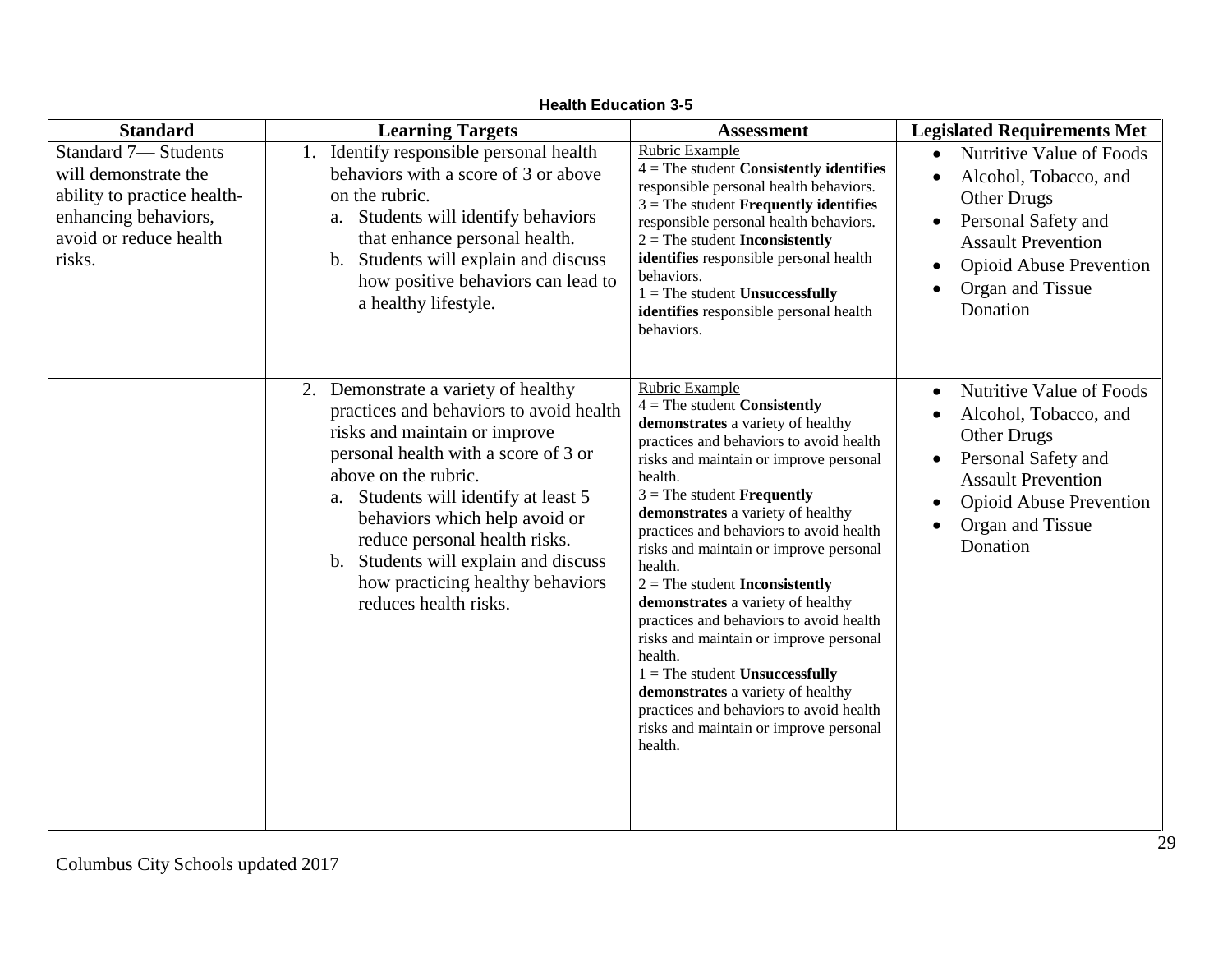| <b>Standard</b>                                                                                                                               | <b>Learning Targets</b>                                                                                                                                                                                                                                                                                                                                                                        | <b>Assessment</b>                                                                                                                                                                                                                                                                                                                                                                                                                                                                                                                                                                                                                                                                                                          | <b>Legislated Requirements Met</b>                                                                                                                                                                                                   |
|-----------------------------------------------------------------------------------------------------------------------------------------------|------------------------------------------------------------------------------------------------------------------------------------------------------------------------------------------------------------------------------------------------------------------------------------------------------------------------------------------------------------------------------------------------|----------------------------------------------------------------------------------------------------------------------------------------------------------------------------------------------------------------------------------------------------------------------------------------------------------------------------------------------------------------------------------------------------------------------------------------------------------------------------------------------------------------------------------------------------------------------------------------------------------------------------------------------------------------------------------------------------------------------------|--------------------------------------------------------------------------------------------------------------------------------------------------------------------------------------------------------------------------------------|
| <b>Standard 7-Students</b><br>will demonstrate the<br>ability to practice health-<br>enhancing behaviors,<br>avoid or reduce health<br>risks. | 1. Identify responsible personal health<br>behaviors with a score of 3 or above<br>on the rubric.<br>Students will identify behaviors<br>a.<br>that enhance personal health.<br>b. Students will explain and discuss<br>how positive behaviors can lead to<br>a healthy lifestyle.                                                                                                             | <b>Rubric Example</b><br>$4 =$ The student Consistently identifies<br>responsible personal health behaviors.<br>$3$ = The student <b>Frequently identifies</b><br>responsible personal health behaviors.<br>$2 =$ The student <b>Inconsistently</b><br>identifies responsible personal health<br>behaviors.<br>$1 =$ The student Unsuccessfully<br>identifies responsible personal health<br>behaviors.                                                                                                                                                                                                                                                                                                                    | <b>Nutritive Value of Foods</b><br>$\bullet$<br>Alcohol, Tobacco, and<br>$\bullet$<br><b>Other Drugs</b><br>Personal Safety and<br><b>Assault Prevention</b><br><b>Opioid Abuse Prevention</b><br>Organ and Tissue<br>Donation       |
|                                                                                                                                               | 2. Demonstrate a variety of healthy<br>practices and behaviors to avoid health<br>risks and maintain or improve<br>personal health with a score of 3 or<br>above on the rubric.<br>a. Students will identify at least 5<br>behaviors which help avoid or<br>reduce personal health risks.<br>b. Students will explain and discuss<br>how practicing healthy behaviors<br>reduces health risks. | Rubric Example<br>$4 =$ The student <b>Consistently</b><br>demonstrates a variety of healthy<br>practices and behaviors to avoid health<br>risks and maintain or improve personal<br>health.<br>$3$ = The student <b>Frequently</b><br>demonstrates a variety of healthy<br>practices and behaviors to avoid health<br>risks and maintain or improve personal<br>health.<br>$2 =$ The student Inconsistently<br>demonstrates a variety of healthy<br>practices and behaviors to avoid health<br>risks and maintain or improve personal<br>health.<br>$1 =$ The student Unsuccessfully<br>demonstrates a variety of healthy<br>practices and behaviors to avoid health<br>risks and maintain or improve personal<br>health. | Nutritive Value of Foods<br>$\bullet$<br>Alcohol, Tobacco, and<br><b>Other Drugs</b><br>Personal Safety and<br>$\bullet$<br><b>Assault Prevention</b><br><b>Opioid Abuse Prevention</b><br>$\bullet$<br>Organ and Tissue<br>Donation |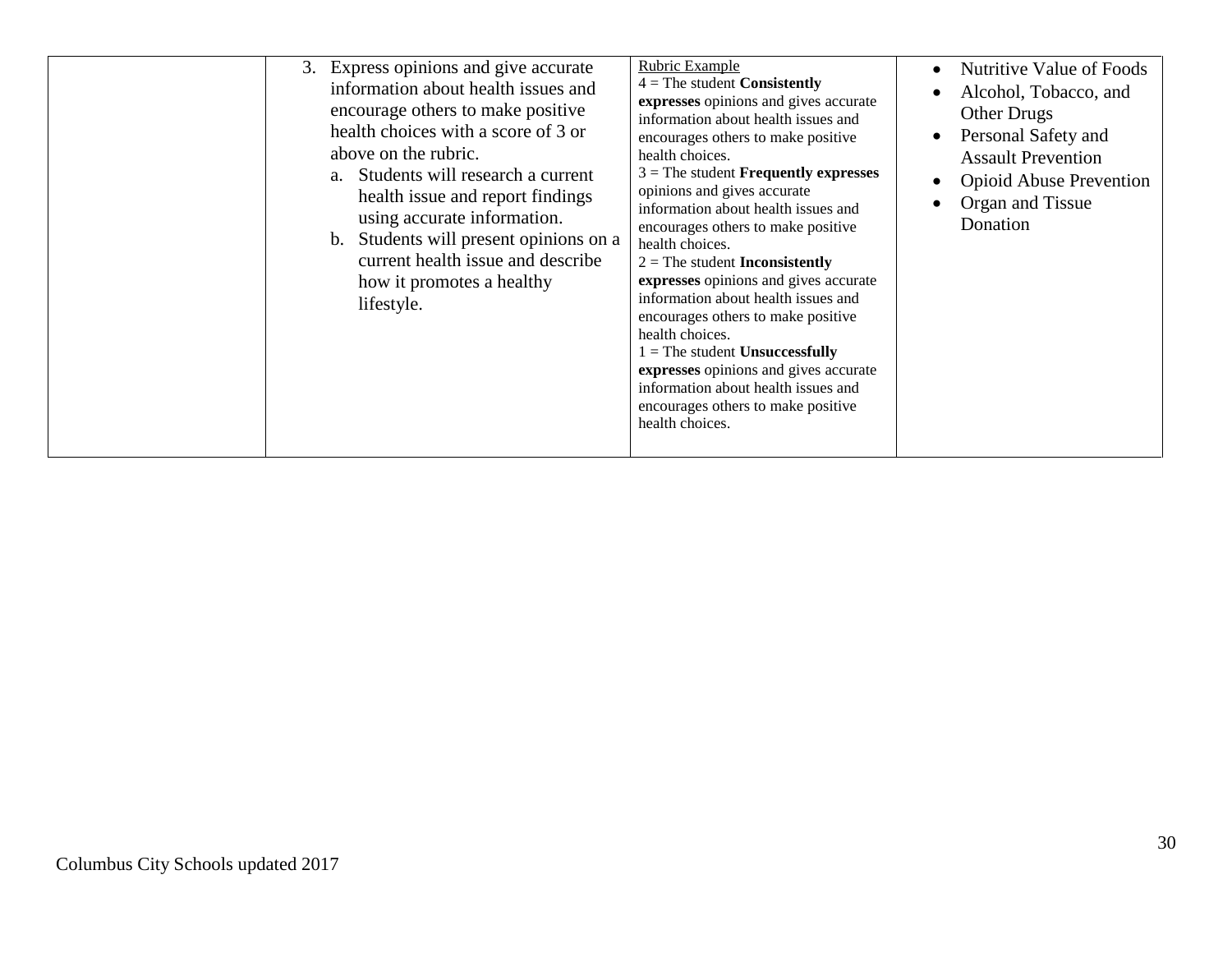|  | 3. Express opinions and give accurate<br>information about health issues and<br>encourage others to make positive<br>health choices with a score of 3 or<br>above on the rubric.<br>a. Students will research a current<br>health issue and report findings<br>using accurate information.<br>b. Students will present opinions on a<br>current health issue and describe<br>how it promotes a healthy<br>lifestyle. | Rubric Example<br>$4 =$ The student Consistently<br>expresses opinions and gives accurate<br>information about health issues and<br>encourages others to make positive<br>health choices.<br>$3$ = The student <b>Frequently expresses</b><br>opinions and gives accurate<br>information about health issues and<br>encourages others to make positive<br>health choices.<br>$2 =$ The student <b>Inconsistently</b><br>expresses opinions and gives accurate<br>information about health issues and<br>encourages others to make positive<br>health choices.<br>$1 =$ The student Unsuccessfully<br>expresses opinions and gives accurate<br>information about health issues and<br>encourages others to make positive<br>health choices. | <b>Nutritive Value of Foods</b><br>$\bullet$<br>Alcohol, Tobacco, and<br><b>Other Drugs</b><br>Personal Safety and<br>$\bullet$<br><b>Assault Prevention</b><br><b>Opioid Abuse Prevention</b><br>$\bullet$<br>Organ and Tissue<br>$\bullet$<br>Donation |
|--|----------------------------------------------------------------------------------------------------------------------------------------------------------------------------------------------------------------------------------------------------------------------------------------------------------------------------------------------------------------------------------------------------------------------|--------------------------------------------------------------------------------------------------------------------------------------------------------------------------------------------------------------------------------------------------------------------------------------------------------------------------------------------------------------------------------------------------------------------------------------------------------------------------------------------------------------------------------------------------------------------------------------------------------------------------------------------------------------------------------------------------------------------------------------------|----------------------------------------------------------------------------------------------------------------------------------------------------------------------------------------------------------------------------------------------------------|
|--|----------------------------------------------------------------------------------------------------------------------------------------------------------------------------------------------------------------------------------------------------------------------------------------------------------------------------------------------------------------------------------------------------------------------|--------------------------------------------------------------------------------------------------------------------------------------------------------------------------------------------------------------------------------------------------------------------------------------------------------------------------------------------------------------------------------------------------------------------------------------------------------------------------------------------------------------------------------------------------------------------------------------------------------------------------------------------------------------------------------------------------------------------------------------------|----------------------------------------------------------------------------------------------------------------------------------------------------------------------------------------------------------------------------------------------------------|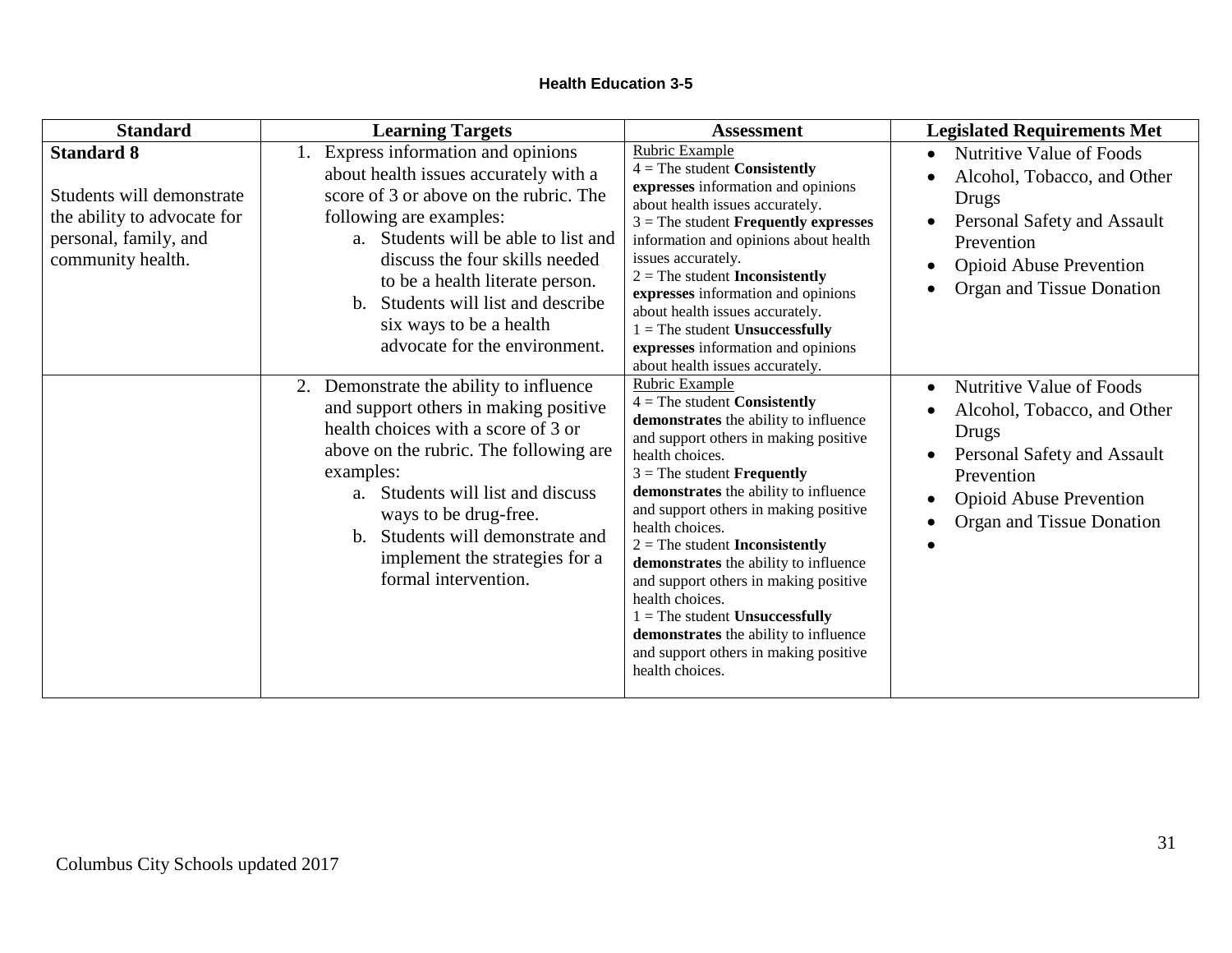| <b>Standard</b>                                                                                                             | <b>Learning Targets</b>                                                                                                                                                                                                                                                                                                                                                  | <b>Assessment</b>                                                                                                                                                                                                                                                                                                                                                                                                                                                                                                                                                                          | <b>Legislated Requirements Met</b>                                                                                                                                                        |
|-----------------------------------------------------------------------------------------------------------------------------|--------------------------------------------------------------------------------------------------------------------------------------------------------------------------------------------------------------------------------------------------------------------------------------------------------------------------------------------------------------------------|--------------------------------------------------------------------------------------------------------------------------------------------------------------------------------------------------------------------------------------------------------------------------------------------------------------------------------------------------------------------------------------------------------------------------------------------------------------------------------------------------------------------------------------------------------------------------------------------|-------------------------------------------------------------------------------------------------------------------------------------------------------------------------------------------|
| <b>Standard 8</b><br>Students will demonstrate<br>the ability to advocate for<br>personal, family, and<br>community health. | 1. Express information and opinions<br>about health issues accurately with a<br>score of 3 or above on the rubric. The<br>following are examples:<br>a. Students will be able to list and<br>discuss the four skills needed<br>to be a health literate person.<br>Students will list and describe<br>$h_{-}$<br>six ways to be a health<br>advocate for the environment. | Rubric Example<br>$4$ = The student <b>Consistently</b><br>expresses information and opinions<br>about health issues accurately.<br>$3$ = The student <b>Frequently expresses</b><br>information and opinions about health<br>issues accurately.<br>$2 =$ The student <b>Inconsistently</b><br>expresses information and opinions<br>about health issues accurately.<br>$1 =$ The student Unsuccessfully<br>expresses information and opinions<br>about health issues accurately.                                                                                                          | Nutritive Value of Foods<br>$\bullet$<br>Alcohol, Tobacco, and Other<br>Drugs<br>Personal Safety and Assault<br>Prevention<br><b>Opioid Abuse Prevention</b><br>Organ and Tissue Donation |
|                                                                                                                             | 2. Demonstrate the ability to influence<br>and support others in making positive<br>health choices with a score of 3 or<br>above on the rubric. The following are<br>examples:<br>a. Students will list and discuss<br>ways to be drug-free.<br>b. Students will demonstrate and<br>implement the strategies for a<br>formal intervention.                               | Rubric Example<br>$4 =$ The student Consistently<br>demonstrates the ability to influence<br>and support others in making positive<br>health choices.<br>$3$ = The student <b>Frequently</b><br>demonstrates the ability to influence<br>and support others in making positive<br>health choices.<br>$2 =$ The student <b>Inconsistently</b><br>demonstrates the ability to influence<br>and support others in making positive<br>health choices.<br>$1 =$ The student Unsuccessfully<br>demonstrates the ability to influence<br>and support others in making positive<br>health choices. | Nutritive Value of Foods<br>Alcohol, Tobacco, and Other<br>Drugs<br>Personal Safety and Assault<br>Prevention<br><b>Opioid Abuse Prevention</b><br>Organ and Tissue Donation<br>$\bullet$ |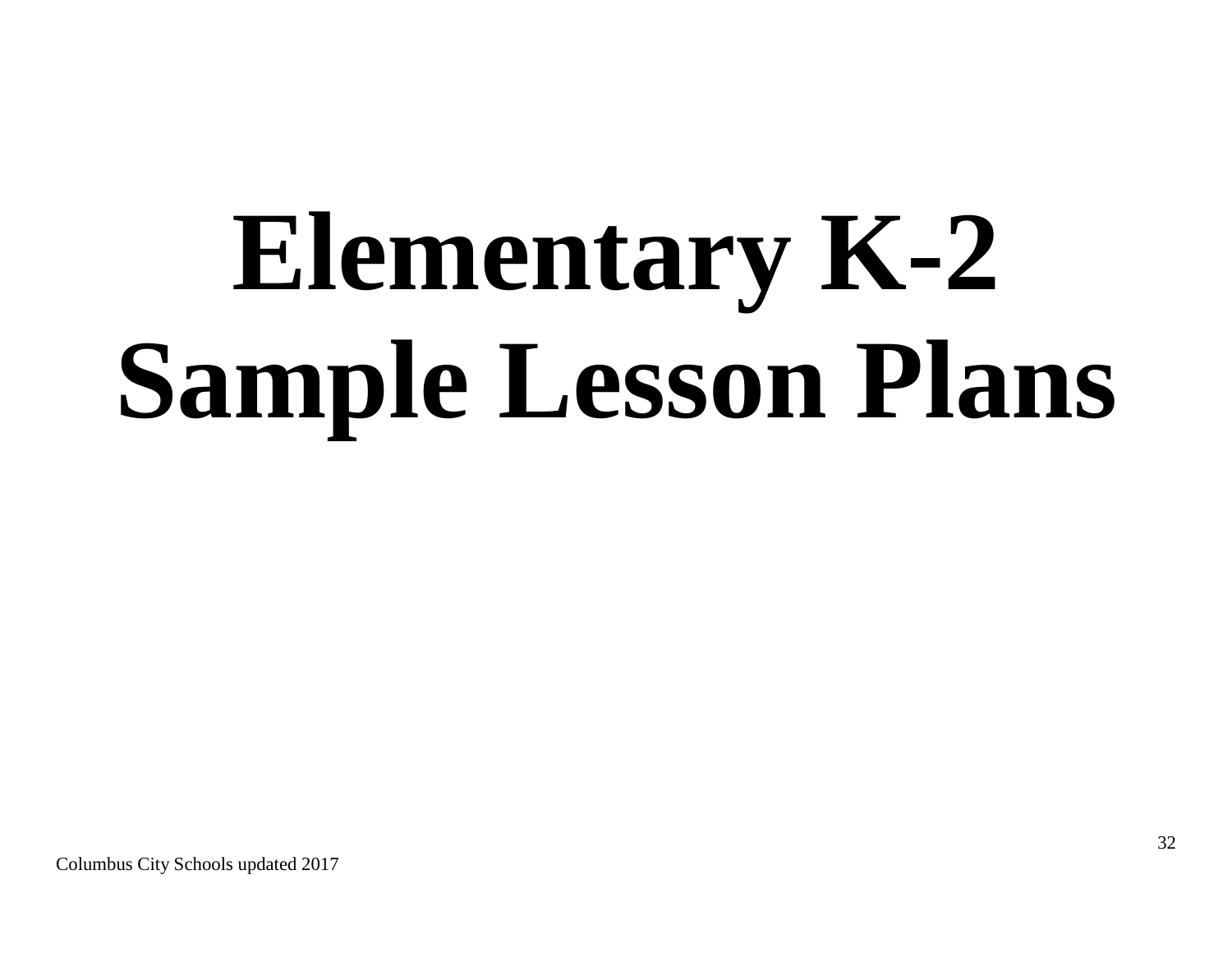# **Elementary K-2 Sample Lesson Plans**

Columbus City Schools updated 2017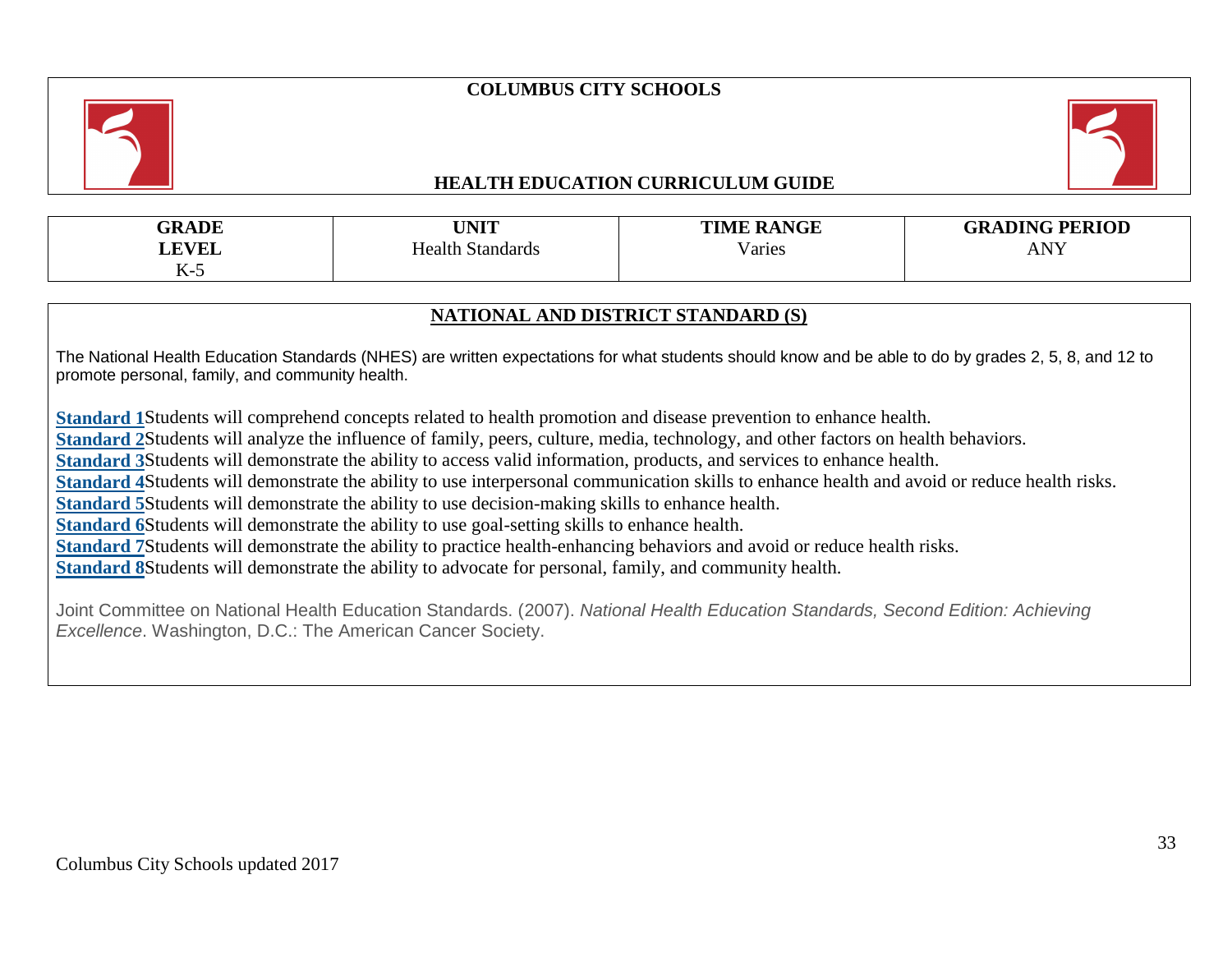# **COLUMBUS CITY SCHOOLS**



# **HEALTH EDUCATION CURRICULUM GUIDE**



| <b>GRADE</b><br><b>LEVEL</b> | <b>TINIT</b><br><b>JINLL</b><br>Health Standards | <b>TIME RANGE</b><br>$\mathbf{v}$<br>/aries | <b>GRADING PERIOD</b><br><b>NV</b><br>AIN I |
|------------------------------|--------------------------------------------------|---------------------------------------------|---------------------------------------------|
| $K-5$                        |                                                  |                                             |                                             |

# **NATIONAL AND DISTRICT STANDARD (S)**

The National Health Education Standards (NHES) are written expectations for what students should know and be able to do by grades 2, 5, 8, and 12 to promote personal, family, and community health.

**[Standard 1](https://www.cdc.gov/healthyschools/sher/standards/1.htm)**Students will comprehend concepts related to health promotion and disease prevention to enhance health.

**[Standard 2](https://www.cdc.gov/healthyschools/sher/standards/2.htm)**Students will analyze the influence of family, peers, culture, media, technology, and other factors on health behaviors.

**[Standard 3](https://www.cdc.gov/healthyschools/sher/standards/3.htm)**Students will demonstrate the ability to access valid information, products, and services to enhance health.

**[Standard 4](https://www.cdc.gov/healthyschools/sher/standards/4.htm)**Students will demonstrate the ability to use interpersonal communication skills to enhance health and avoid or reduce health risks.

**[Standard 5](https://www.cdc.gov/healthyschools/sher/standards/5.htm)**Students will demonstrate the ability to use decision-making skills to enhance health.

**[Standard 6](https://www.cdc.gov/healthyschools/sher/standards/6.htm)**Students will demonstrate the ability to use goal-setting skills to enhance health.

**[Standard 7](https://www.cdc.gov/healthyschools/sher/standards/7.htm)**Students will demonstrate the ability to practice health-enhancing behaviors and avoid or reduce health risks.

**[Standard 8](https://www.cdc.gov/healthyschools/sher/standards/8.htm)**Students will demonstrate the ability to advocate for personal, family, and community health.

Joint Committee on National Health Education Standards. (2007). *National Health Education Standards, Second Edition: Achieving Excellence*. Washington, D.C.: The American Cancer Society.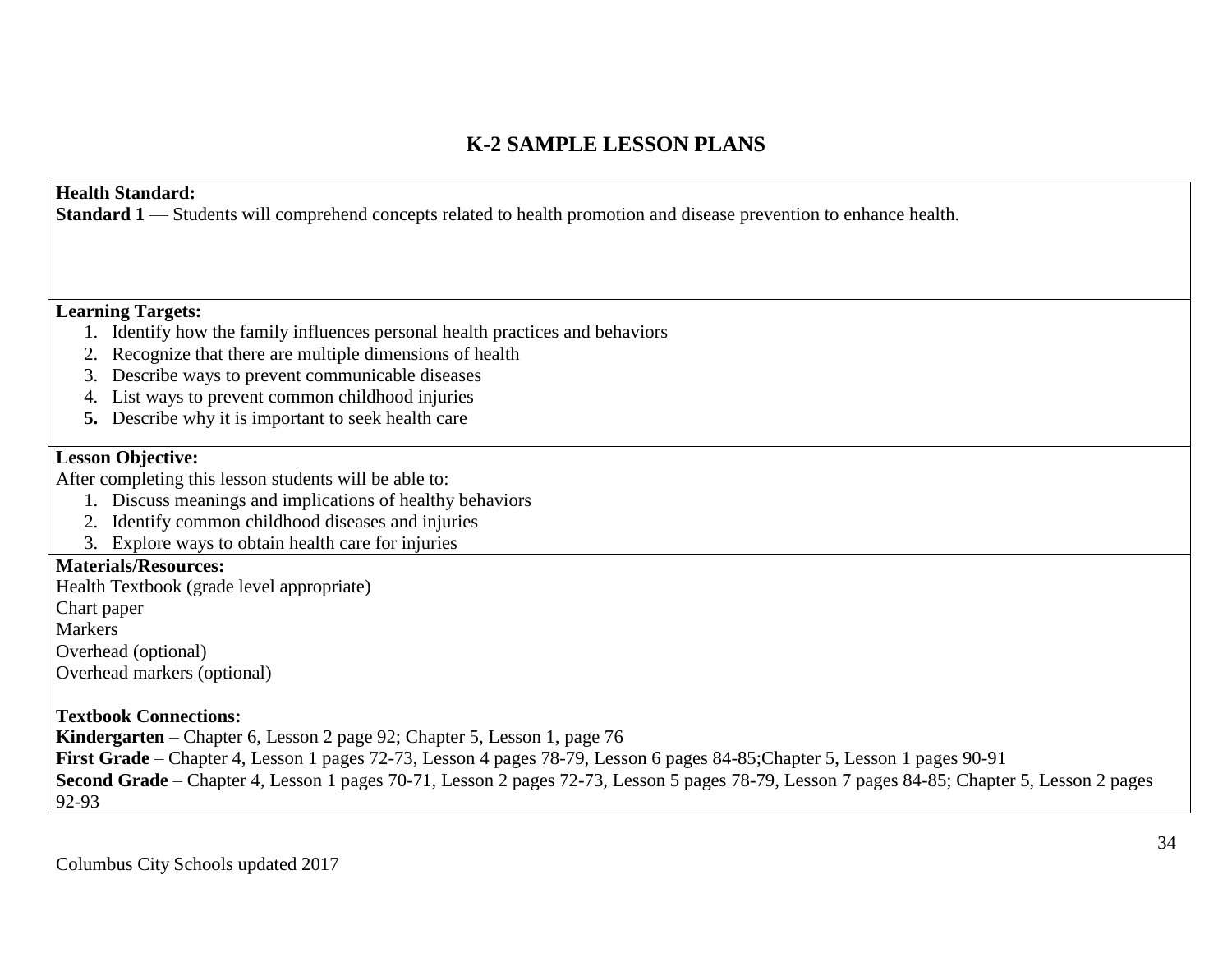# **K-2 SAMPLE LESSON PLANS**

# **Health Standard:**

**Standard 1** — Students will comprehend concepts related to health promotion and disease prevention to enhance health.

# **Learning Targets:**

- 1. Identify how the family influences personal health practices and behaviors
- 2. Recognize that there are multiple dimensions of health
- 3. Describe ways to prevent communicable diseases
- 4. List ways to prevent common childhood injuries
- **5.** Describe why it is important to seek health care

# **Lesson Objective:**

After completing this lesson students will be able to:

- 1. Discuss meanings and implications of healthy behaviors
- 2. Identify common childhood diseases and injuries
- 3. Explore ways to obtain health care for injuries

# **Materials/Resources:**

Health Textbook (grade level appropriate)

Chart paper

Markers

Overhead (optional)

Overhead markers (optional)

# **Textbook Connections:**

**Kindergarten** – Chapter 6, Lesson 2 page 92; Chapter 5, Lesson 1, page 76

**First Grade** – Chapter 4, Lesson 1 pages 72-73, Lesson 4 pages 78-79, Lesson 6 pages 84-85;Chapter 5, Lesson 1 pages 90-91

**Second Grade** – Chapter 4, Lesson 1 pages 70-71, Lesson 2 pages 72-73, Lesson 5 pages 78-79, Lesson 7 pages 84-85; Chapter 5, Lesson 2 pages

92-93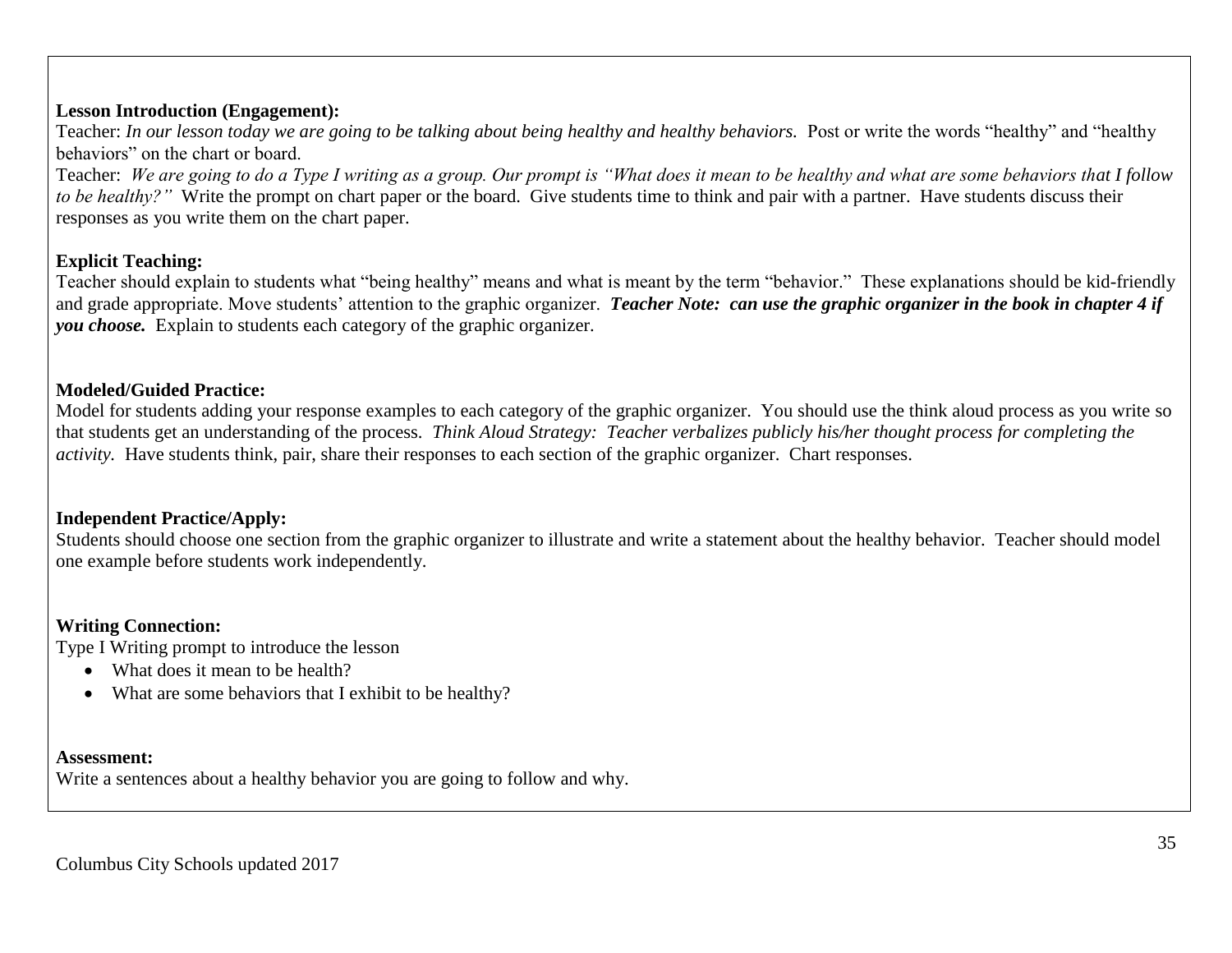# **Lesson Introduction (Engagement):**

Teacher: *In our lesson today we are going to be talking about being healthy and healthy behaviors*. Post or write the words "healthy" and "healthy behaviors" on the chart or board.

Teacher: *We are going to do a Type I writing as a group. Our prompt is "What does it mean to be healthy and what are some behaviors that I follow to be healthy?"* Write the prompt on chart paper or the board. Give students time to think and pair with a partner. Have students discuss their responses as you write them on the chart paper.

# **Explicit Teaching:**

Teacher should explain to students what "being healthy" means and what is meant by the term "behavior." These explanations should be kid-friendly and grade appropriate. Move students' attention to the graphic organizer. *Teacher Note: can use the graphic organizer in the book in chapter 4 if you choose.* Explain to students each category of the graphic organizer.

# **Modeled/Guided Practice:**

Model for students adding your response examples to each category of the graphic organizer. You should use the think aloud process as you write so that students get an understanding of the process. *Think Aloud Strategy: Teacher verbalizes publicly his/her thought process for completing the activity.* Have students think, pair, share their responses to each section of the graphic organizer. Chart responses.

# **Independent Practice/Apply:**

Students should choose one section from the graphic organizer to illustrate and write a statement about the healthy behavior. Teacher should model one example before students work independently.

# **Writing Connection:**

Type I Writing prompt to introduce the lesson

- What does it mean to be health?
- What are some behaviors that I exhibit to be healthy?

### **Assessment:**

Write a sentences about a healthy behavior you are going to follow and why.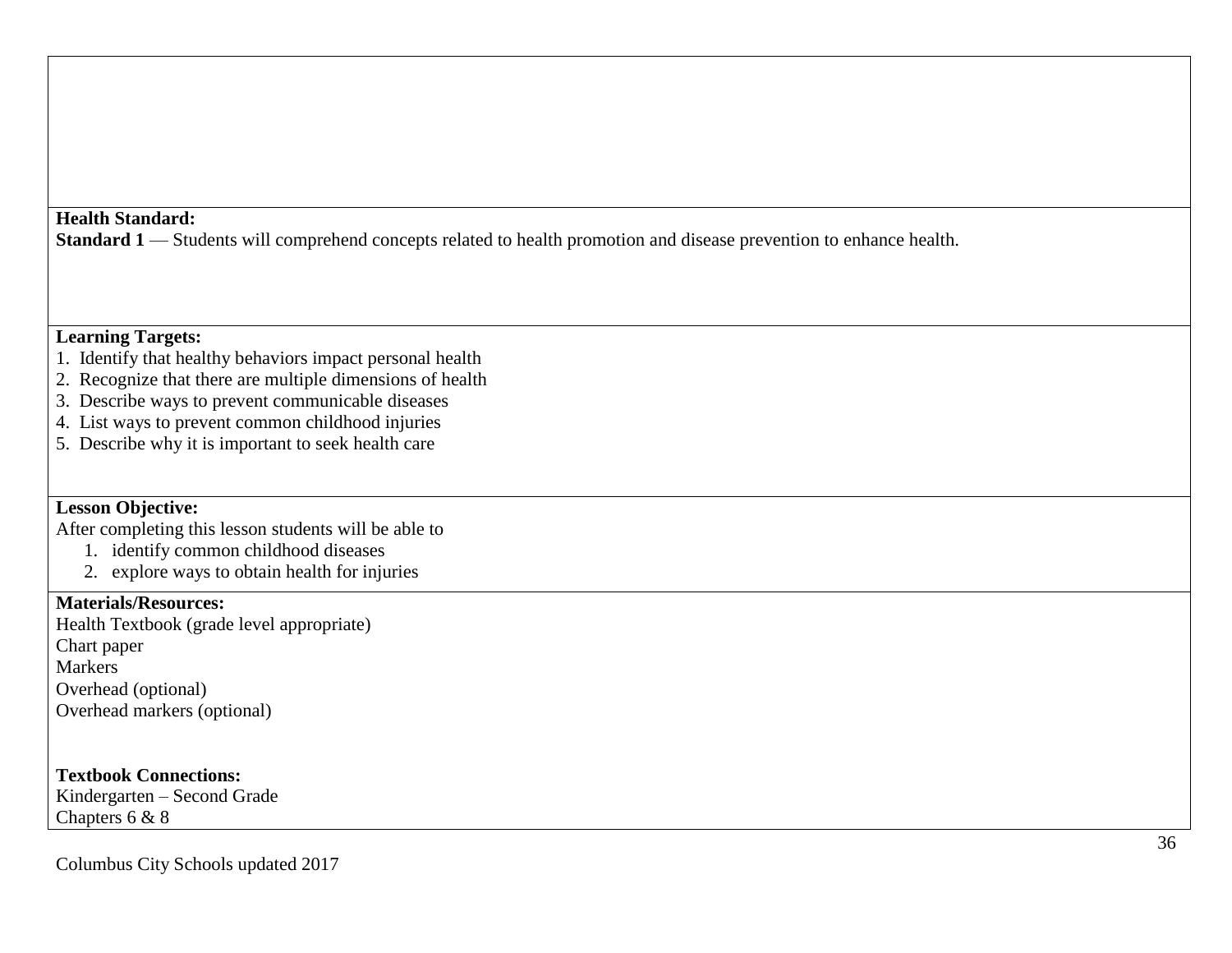#### **Health Standard:**

**Standard 1** — Students will comprehend concepts related to health promotion and disease prevention to enhance health.

# **Learning Targets:**

- 1. Identify that healthy behaviors impact personal health
- 2. Recognize that there are multiple dimensions of health
- 3. Describe ways to prevent communicable diseases
- 4. List ways to prevent common childhood injuries
- 5. Describe why it is important to seek health care

# **Lesson Objective:**

After completing this lesson students will be able to

- 1. identify common childhood diseases
- 2. explore ways to obtain health for injuries

# **Materials/Resources:**

Health Textbook (grade level appropriate) Chart paper Markers Overhead (optional) Overhead markers (optional)

# **Textbook Connections:**

Kindergarten – Second Grade Chapters 6 & 8

Columbus City Schools updated 2017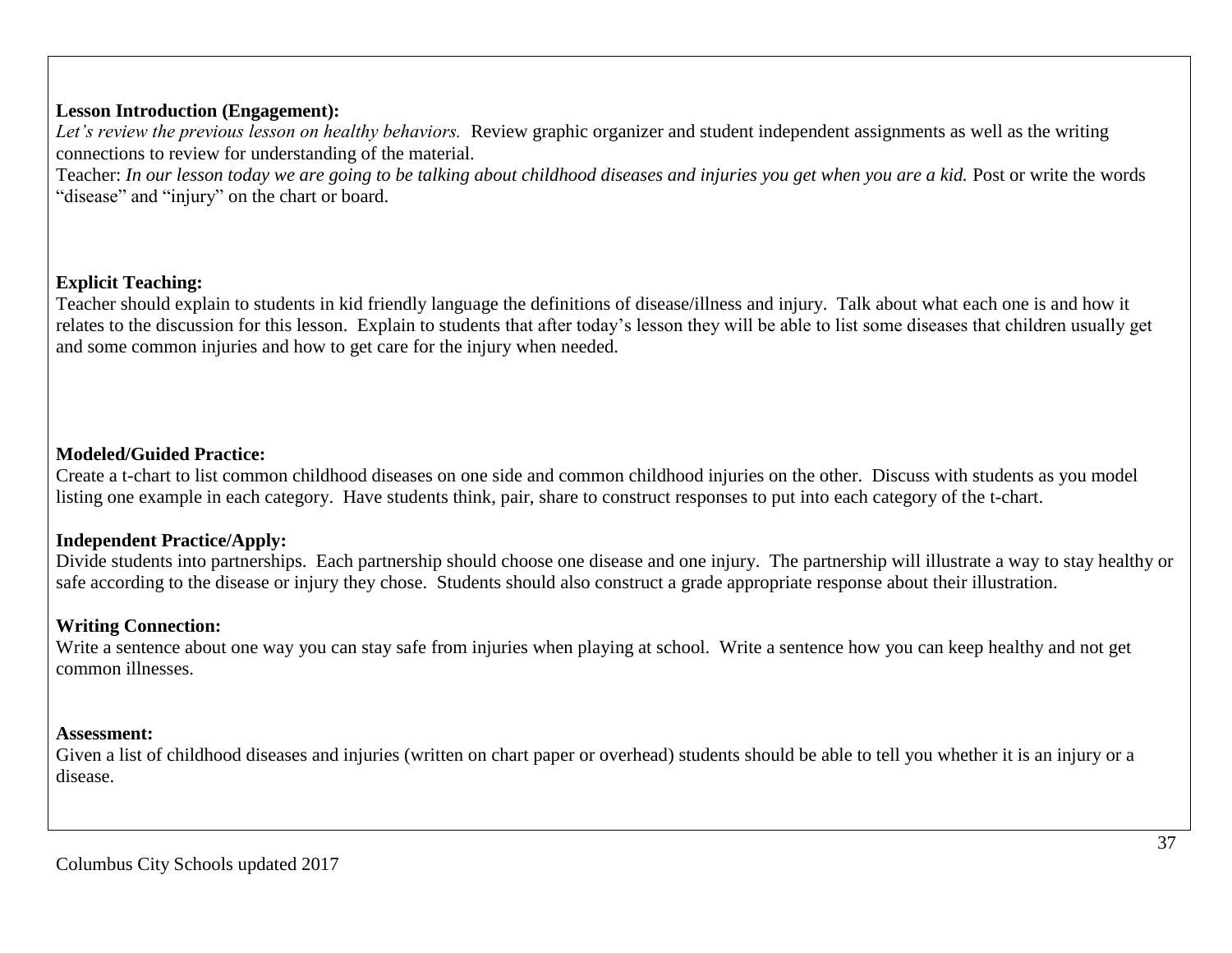## **Lesson Introduction (Engagement):**

*Let's review the previous lesson on healthy behaviors.* Review graphic organizer and student independent assignments as well as the writing connections to review for understanding of the material.

Teacher: *In our lesson today we are going to be talking about childhood diseases and injuries you get when you are a kid. Post or write the words* "disease" and "injury" on the chart or board.

## **Explicit Teaching:**

Teacher should explain to students in kid friendly language the definitions of disease/illness and injury. Talk about what each one is and how it relates to the discussion for this lesson. Explain to students that after today's lesson they will be able to list some diseases that children usually get and some common injuries and how to get care for the injury when needed.

### **Modeled/Guided Practice:**

Create a t-chart to list common childhood diseases on one side and common childhood injuries on the other. Discuss with students as you model listing one example in each category. Have students think, pair, share to construct responses to put into each category of the t-chart.

### **Independent Practice/Apply:**

Divide students into partnerships. Each partnership should choose one disease and one injury. The partnership will illustrate a way to stay healthy or safe according to the disease or injury they chose. Students should also construct a grade appropriate response about their illustration.

### **Writing Connection:**

Write a sentence about one way you can stay safe from injuries when playing at school. Write a sentence how you can keep healthy and not get common illnesses.

#### **Assessment:**

Given a list of childhood diseases and injuries (written on chart paper or overhead) students should be able to tell you whether it is an injury or a disease.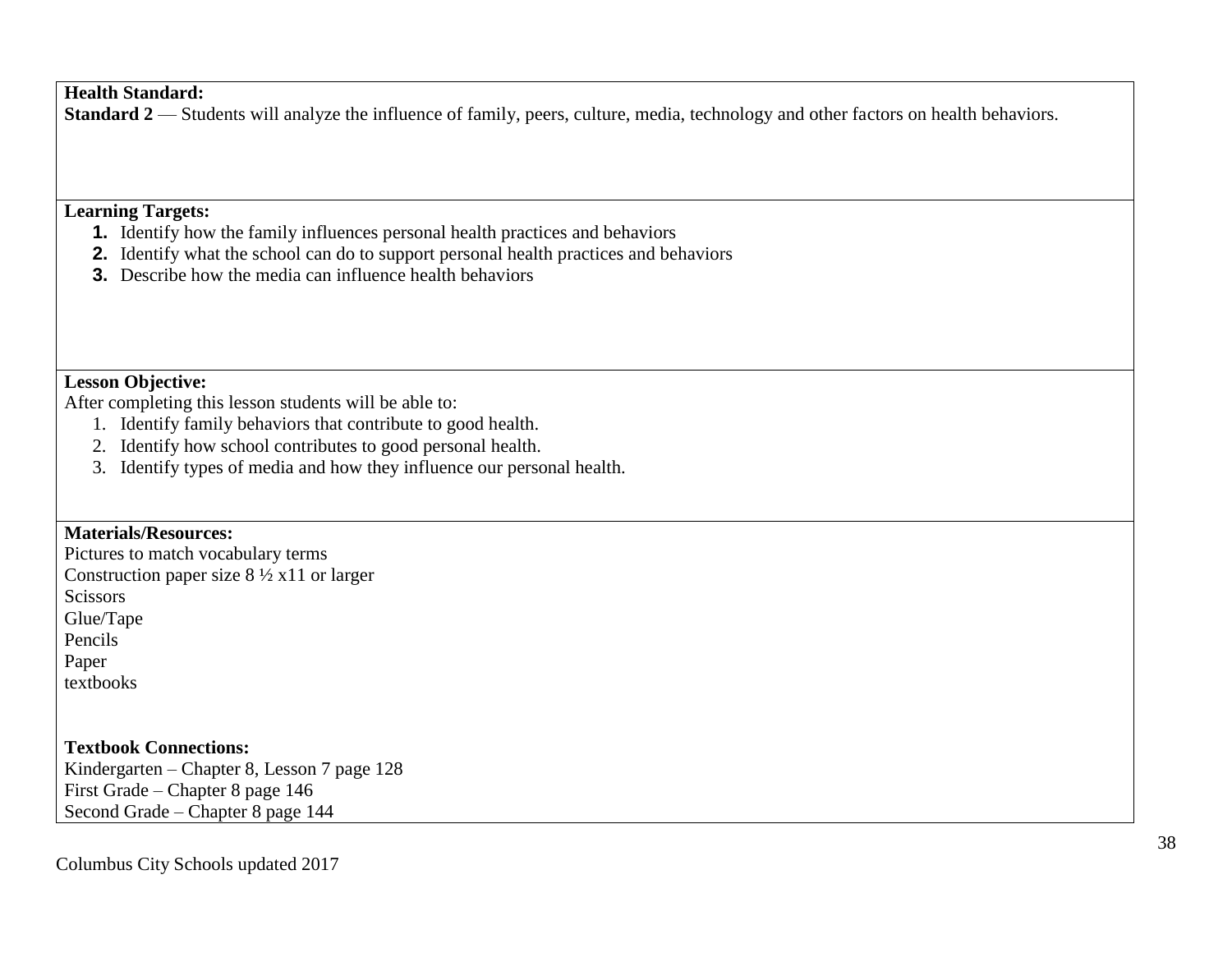## **Health Standard:**

**Standard 2** — Students will analyze the influence of family, peers, culture, media, technology and other factors on health behaviors.

## **Learning Targets:**

- **1.** Identify how the family influences personal health practices and behaviors
- **2.** Identify what the school can do to support personal health practices and behaviors
- **3.** Describe how the media can influence health behaviors

#### **Lesson Objective:**

After completing this lesson students will be able to:

- 1. Identify family behaviors that contribute to good health.
- 2. Identify how school contributes to good personal health.
- 3. Identify types of media and how they influence our personal health.

### **Materials/Resources:**

Pictures to match vocabulary terms Construction paper size  $8\frac{1}{2}$  x11 or larger **Scissors** Glue/Tape Pencils Paper textbooks

**Textbook Connections:** Kindergarten – Chapter 8, Lesson 7 page 128 First Grade – Chapter 8 page 146 Second Grade – Chapter 8 page 144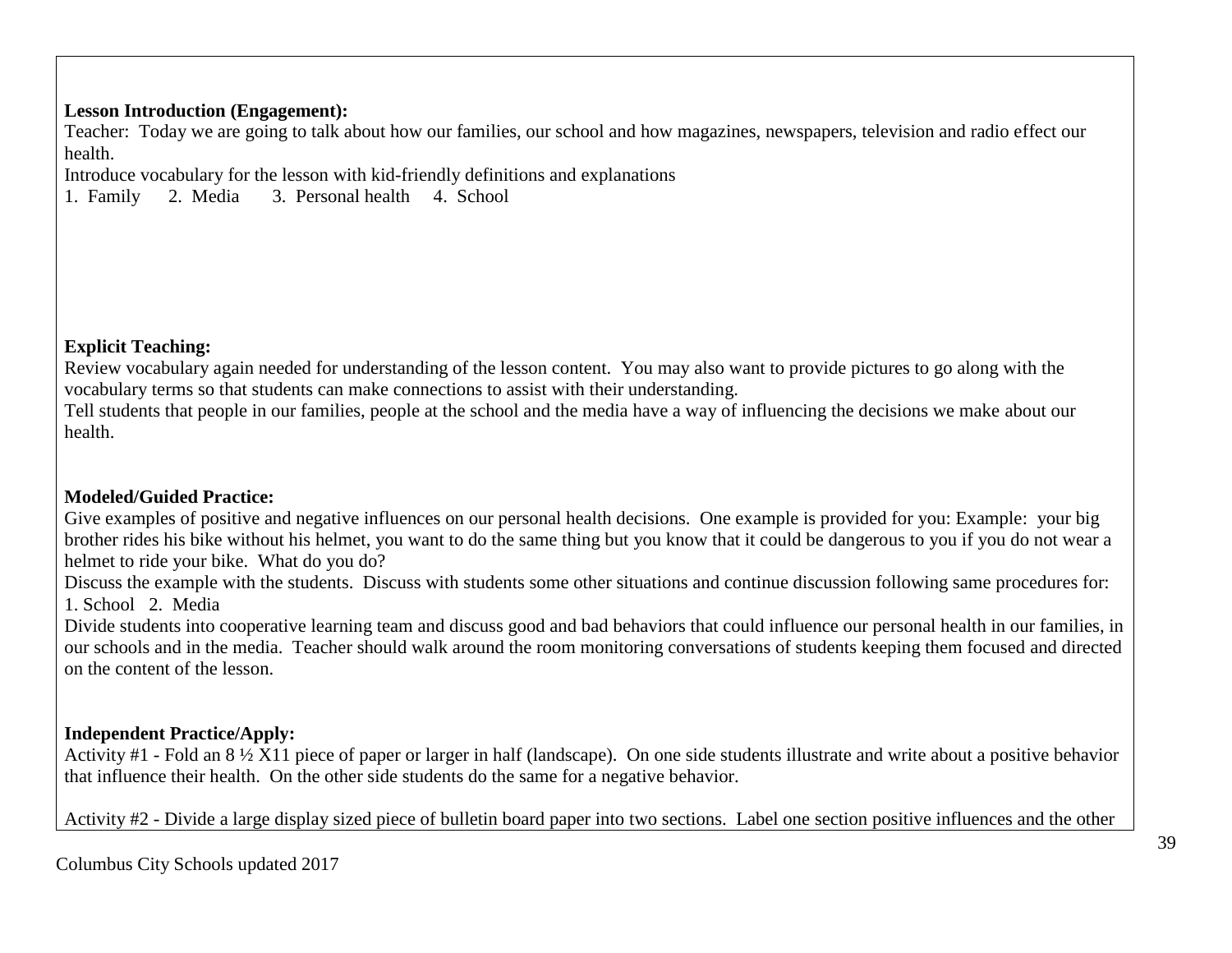## **Lesson Introduction (Engagement):**

Teacher: Today we are going to talk about how our families, our school and how magazines, newspapers, television and radio effect our health.

Introduce vocabulary for the lesson with kid-friendly definitions and explanations 1. Family 2. Media 3. Personal health 4. School

1. Family 2. Media 3. Personal health 4. School

## **Explicit Teaching:**

Review vocabulary again needed for understanding of the lesson content. You may also want to provide pictures to go along with the vocabulary terms so that students can make connections to assist with their understanding.

Tell students that people in our families, people at the school and the media have a way of influencing the decisions we make about our health.

# **Modeled/Guided Practice:**

Give examples of positive and negative influences on our personal health decisions. One example is provided for you: Example: your big brother rides his bike without his helmet, you want to do the same thing but you know that it could be dangerous to you if you do not wear a helmet to ride your bike. What do you do?

Discuss the example with the students. Discuss with students some other situations and continue discussion following same procedures for: 1. School 2. Media

Divide students into cooperative learning team and discuss good and bad behaviors that could influence our personal health in our families, in our schools and in the media. Teacher should walk around the room monitoring conversations of students keeping them focused and directed on the content of the lesson.

# **Independent Practice/Apply:**

Activity #1 - Fold an 8 ½ X11 piece of paper or larger in half (landscape). On one side students illustrate and write about a positive behavior that influence their health. On the other side students do the same for a negative behavior.

Activity #2 - Divide a large display sized piece of bulletin board paper into two sections. Label one section positive influences and the other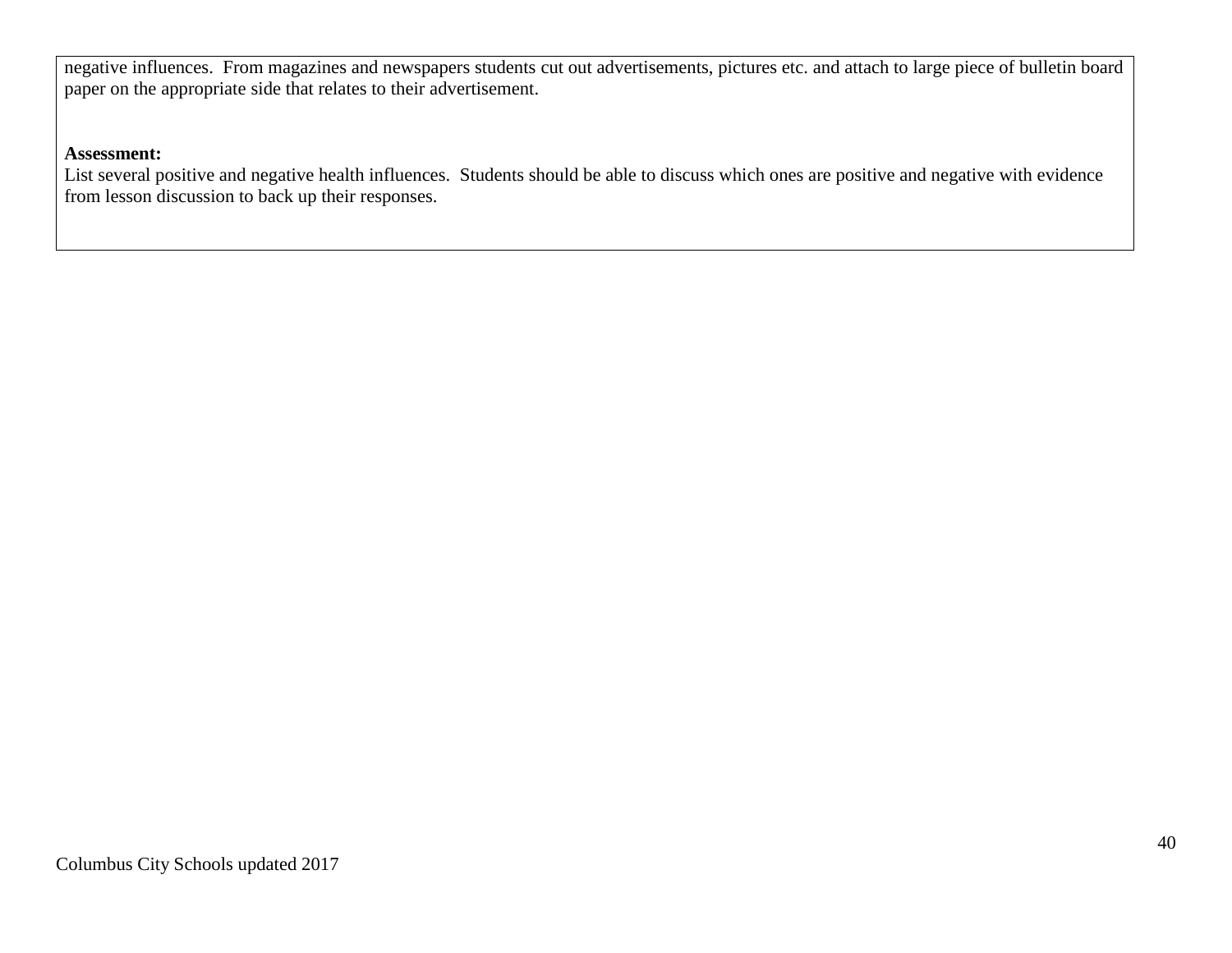negative influences. From magazines and newspapers students cut out advertisements, pictures etc. and attach to large piece of bulletin board paper on the appropriate side that relates to their advertisement.

#### **Assessment:**

List several positive and negative health influences. Students should be able to discuss which ones are positive and negative with evidence from lesson discussion to back up their responses.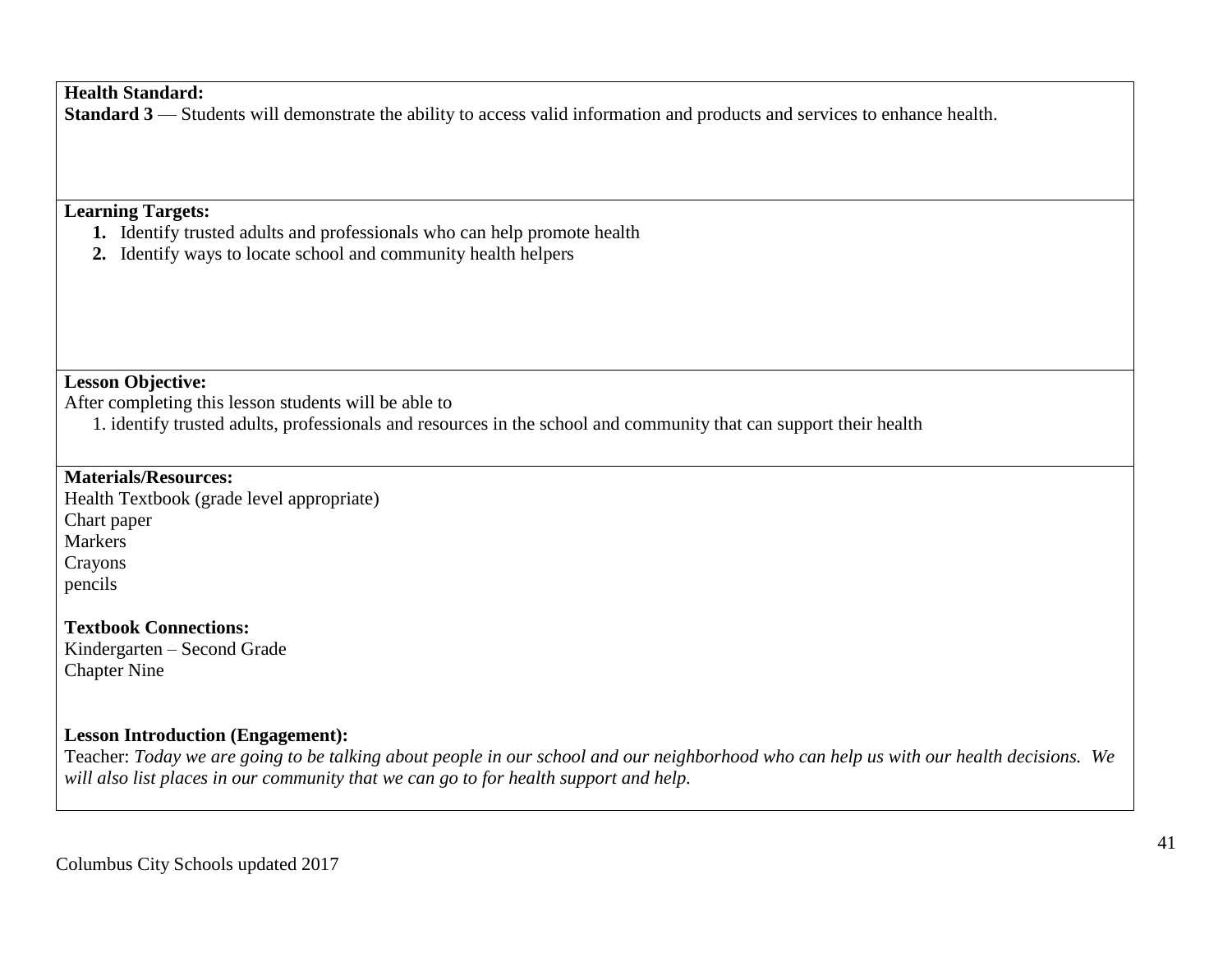## **Health Standard:**

**Standard 3** — Students will demonstrate the ability to access valid information and products and services to enhance health.

## **Learning Targets:**

- **1.** Identify trusted adults and professionals who can help promote health
- **2.** Identify ways to locate school and community health helpers

#### **Lesson Objective:**

After completing this lesson students will be able to

1. identify trusted adults, professionals and resources in the school and community that can support their health

## **Materials/Resources:**

Health Textbook (grade level appropriate) Chart paper Markers Crayons pencils

**Textbook Connections:** Kindergarten – Second Grade Chapter Nine

## **Lesson Introduction (Engagement):**

Teacher: *Today we are going to be talking about people in our school and our neighborhood who can help us with our health decisions. We will also list places in our community that we can go to for health support and help.*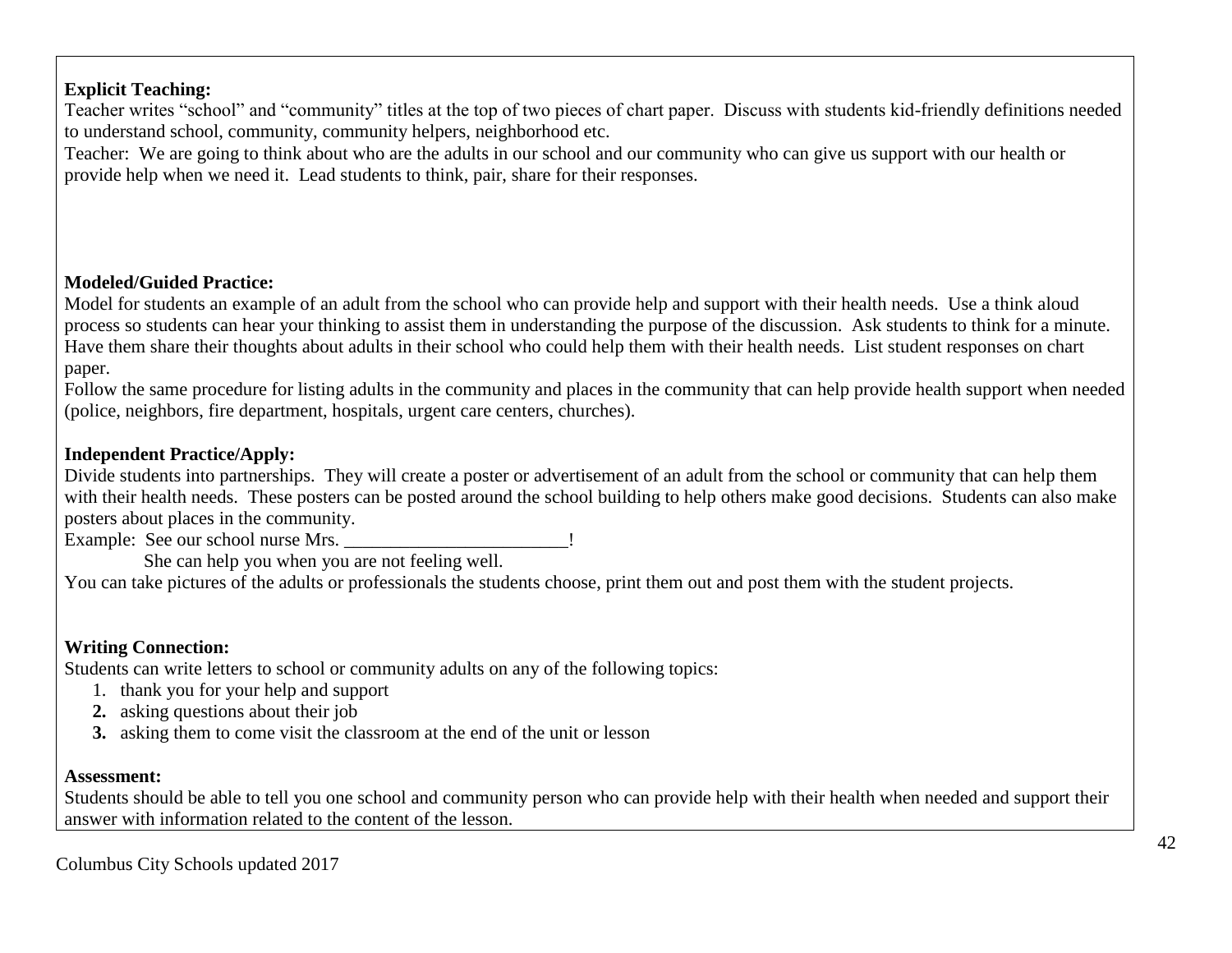# **Explicit Teaching:**

Teacher writes "school" and "community" titles at the top of two pieces of chart paper. Discuss with students kid-friendly definitions needed to understand school, community, community helpers, neighborhood etc.

Teacher: We are going to think about who are the adults in our school and our community who can give us support with our health or provide help when we need it. Lead students to think, pair, share for their responses.

## **Modeled/Guided Practice:**

Model for students an example of an adult from the school who can provide help and support with their health needs. Use a think aloud process so students can hear your thinking to assist them in understanding the purpose of the discussion. Ask students to think for a minute. Have them share their thoughts about adults in their school who could help them with their health needs. List student responses on chart paper.

Follow the same procedure for listing adults in the community and places in the community that can help provide health support when needed (police, neighbors, fire department, hospitals, urgent care centers, churches).

## **Independent Practice/Apply:**

Divide students into partnerships. They will create a poster or advertisement of an adult from the school or community that can help them with their health needs. These posters can be posted around the school building to help others make good decisions. Students can also make posters about places in the community.

Example: See our school nurse Mrs.

She can help you when you are not feeling well.

You can take pictures of the adults or professionals the students choose, print them out and post them with the student projects.

### **Writing Connection:**

Students can write letters to school or community adults on any of the following topics:

- 1. thank you for your help and support
- **2.** asking questions about their job
- **3.** asking them to come visit the classroom at the end of the unit or lesson

#### **Assessment:**

Students should be able to tell you one school and community person who can provide help with their health when needed and support their answer with information related to the content of the lesson.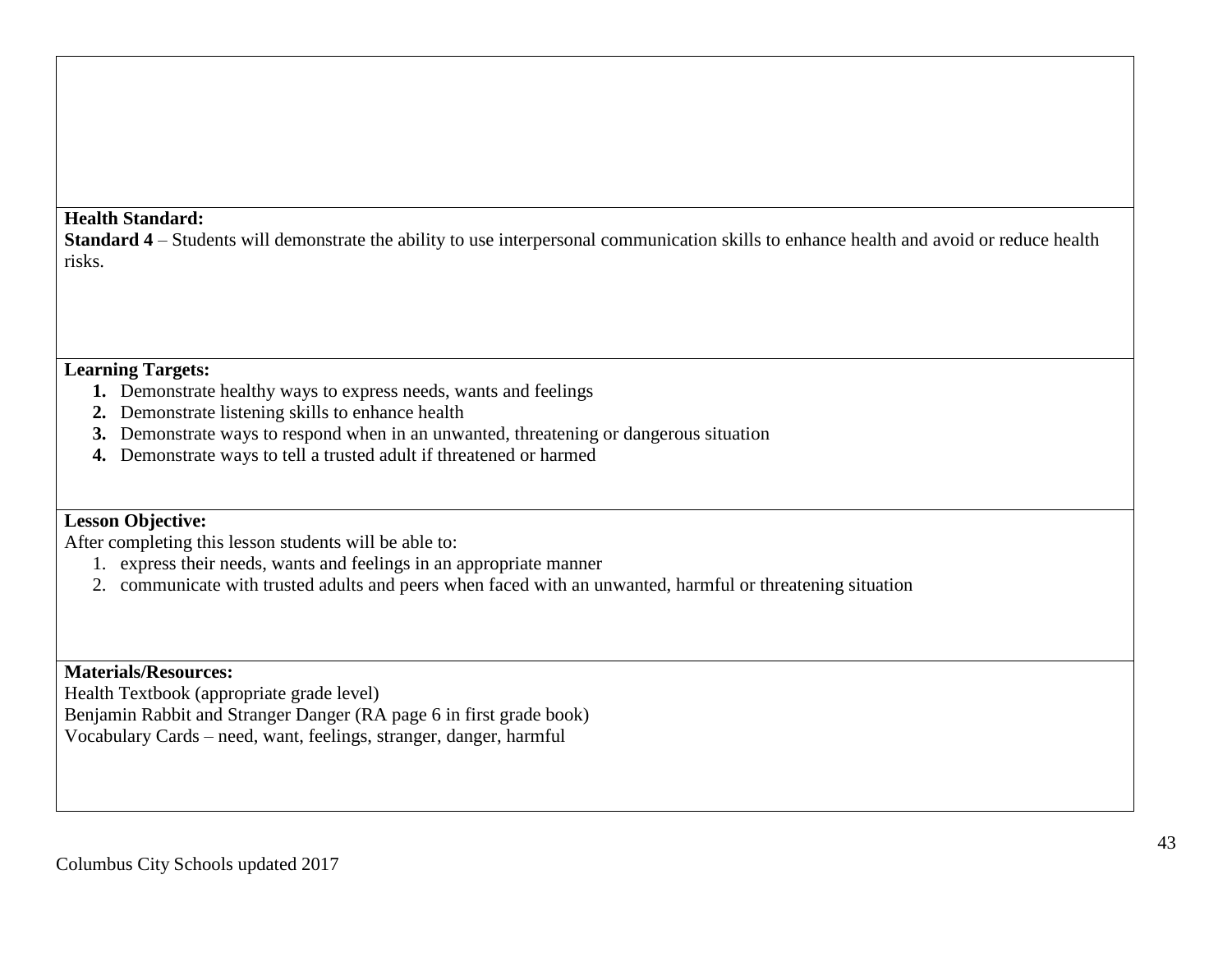#### **Health Standard:**

**Standard 4** – Students will demonstrate the ability to use interpersonal communication skills to enhance health and avoid or reduce health risks.

# **Learning Targets:**

- **1.** Demonstrate healthy ways to express needs, wants and feelings
- **2.** Demonstrate listening skills to enhance health
- **3.** Demonstrate ways to respond when in an unwanted, threatening or dangerous situation
- **4.** Demonstrate ways to tell a trusted adult if threatened or harmed

# **Lesson Objective:**

After completing this lesson students will be able to:

- 1. express their needs, wants and feelings in an appropriate manner
- 2. communicate with trusted adults and peers when faced with an unwanted, harmful or threatening situation

**Materials/Resources:**

Health Textbook (appropriate grade level)

Benjamin Rabbit and Stranger Danger (RA page 6 in first grade book) Vocabulary Cards – need, want, feelings, stranger, danger, harmful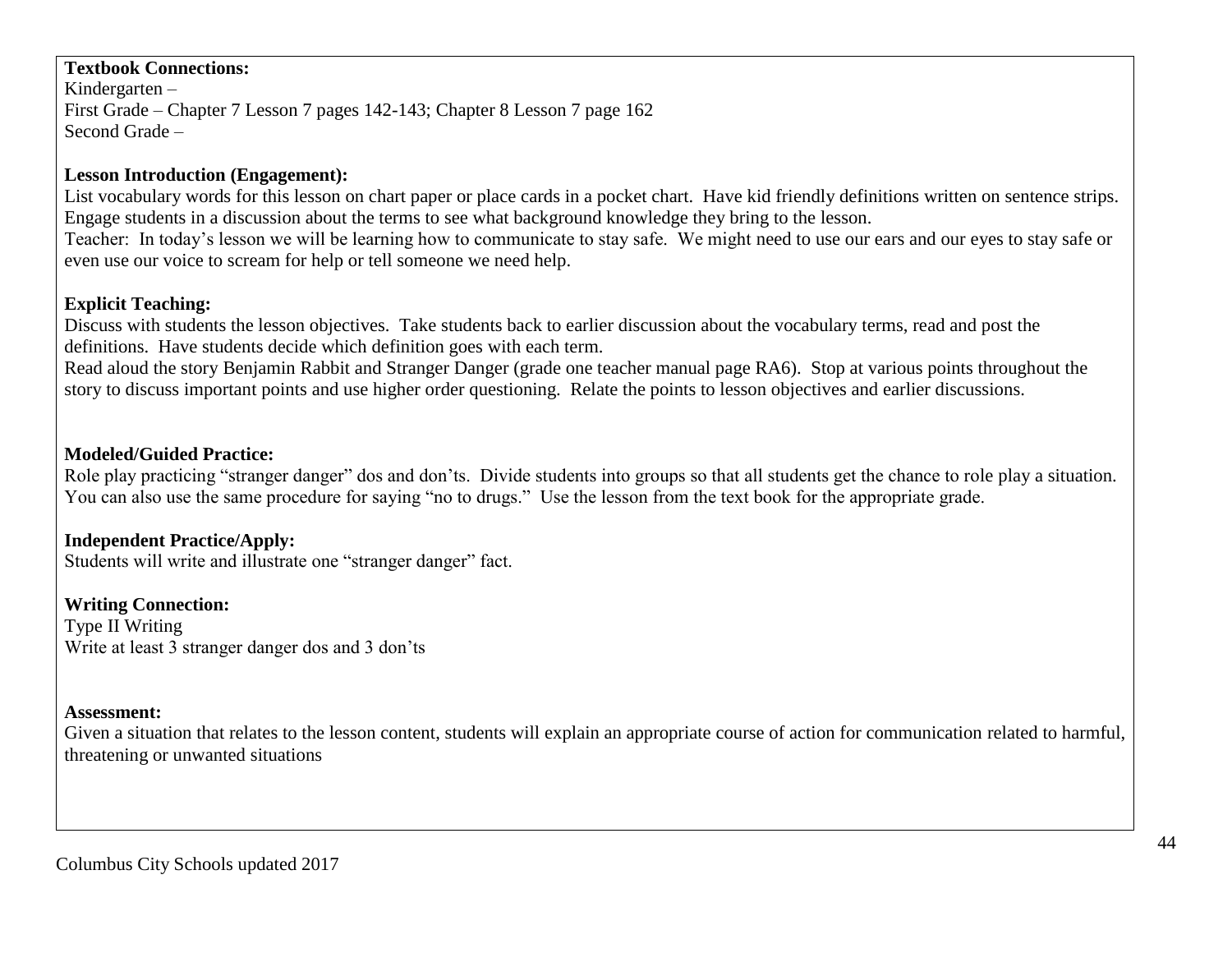## **Textbook Connections:**

Kindergarten – First Grade – Chapter 7 Lesson 7 pages 142-143; Chapter 8 Lesson 7 page 162 Second Grade –

## **Lesson Introduction (Engagement):**

List vocabulary words for this lesson on chart paper or place cards in a pocket chart. Have kid friendly definitions written on sentence strips. Engage students in a discussion about the terms to see what background knowledge they bring to the lesson. Teacher: In today's lesson we will be learning how to communicate to stay safe. We might need to use our ears and our eyes to stay safe or even use our voice to scream for help or tell someone we need help.

### **Explicit Teaching:**

Discuss with students the lesson objectives. Take students back to earlier discussion about the vocabulary terms, read and post the definitions. Have students decide which definition goes with each term.

Read aloud the story Benjamin Rabbit and Stranger Danger (grade one teacher manual page RA6). Stop at various points throughout the story to discuss important points and use higher order questioning. Relate the points to lesson objectives and earlier discussions.

### **Modeled/Guided Practice:**

Role play practicing "stranger danger" dos and don'ts. Divide students into groups so that all students get the chance to role play a situation. You can also use the same procedure for saying "no to drugs." Use the lesson from the text book for the appropriate grade.

### **Independent Practice/Apply:**

Students will write and illustrate one "stranger danger" fact.

### **Writing Connection:**

Type II Writing Write at least 3 stranger danger dos and 3 don'ts

#### **Assessment:**

Given a situation that relates to the lesson content, students will explain an appropriate course of action for communication related to harmful, threatening or unwanted situations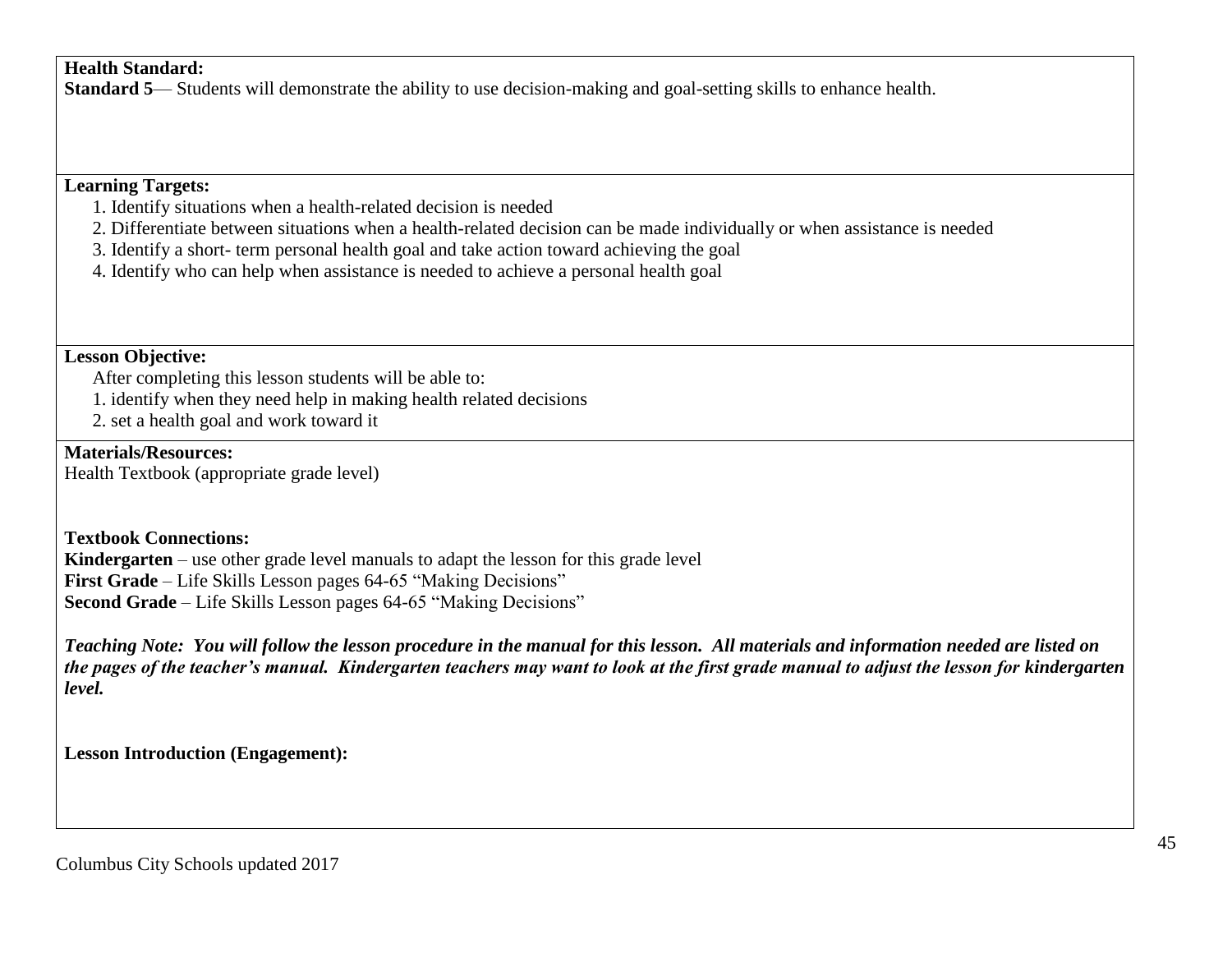## **Health Standard:**

**Standard 5—** Students will demonstrate the ability to use decision-making and goal-setting skills to enhance health.

## **Learning Targets:**

- 1. Identify situations when a health-related decision is needed
- 2. Differentiate between situations when a health-related decision can be made individually or when assistance is needed
- 3. Identify a short- term personal health goal and take action toward achieving the goal
- 4. Identify who can help when assistance is needed to achieve a personal health goal

## **Lesson Objective:**

After completing this lesson students will be able to:

- 1. identify when they need help in making health related decisions
- 2. set a health goal and work toward it

## **Materials/Resources:**

Health Textbook (appropriate grade level)

### **Textbook Connections:**

**Kindergarten** – use other grade level manuals to adapt the lesson for this grade level **First Grade** – Life Skills Lesson pages 64-65 "Making Decisions" **Second Grade** – Life Skills Lesson pages 64-65 "Making Decisions"

*Teaching Note: You will follow the lesson procedure in the manual for this lesson. All materials and information needed are listed on the pages of the teacher's manual. Kindergarten teachers may want to look at the first grade manual to adjust the lesson for kindergarten level.*

**Lesson Introduction (Engagement):**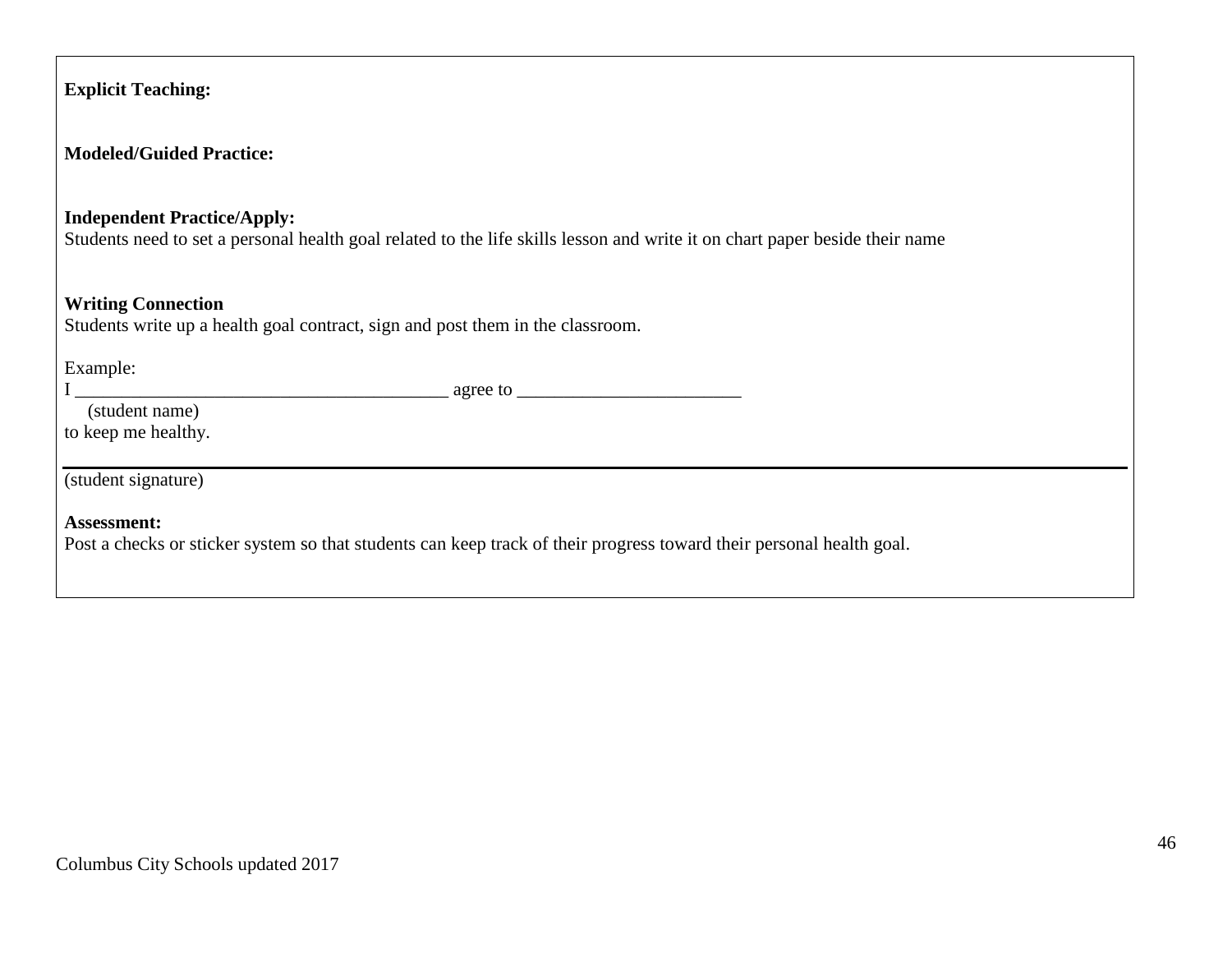| <b>Explicit Teaching:</b>                                                                                                                                         |
|-------------------------------------------------------------------------------------------------------------------------------------------------------------------|
| <b>Modeled/Guided Practice:</b>                                                                                                                                   |
| <b>Independent Practice/Apply:</b><br>Students need to set a personal health goal related to the life skills lesson and write it on chart paper beside their name |
| <b>Writing Connection</b><br>Students write up a health goal contract, sign and post them in the classroom.                                                       |
| Example:<br>(student name)<br>to keep me healthy.                                                                                                                 |
| (student signature)                                                                                                                                               |
| Assessment:<br>Post a checks or sticker system so that students can keep track of their progress toward their personal health goal.                               |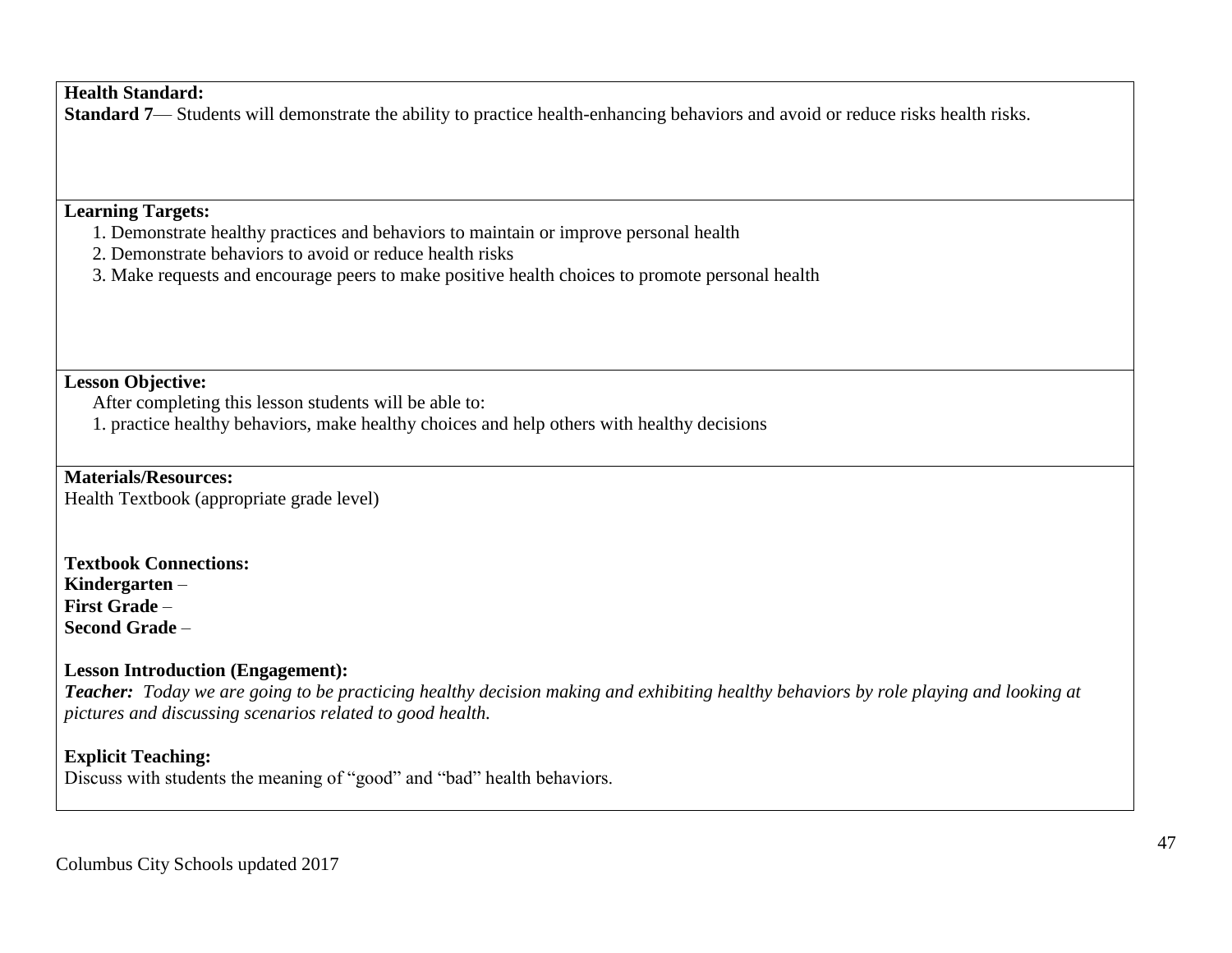## **Health Standard:**

**Standard 7—** Students will demonstrate the ability to practice health-enhancing behaviors and avoid or reduce risks health risks.

## **Learning Targets:**

- 1. Demonstrate healthy practices and behaviors to maintain or improve personal health
- 2. Demonstrate behaviors to avoid or reduce health risks
- 3. Make requests and encourage peers to make positive health choices to promote personal health

#### **Lesson Objective:**

After completing this lesson students will be able to:

1. practice healthy behaviors, make healthy choices and help others with healthy decisions

**Materials/Resources:**

Health Textbook (appropriate grade level)

**Textbook Connections: Kindergarten** – **First Grade** – **Second Grade** –

### **Lesson Introduction (Engagement):**

*Teacher: Today we are going to be practicing healthy decision making and exhibiting healthy behaviors by role playing and looking at pictures and discussing scenarios related to good health.*

### **Explicit Teaching:**

Discuss with students the meaning of "good" and "bad" health behaviors.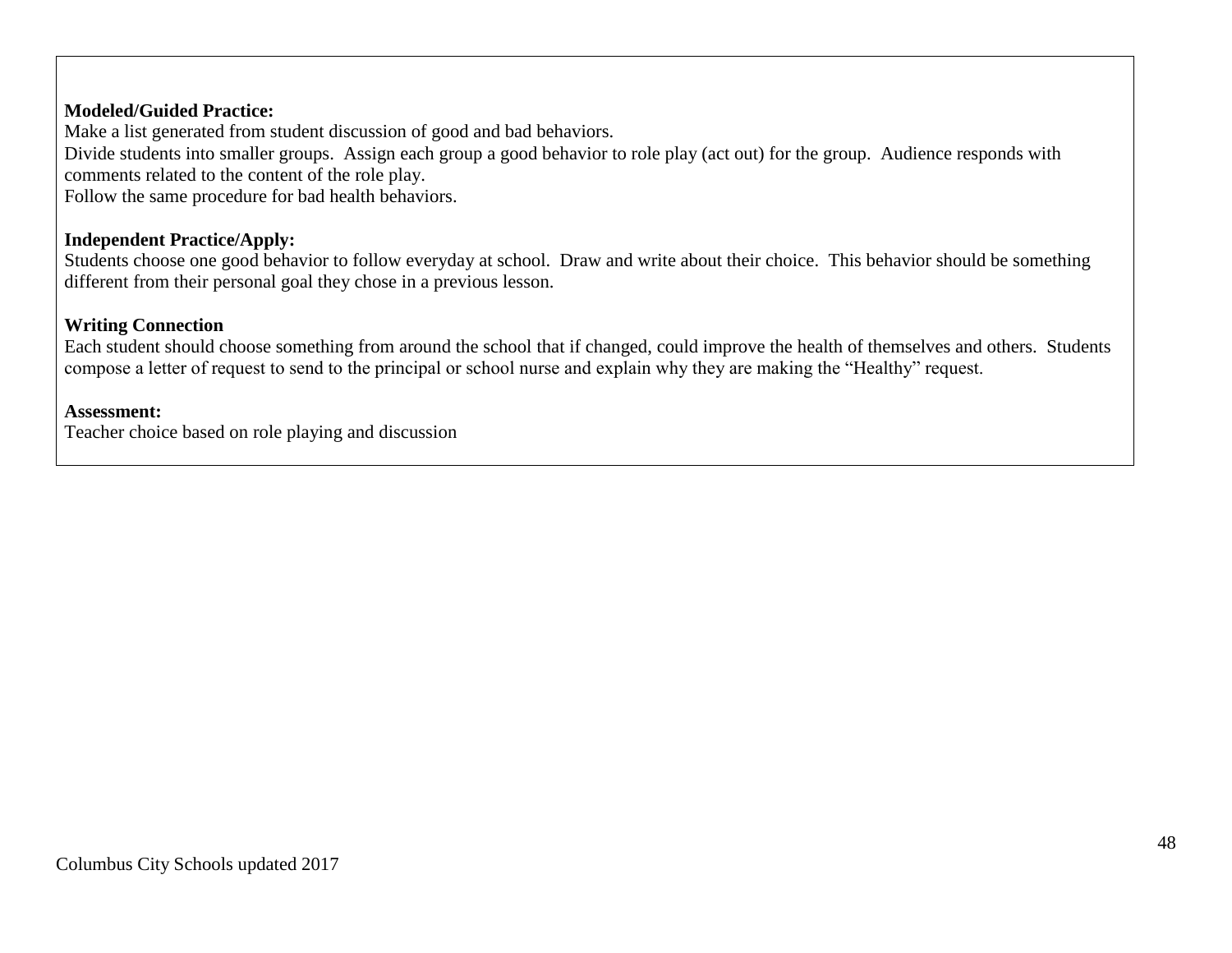#### **Modeled/Guided Practice:**

Make a list generated from student discussion of good and bad behaviors.

Divide students into smaller groups. Assign each group a good behavior to role play (act out) for the group. Audience responds with comments related to the content of the role play.

Follow the same procedure for bad health behaviors.

#### **Independent Practice/Apply:**

Students choose one good behavior to follow everyday at school. Draw and write about their choice. This behavior should be something different from their personal goal they chose in a previous lesson.

#### **Writing Connection**

Each student should choose something from around the school that if changed, could improve the health of themselves and others. Students compose a letter of request to send to the principal or school nurse and explain why they are making the "Healthy" request.

#### **Assessment:**

Teacher choice based on role playing and discussion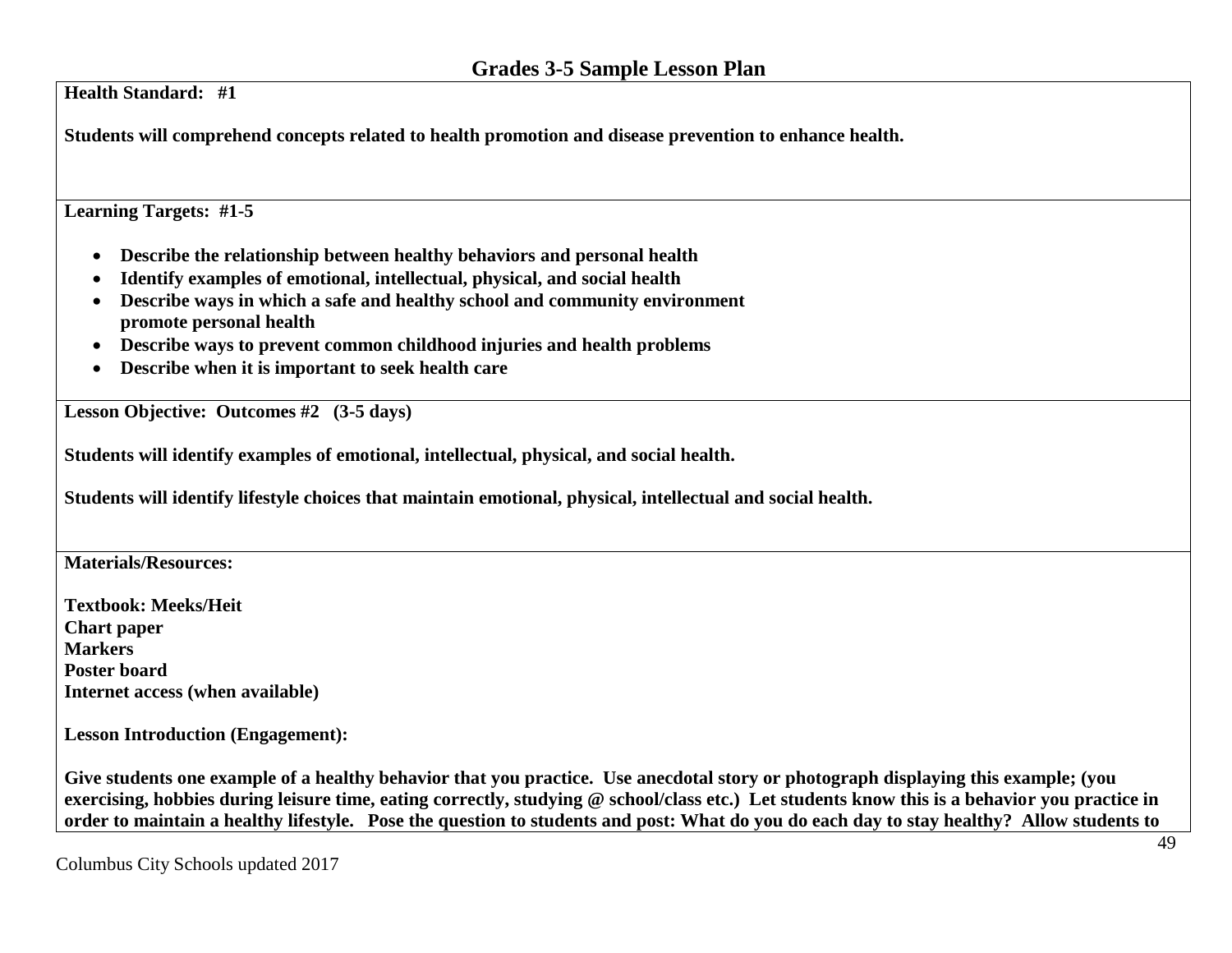**Health Standard: #1 Students will comprehend concepts related to health promotion and disease prevention to enhance health. Learning Targets: #1-5 Describe the relationship between healthy behaviors and personal health Identify examples of emotional, intellectual, physical, and social health Describe ways in which a safe and healthy school and community environment promote personal health Describe ways to prevent common childhood injuries and health problems Describe when it is important to seek health care Lesson Objective: Outcomes #2 (3-5 days) Students will identify examples of emotional, intellectual, physical, and social health. Students will identify lifestyle choices that maintain emotional, physical, intellectual and social health. Materials/Resources: Textbook: Meeks/Heit Chart paper Markers Poster board Internet access (when available) Lesson Introduction (Engagement): Give students one example of a healthy behavior that you practice. Use anecdotal story or photograph displaying this example; (you** 

**exercising, hobbies during leisure time, eating correctly, studying @ school/class etc.) Let students know this is a behavior you practice in order to maintain a healthy lifestyle. Pose the question to students and post: What do you do each day to stay healthy? Allow students to**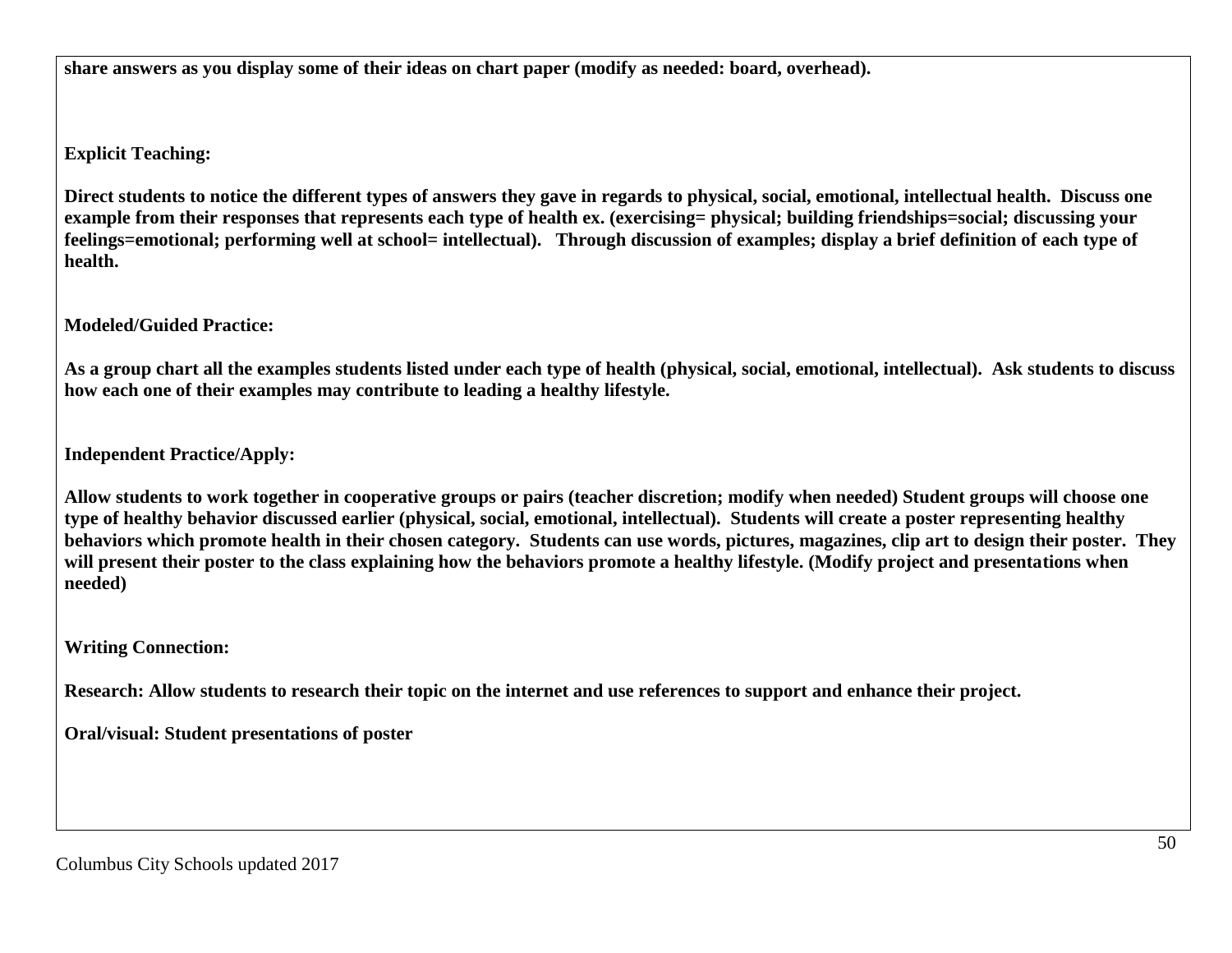**share answers as you display some of their ideas on chart paper (modify as needed: board, overhead).** 

**Explicit Teaching:**

**Direct students to notice the different types of answers they gave in regards to physical, social, emotional, intellectual health. Discuss one example from their responses that represents each type of health ex. (exercising= physical; building friendships=social; discussing your feelings=emotional; performing well at school= intellectual). Through discussion of examples; display a brief definition of each type of health.**

**Modeled/Guided Practice:**

**As a group chart all the examples students listed under each type of health (physical, social, emotional, intellectual). Ask students to discuss how each one of their examples may contribute to leading a healthy lifestyle.**

**Independent Practice/Apply:**

**Allow students to work together in cooperative groups or pairs (teacher discretion; modify when needed) Student groups will choose one type of healthy behavior discussed earlier (physical, social, emotional, intellectual). Students will create a poster representing healthy behaviors which promote health in their chosen category. Students can use words, pictures, magazines, clip art to design their poster. They will present their poster to the class explaining how the behaviors promote a healthy lifestyle. (Modify project and presentations when needed)**

**Writing Connection:**

**Research: Allow students to research their topic on the internet and use references to support and enhance their project.**

**Oral/visual: Student presentations of poster**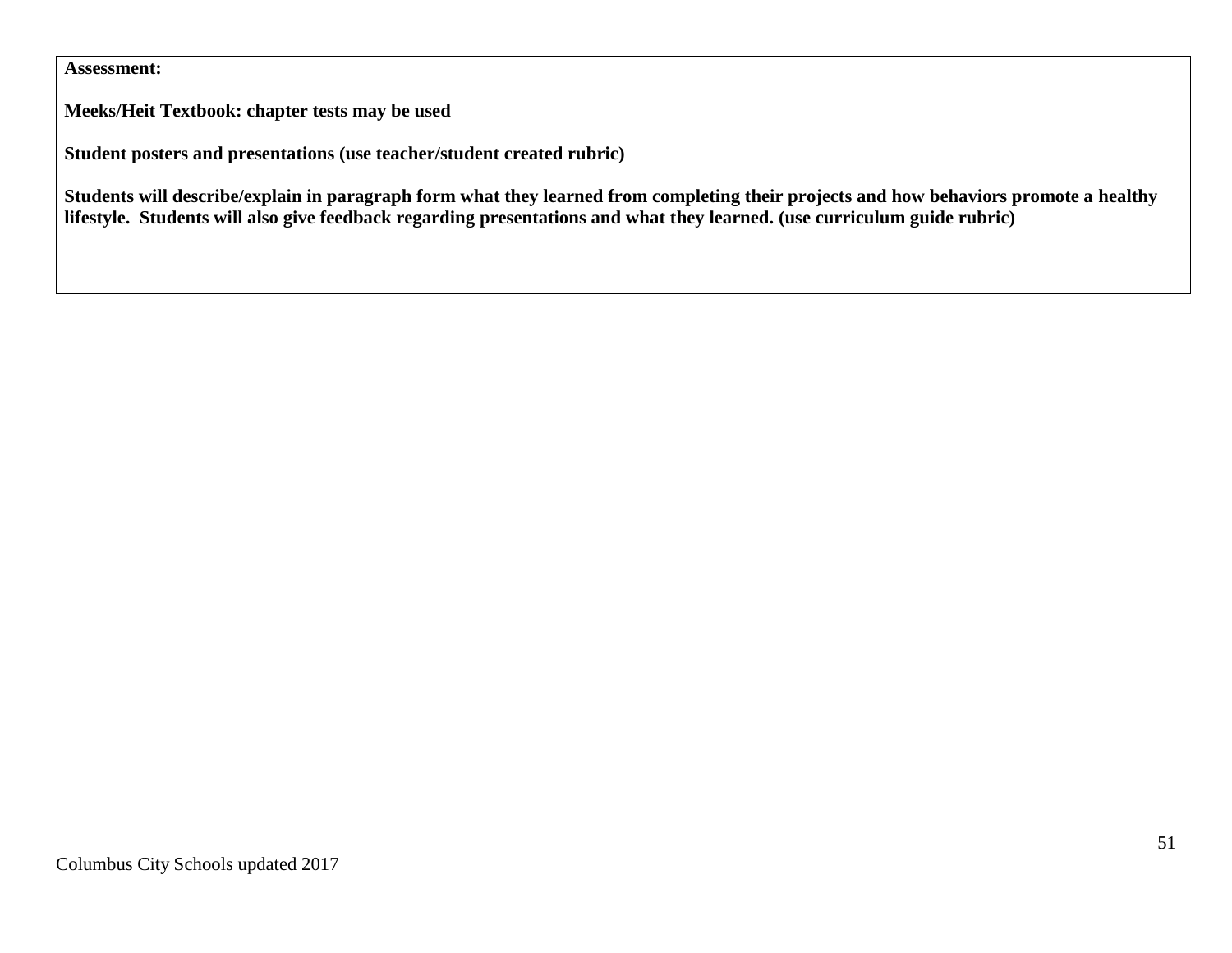## **Assessment:**

**Meeks/Heit Textbook: chapter tests may be used**

**Student posters and presentations (use teacher/student created rubric)**

**Students will describe/explain in paragraph form what they learned from completing their projects and how behaviors promote a healthy lifestyle. Students will also give feedback regarding presentations and what they learned. (use curriculum guide rubric)**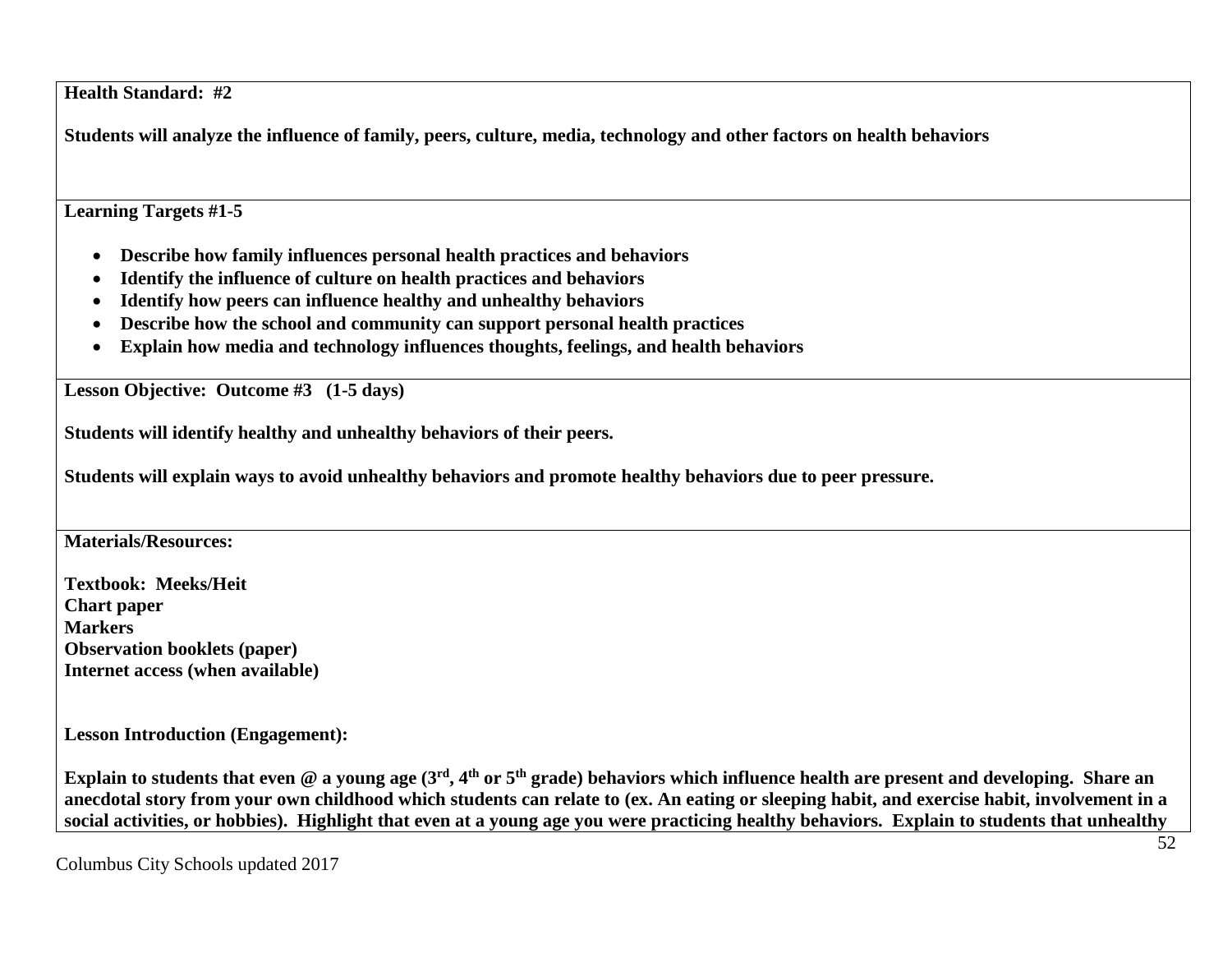**Health Standard: #2**

**Students will analyze the influence of family, peers, culture, media, technology and other factors on health behaviors**

**Learning Targets #1-5**

- **Describe how family influences personal health practices and behaviors**
- **Identify the influence of culture on health practices and behaviors**
- **Identify how peers can influence healthy and unhealthy behaviors**
- **Describe how the school and community can support personal health practices**
- **Explain how media and technology influences thoughts, feelings, and health behaviors**

**Lesson Objective: Outcome #3 (1-5 days)**

**Students will identify healthy and unhealthy behaviors of their peers.**

**Students will explain ways to avoid unhealthy behaviors and promote healthy behaviors due to peer pressure.**

**Materials/Resources:**

**Textbook: Meeks/Heit Chart paper Markers Observation booklets (paper) Internet access (when available)**

**Lesson Introduction (Engagement):**

Explain to students that even @ a young age (3<sup>rd</sup>, 4<sup>th</sup> or 5<sup>th</sup> grade) behaviors which influence health are present and developing. Share an **anecdotal story from your own childhood which students can relate to (ex. An eating or sleeping habit, and exercise habit, involvement in a social activities, or hobbies). Highlight that even at a young age you were practicing healthy behaviors. Explain to students that unhealthy**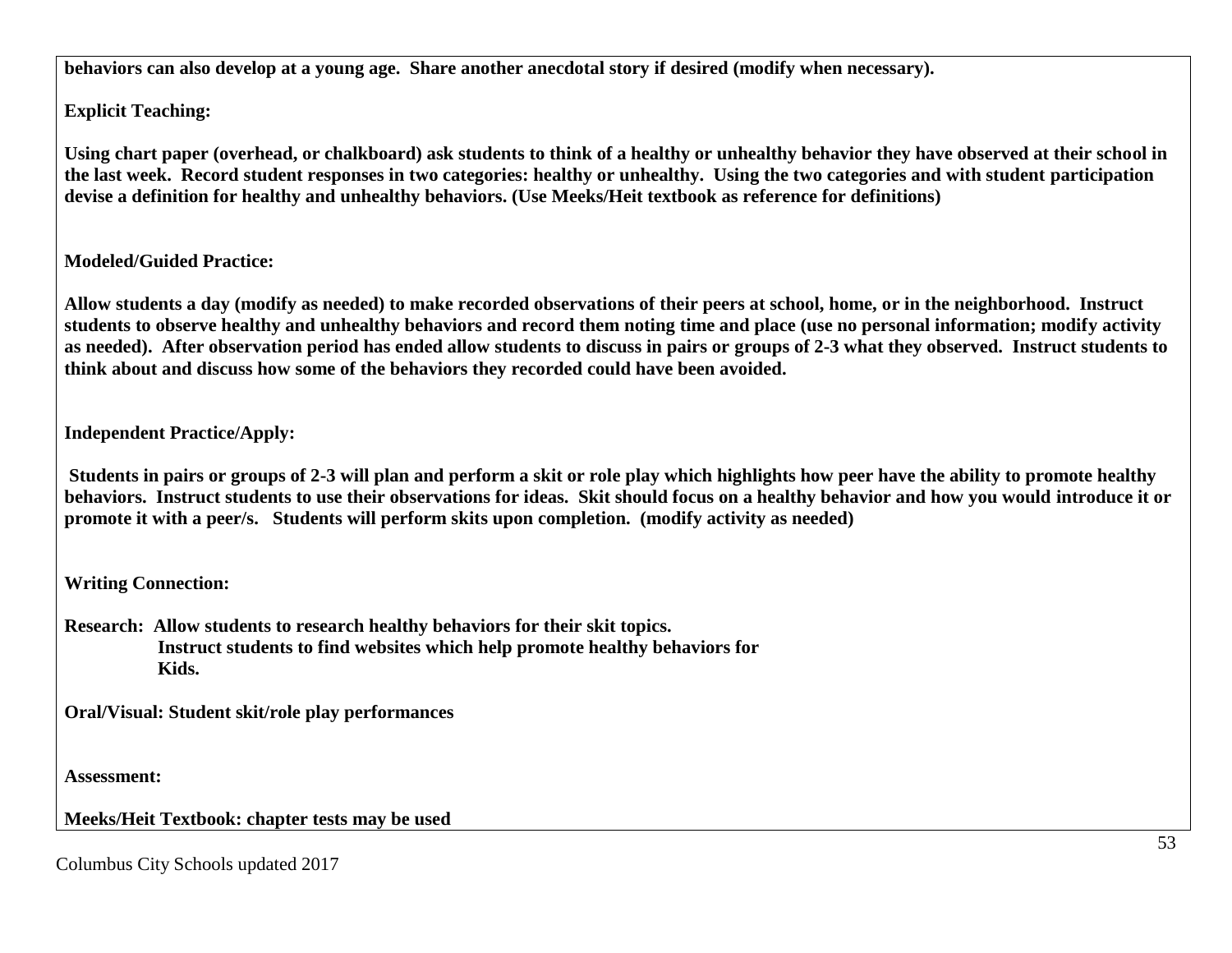**behaviors can also develop at a young age. Share another anecdotal story if desired (modify when necessary).**

**Explicit Teaching:**

**Using chart paper (overhead, or chalkboard) ask students to think of a healthy or unhealthy behavior they have observed at their school in the last week. Record student responses in two categories: healthy or unhealthy. Using the two categories and with student participation devise a definition for healthy and unhealthy behaviors. (Use Meeks/Heit textbook as reference for definitions)**

# **Modeled/Guided Practice:**

**Allow students a day (modify as needed) to make recorded observations of their peers at school, home, or in the neighborhood. Instruct students to observe healthy and unhealthy behaviors and record them noting time and place (use no personal information; modify activity as needed). After observation period has ended allow students to discuss in pairs or groups of 2-3 what they observed. Instruct students to think about and discuss how some of the behaviors they recorded could have been avoided.**

**Independent Practice/Apply:**

**Students in pairs or groups of 2-3 will plan and perform a skit or role play which highlights how peer have the ability to promote healthy behaviors. Instruct students to use their observations for ideas. Skit should focus on a healthy behavior and how you would introduce it or promote it with a peer/s. Students will perform skits upon completion. (modify activity as needed)**

**Writing Connection:**

**Research: Allow students to research healthy behaviors for their skit topics. Instruct students to find websites which help promote healthy behaviors for Kids.**

**Oral/Visual: Student skit/role play performances**

**Assessment:**

**Meeks/Heit Textbook: chapter tests may be used**

Columbus City Schools updated 2017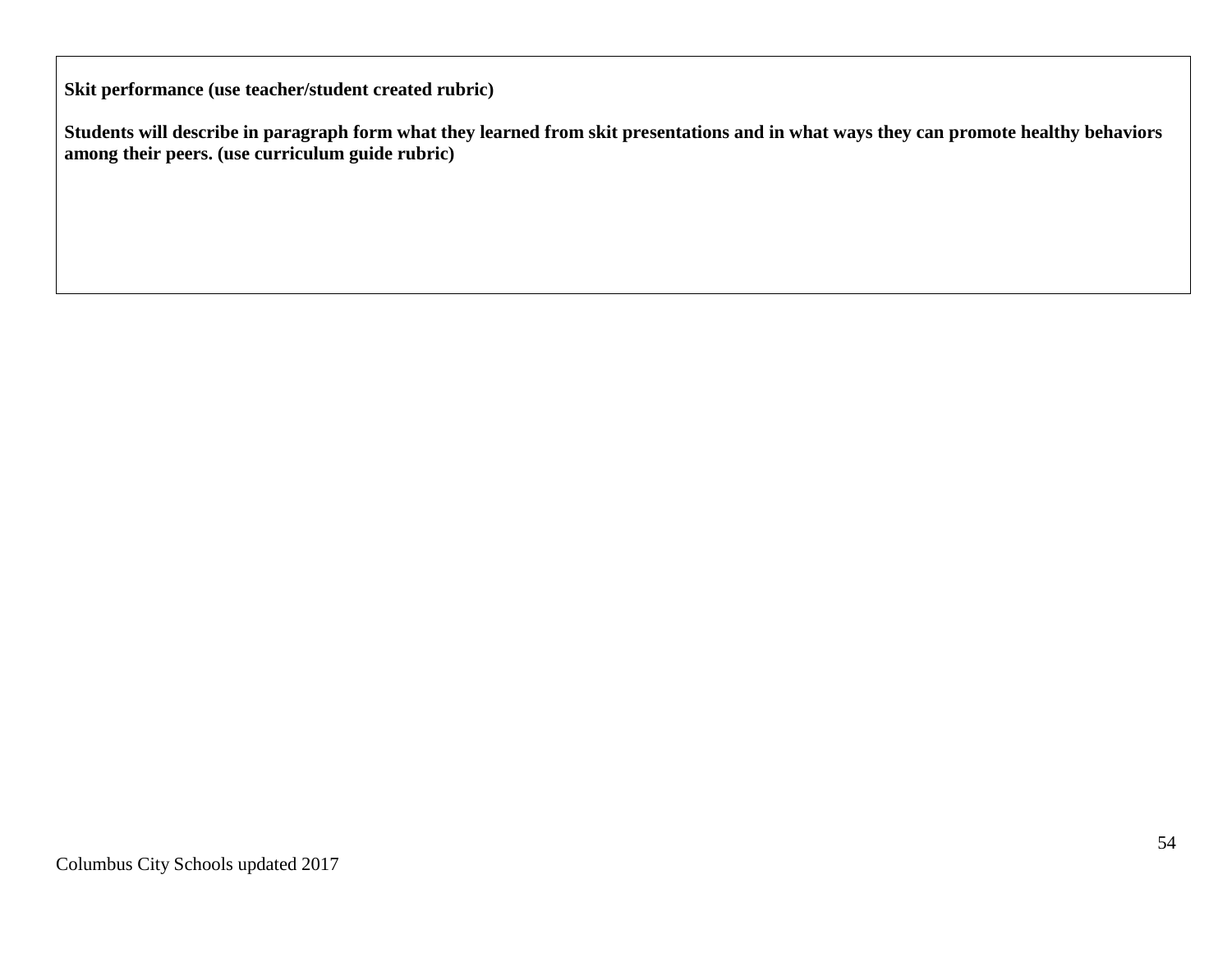**Skit performance (use teacher/student created rubric)**

**Students will describe in paragraph form what they learned from skit presentations and in what ways they can promote healthy behaviors among their peers. (use curriculum guide rubric)**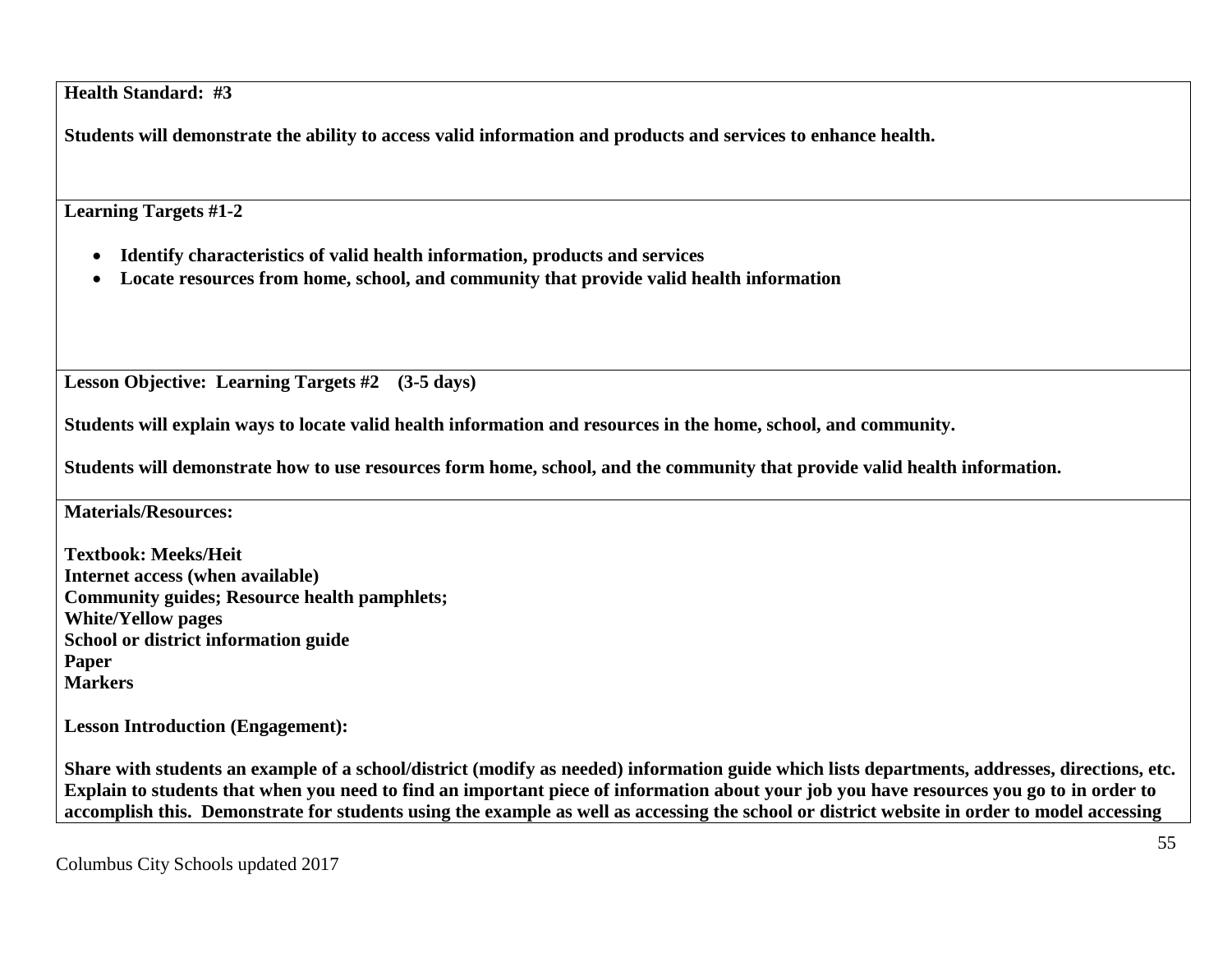**Health Standard: #3**

**Students will demonstrate the ability to access valid information and products and services to enhance health.**

**Learning Targets #1-2**

- **Identify characteristics of valid health information, products and services**
- **Locate resources from home, school, and community that provide valid health information**

**Lesson Objective: Learning Targets #2 (3-5 days)**

**Students will explain ways to locate valid health information and resources in the home, school, and community.**

**Students will demonstrate how to use resources form home, school, and the community that provide valid health information.**

**Materials/Resources:**

**Textbook: Meeks/Heit Internet access (when available) Community guides; Resource health pamphlets; White/Yellow pages School or district information guide Paper Markers**

**Lesson Introduction (Engagement):**

**Share with students an example of a school/district (modify as needed) information guide which lists departments, addresses, directions, etc. Explain to students that when you need to find an important piece of information about your job you have resources you go to in order to accomplish this. Demonstrate for students using the example as well as accessing the school or district website in order to model accessing**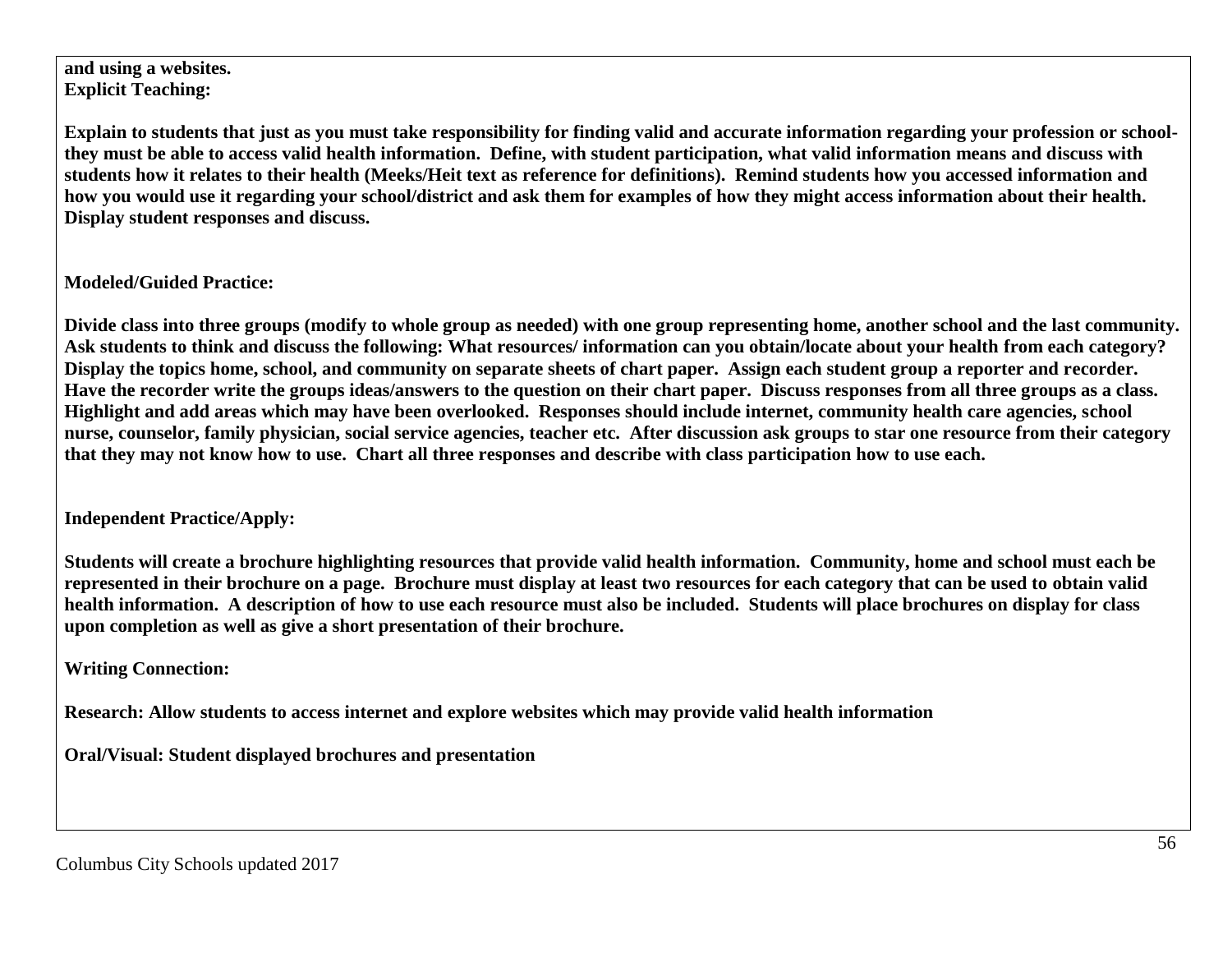**and using a websites. Explicit Teaching:**

**Explain to students that just as you must take responsibility for finding valid and accurate information regarding your profession or schoolthey must be able to access valid health information. Define, with student participation, what valid information means and discuss with students how it relates to their health (Meeks/Heit text as reference for definitions). Remind students how you accessed information and how you would use it regarding your school/district and ask them for examples of how they might access information about their health. Display student responses and discuss.**

**Modeled/Guided Practice:**

**Divide class into three groups (modify to whole group as needed) with one group representing home, another school and the last community. Ask students to think and discuss the following: What resources/ information can you obtain/locate about your health from each category? Display the topics home, school, and community on separate sheets of chart paper. Assign each student group a reporter and recorder. Have the recorder write the groups ideas/answers to the question on their chart paper. Discuss responses from all three groups as a class. Highlight and add areas which may have been overlooked. Responses should include internet, community health care agencies, school nurse, counselor, family physician, social service agencies, teacher etc. After discussion ask groups to star one resource from their category that they may not know how to use. Chart all three responses and describe with class participation how to use each.**

**Independent Practice/Apply:**

**Students will create a brochure highlighting resources that provide valid health information. Community, home and school must each be represented in their brochure on a page. Brochure must display at least two resources for each category that can be used to obtain valid health information. A description of how to use each resource must also be included. Students will place brochures on display for class upon completion as well as give a short presentation of their brochure.**

**Writing Connection:**

**Research: Allow students to access internet and explore websites which may provide valid health information**

**Oral/Visual: Student displayed brochures and presentation**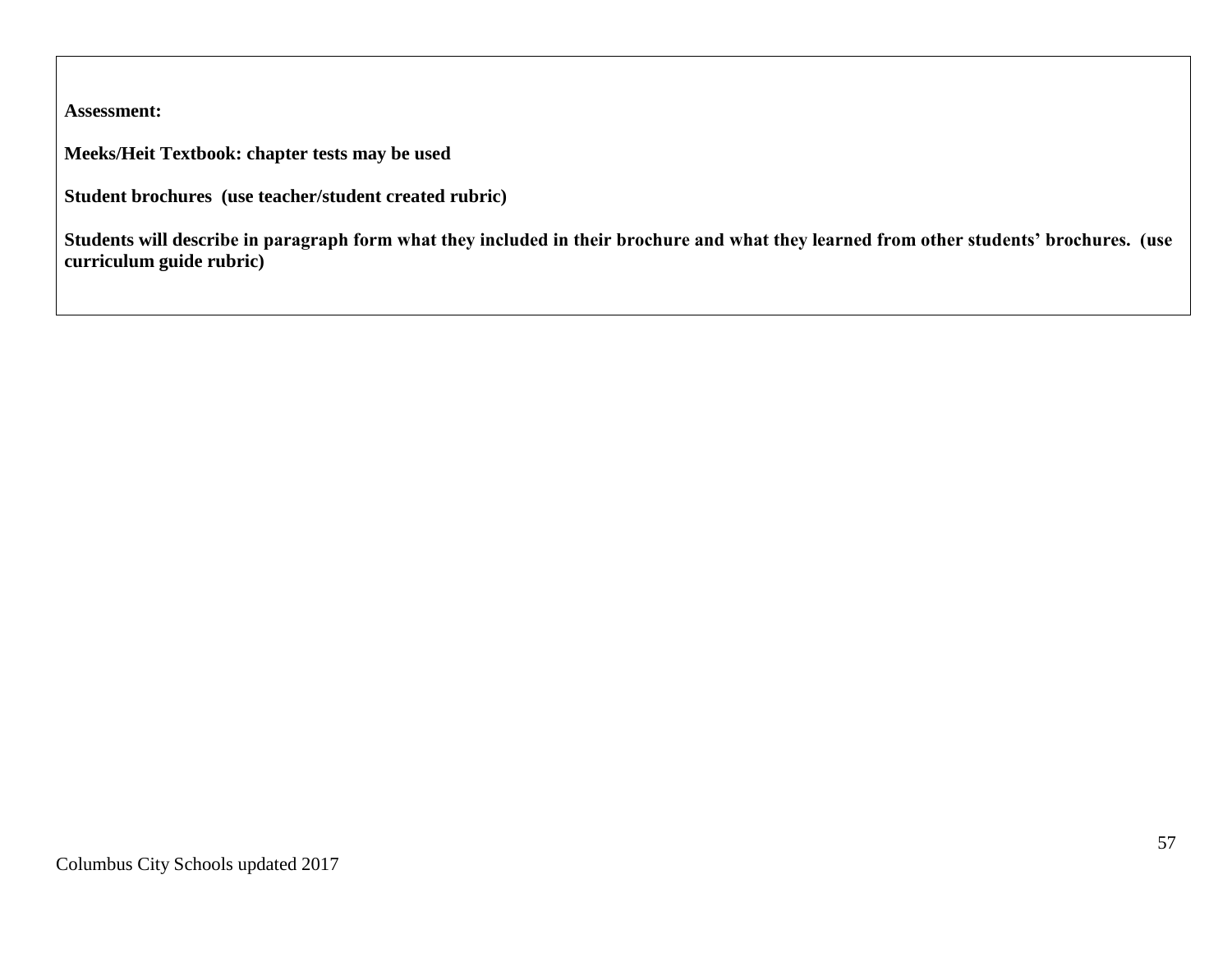**Assessment:**

**Meeks/Heit Textbook: chapter tests may be used**

**Student brochures (use teacher/student created rubric)**

**Students will describe in paragraph form what they included in their brochure and what they learned from other students' brochures. (use curriculum guide rubric)**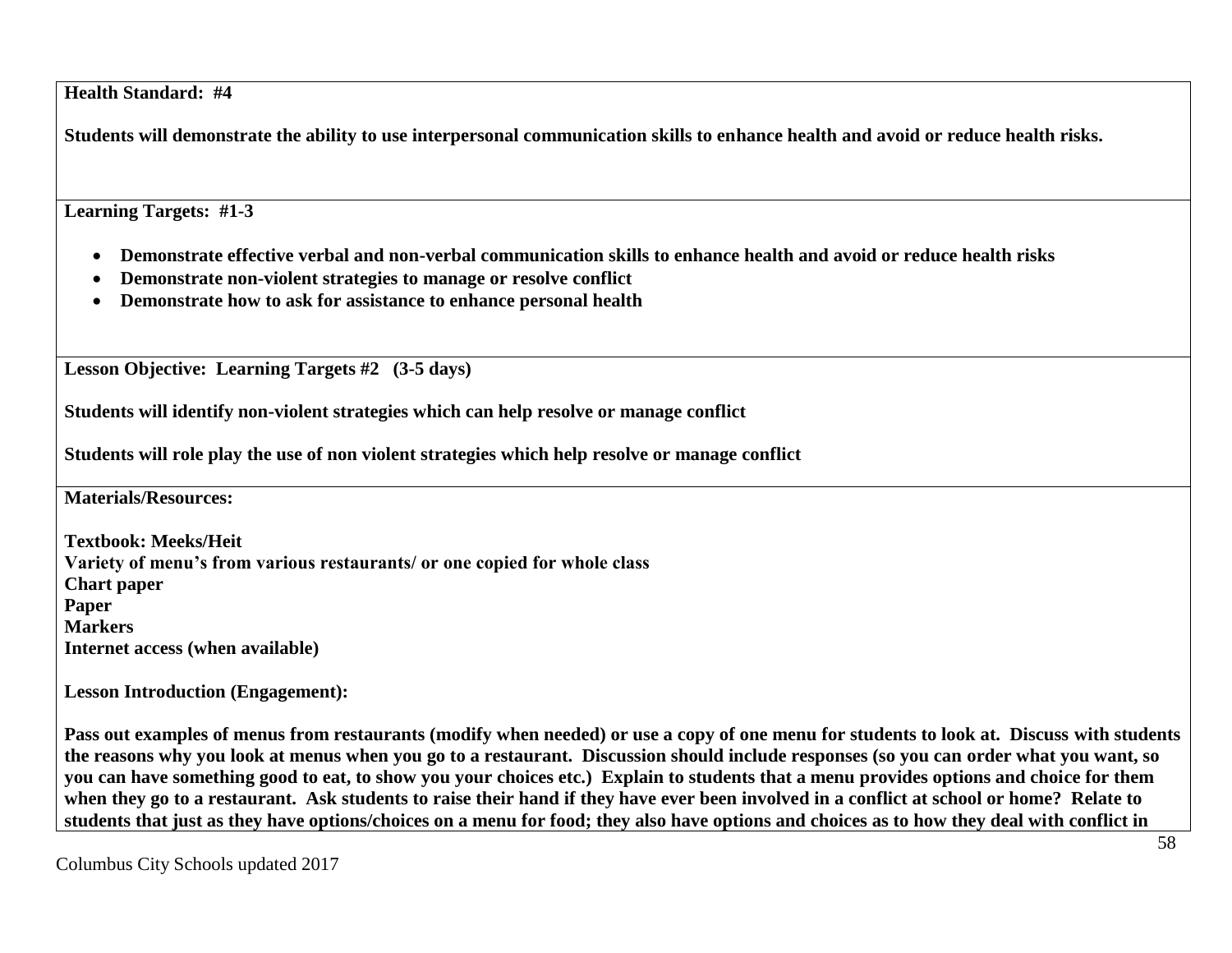**Health Standard: #4**

**Students will demonstrate the ability to use interpersonal communication skills to enhance health and avoid or reduce health risks.**

**Learning Targets: #1-3**

- **Demonstrate effective verbal and non-verbal communication skills to enhance health and avoid or reduce health risks**
- **Demonstrate non-violent strategies to manage or resolve conflict**
- **Demonstrate how to ask for assistance to enhance personal health**

**Lesson Objective: Learning Targets #2 (3-5 days)**

**Students will identify non-violent strategies which can help resolve or manage conflict**

**Students will role play the use of non violent strategies which help resolve or manage conflict**

**Materials/Resources:**

**Textbook: Meeks/Heit Variety of menu's from various restaurants/ or one copied for whole class Chart paper Paper Markers Internet access (when available)**

**Lesson Introduction (Engagement):**

**Pass out examples of menus from restaurants (modify when needed) or use a copy of one menu for students to look at. Discuss with students the reasons why you look at menus when you go to a restaurant. Discussion should include responses (so you can order what you want, so you can have something good to eat, to show you your choices etc.) Explain to students that a menu provides options and choice for them when they go to a restaurant. Ask students to raise their hand if they have ever been involved in a conflict at school or home? Relate to students that just as they have options/choices on a menu for food; they also have options and choices as to how they deal with conflict in**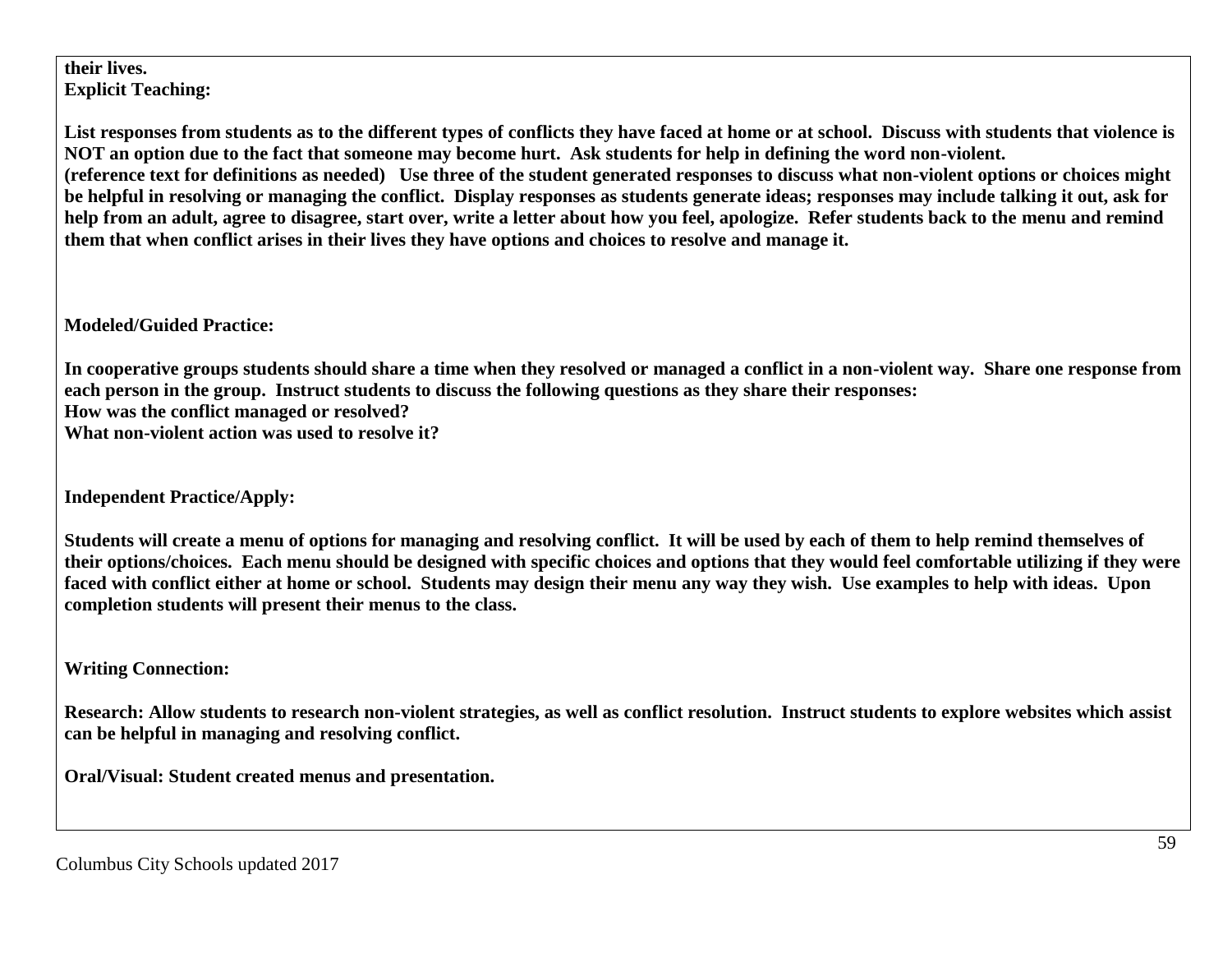**their lives. Explicit Teaching:**

**List responses from students as to the different types of conflicts they have faced at home or at school. Discuss with students that violence is NOT an option due to the fact that someone may become hurt. Ask students for help in defining the word non-violent. (reference text for definitions as needed) Use three of the student generated responses to discuss what non-violent options or choices might be helpful in resolving or managing the conflict. Display responses as students generate ideas; responses may include talking it out, ask for help from an adult, agree to disagree, start over, write a letter about how you feel, apologize. Refer students back to the menu and remind them that when conflict arises in their lives they have options and choices to resolve and manage it.**

**Modeled/Guided Practice:**

**In cooperative groups students should share a time when they resolved or managed a conflict in a non-violent way. Share one response from each person in the group. Instruct students to discuss the following questions as they share their responses: How was the conflict managed or resolved? What non-violent action was used to resolve it?**

**Independent Practice/Apply:**

**Students will create a menu of options for managing and resolving conflict. It will be used by each of them to help remind themselves of their options/choices. Each menu should be designed with specific choices and options that they would feel comfortable utilizing if they were faced with conflict either at home or school. Students may design their menu any way they wish. Use examples to help with ideas. Upon completion students will present their menus to the class.**

**Writing Connection:**

**Research: Allow students to research non-violent strategies, as well as conflict resolution. Instruct students to explore websites which assist can be helpful in managing and resolving conflict.** 

**Oral/Visual: Student created menus and presentation.**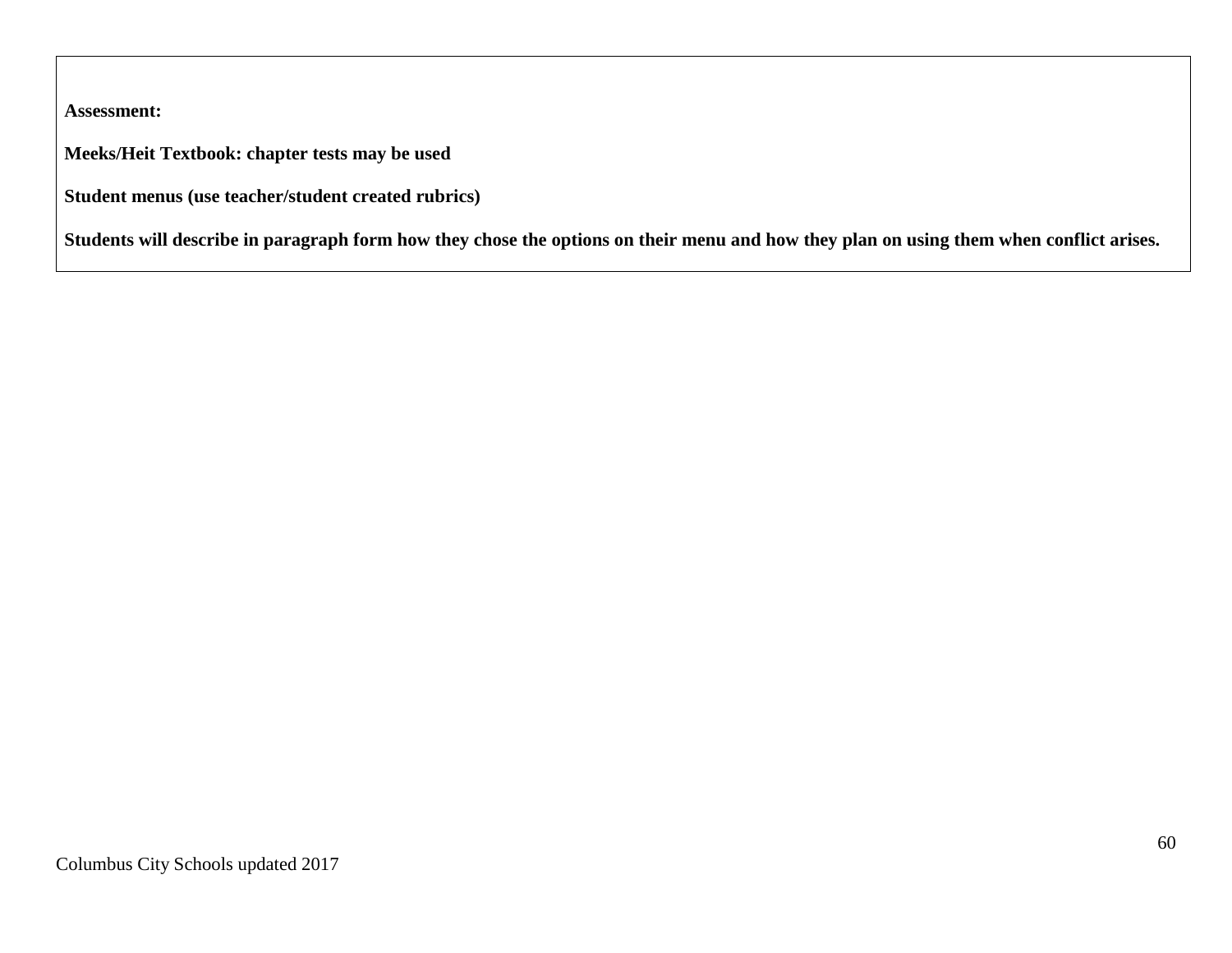**Assessment:**

**Meeks/Heit Textbook: chapter tests may be used**

**Student menus (use teacher/student created rubrics)**

**Students will describe in paragraph form how they chose the options on their menu and how they plan on using them when conflict arises.**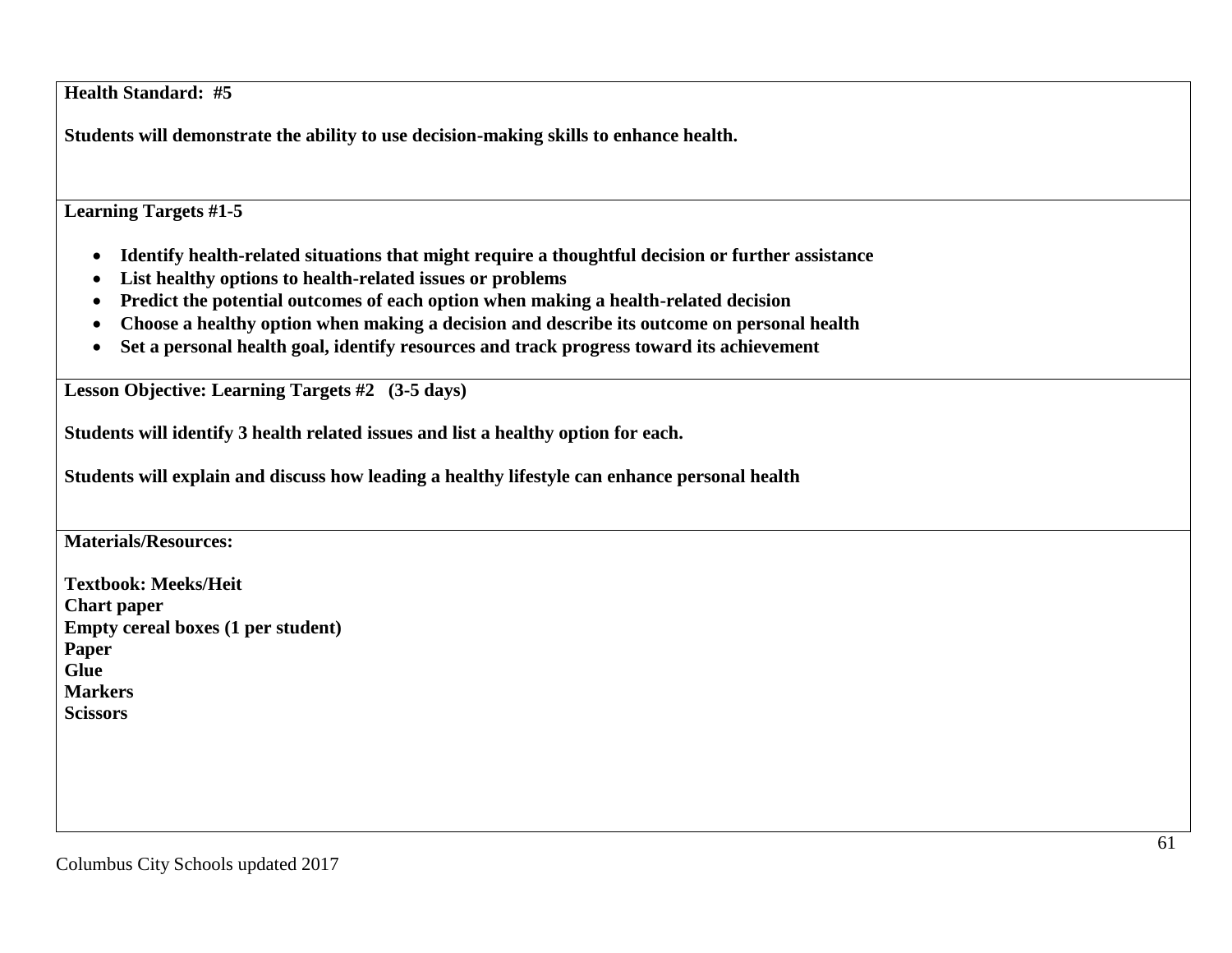**Health Standard: #5**

**Students will demonstrate the ability to use decision-making skills to enhance health.**

**Learning Targets #1-5**

- **Identify health-related situations that might require a thoughtful decision or further assistance**
- **List healthy options to health-related issues or problems**
- **Predict the potential outcomes of each option when making a health-related decision**
- **Choose a healthy option when making a decision and describe its outcome on personal health**
- **Set a personal health goal, identify resources and track progress toward its achievement**

**Lesson Objective: Learning Targets #2 (3-5 days)**

**Students will identify 3 health related issues and list a healthy option for each.**

**Students will explain and discuss how leading a healthy lifestyle can enhance personal health**

**Materials/Resources:**

**Textbook: Meeks/Heit Chart paper Empty cereal boxes (1 per student) Paper Glue Markers Scissors**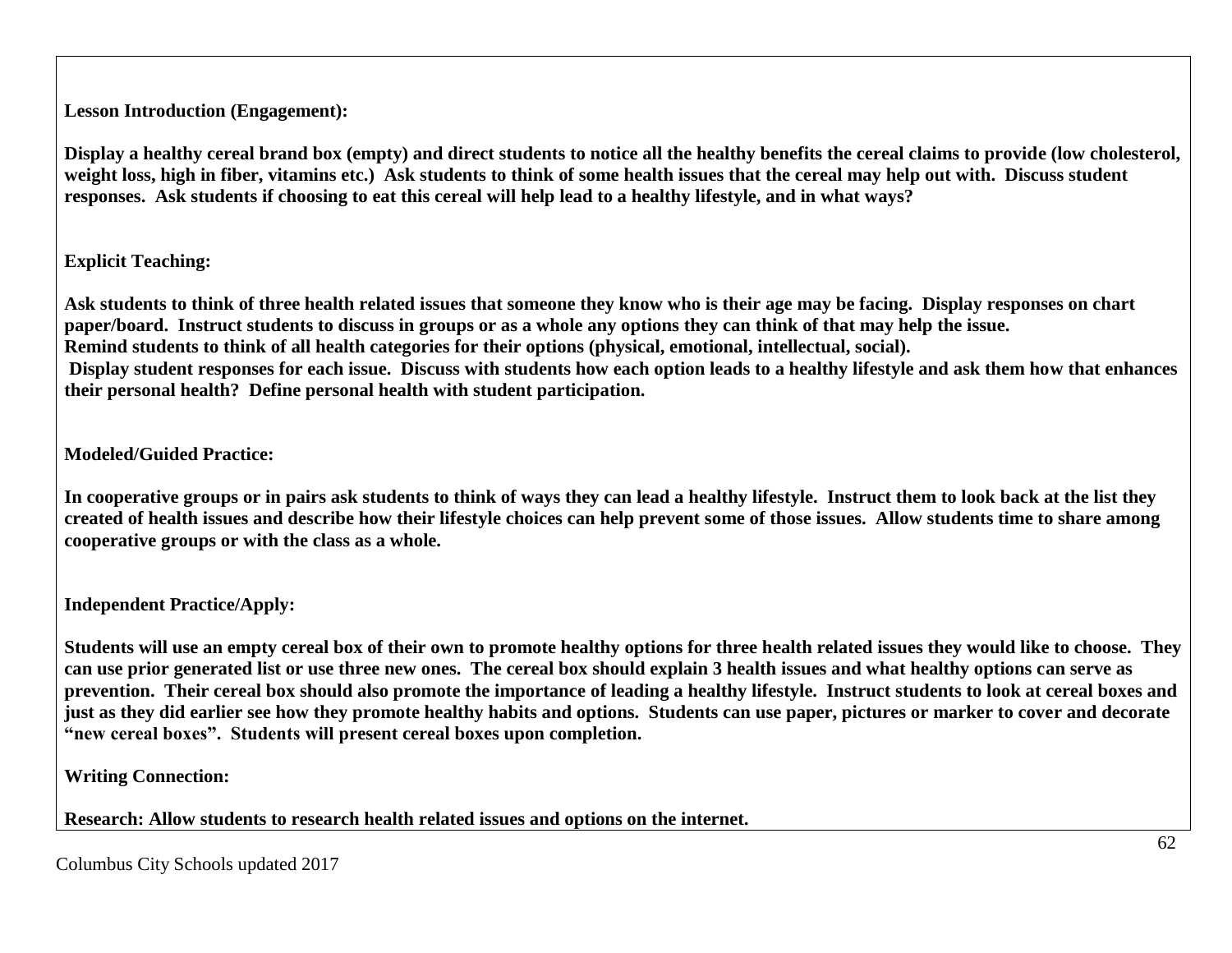**Lesson Introduction (Engagement):**

**Display a healthy cereal brand box (empty) and direct students to notice all the healthy benefits the cereal claims to provide (low cholesterol, weight loss, high in fiber, vitamins etc.) Ask students to think of some health issues that the cereal may help out with. Discuss student responses. Ask students if choosing to eat this cereal will help lead to a healthy lifestyle, and in what ways?**

# **Explicit Teaching:**

**Ask students to think of three health related issues that someone they know who is their age may be facing. Display responses on chart paper/board. Instruct students to discuss in groups or as a whole any options they can think of that may help the issue. Remind students to think of all health categories for their options (physical, emotional, intellectual, social). Display student responses for each issue. Discuss with students how each option leads to a healthy lifestyle and ask them how that enhances their personal health? Define personal health with student participation.**

# **Modeled/Guided Practice:**

**In cooperative groups or in pairs ask students to think of ways they can lead a healthy lifestyle. Instruct them to look back at the list they created of health issues and describe how their lifestyle choices can help prevent some of those issues. Allow students time to share among cooperative groups or with the class as a whole.**

**Independent Practice/Apply:**

**Students will use an empty cereal box of their own to promote healthy options for three health related issues they would like to choose. They can use prior generated list or use three new ones. The cereal box should explain 3 health issues and what healthy options can serve as prevention. Their cereal box should also promote the importance of leading a healthy lifestyle. Instruct students to look at cereal boxes and just as they did earlier see how they promote healthy habits and options. Students can use paper, pictures or marker to cover and decorate "new cereal boxes". Students will present cereal boxes upon completion.** 

**Writing Connection:**

**Research: Allow students to research health related issues and options on the internet.**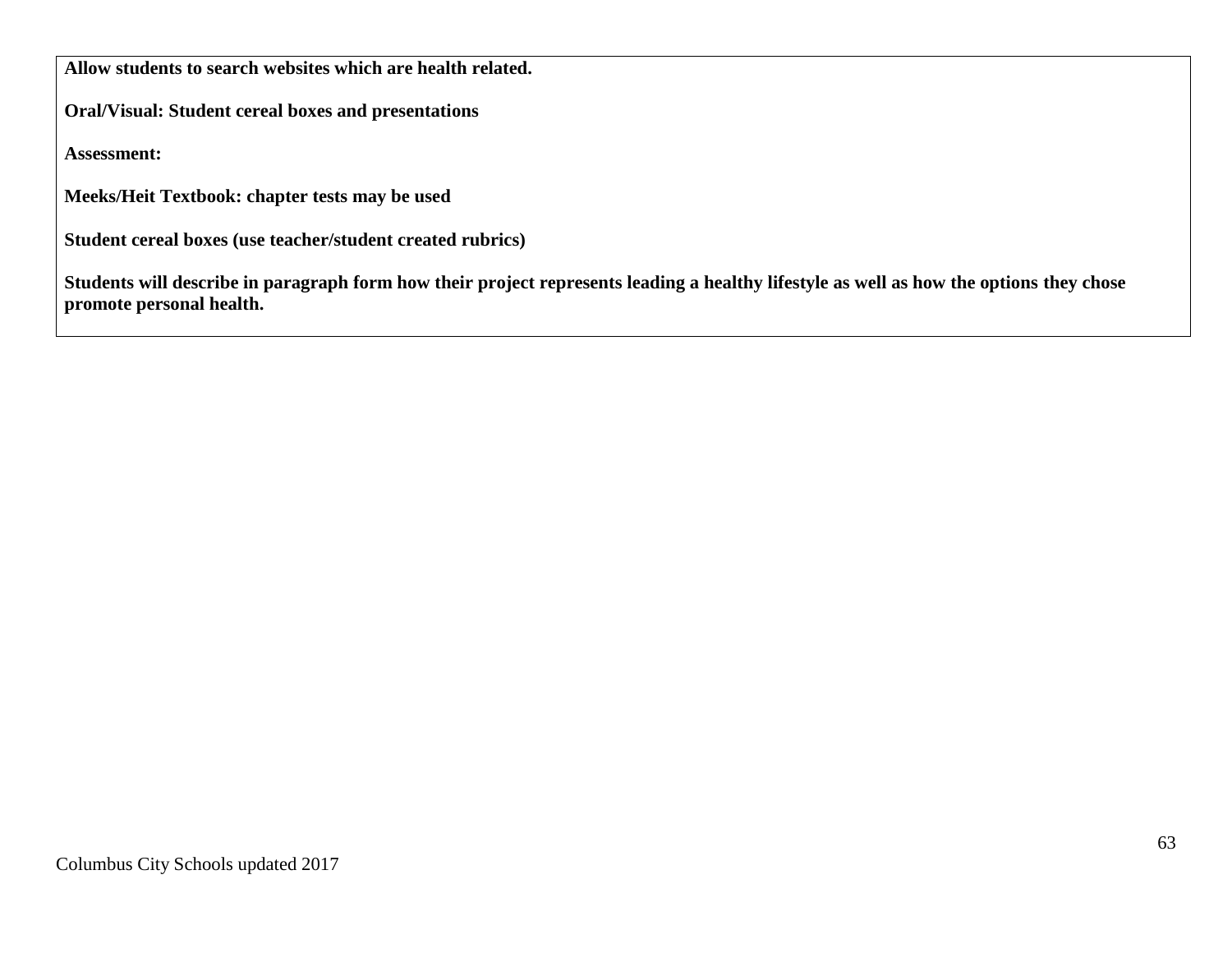**Allow students to search websites which are health related.**

**Oral/Visual: Student cereal boxes and presentations**

**Assessment:**

**Meeks/Heit Textbook: chapter tests may be used**

**Student cereal boxes (use teacher/student created rubrics)**

**Students will describe in paragraph form how their project represents leading a healthy lifestyle as well as how the options they chose promote personal health.**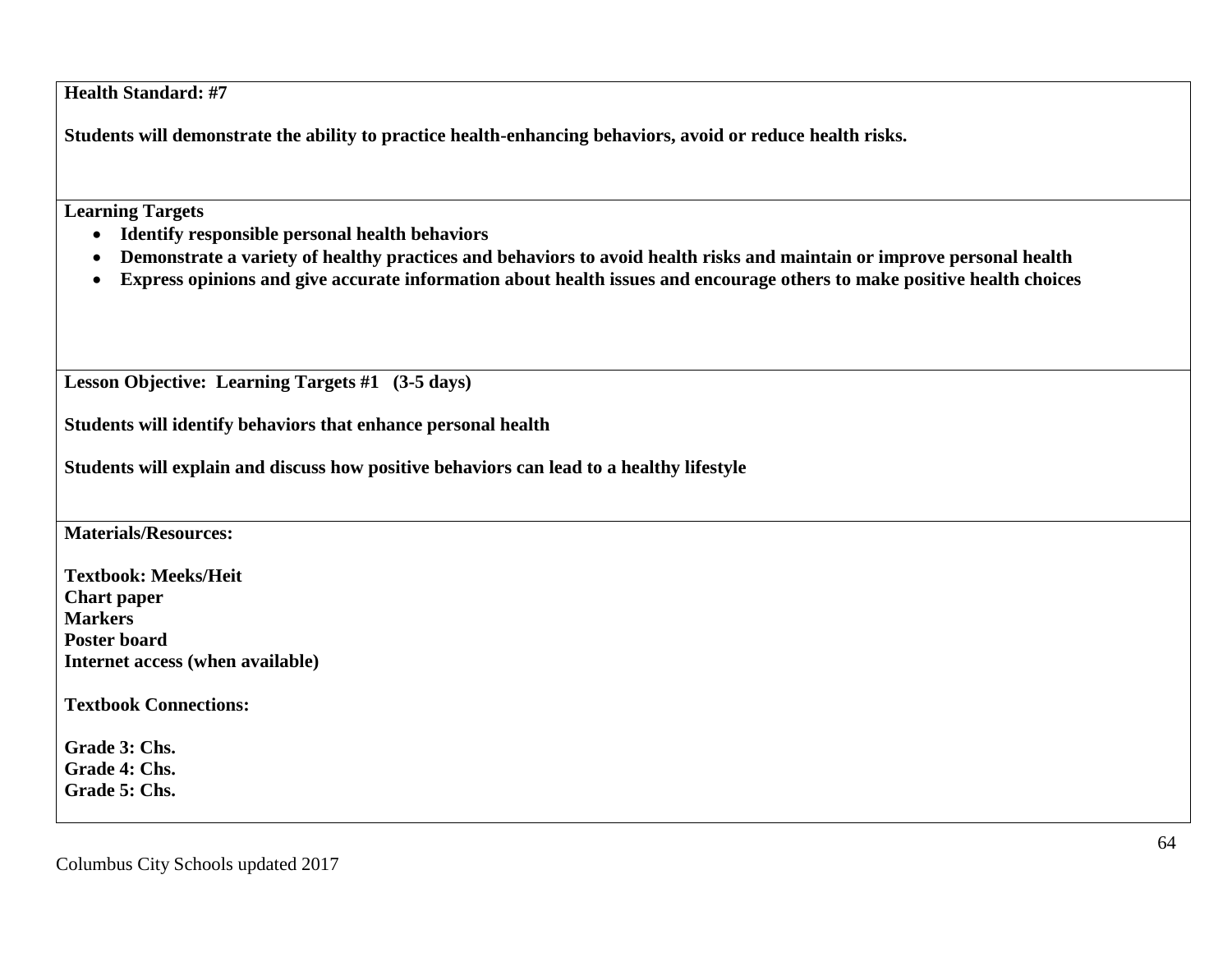**Health Standard: #7**

**Students will demonstrate the ability to practice health-enhancing behaviors, avoid or reduce health risks.**

**Learning Targets**

- **Identify responsible personal health behaviors**
- **Demonstrate a variety of healthy practices and behaviors to avoid health risks and maintain or improve personal health**
- **Express opinions and give accurate information about health issues and encourage others to make positive health choices**

**Lesson Objective: Learning Targets #1 (3-5 days)**

**Students will identify behaviors that enhance personal health**

**Students will explain and discuss how positive behaviors can lead to a healthy lifestyle**

**Materials/Resources:**

**Textbook: Meeks/Heit Chart paper Markers Poster board Internet access (when available)**

**Textbook Connections:**

**Grade 3: Chs. Grade 4: Chs. Grade 5: Chs.**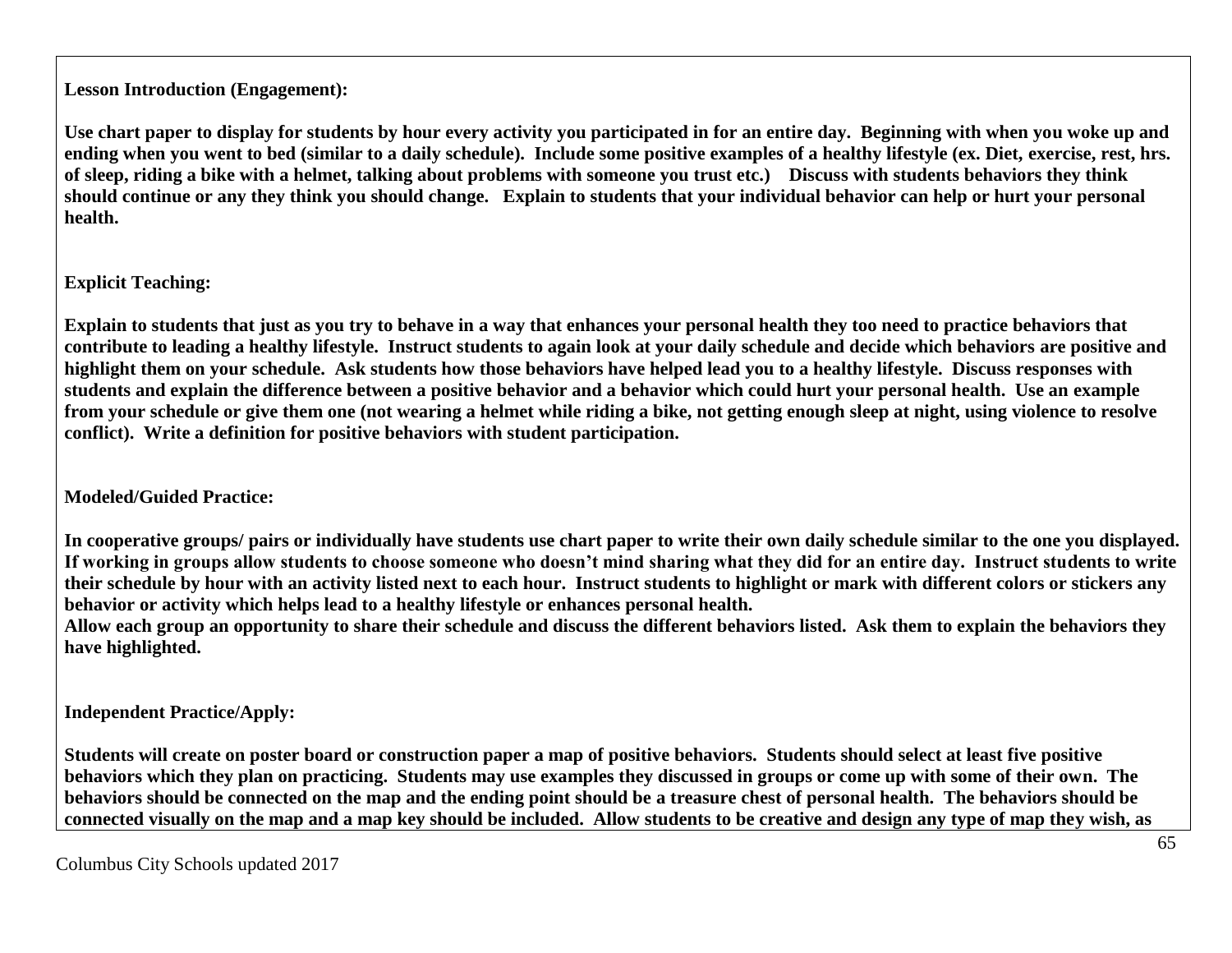**Lesson Introduction (Engagement):**

**Use chart paper to display for students by hour every activity you participated in for an entire day. Beginning with when you woke up and ending when you went to bed (similar to a daily schedule). Include some positive examples of a healthy lifestyle (ex. Diet, exercise, rest, hrs. of sleep, riding a bike with a helmet, talking about problems with someone you trust etc.) Discuss with students behaviors they think should continue or any they think you should change. Explain to students that your individual behavior can help or hurt your personal health.**

**Explicit Teaching:**

**Explain to students that just as you try to behave in a way that enhances your personal health they too need to practice behaviors that contribute to leading a healthy lifestyle. Instruct students to again look at your daily schedule and decide which behaviors are positive and highlight them on your schedule. Ask students how those behaviors have helped lead you to a healthy lifestyle. Discuss responses with students and explain the difference between a positive behavior and a behavior which could hurt your personal health. Use an example from your schedule or give them one (not wearing a helmet while riding a bike, not getting enough sleep at night, using violence to resolve conflict). Write a definition for positive behaviors with student participation.**

**Modeled/Guided Practice:**

**In cooperative groups/ pairs or individually have students use chart paper to write their own daily schedule similar to the one you displayed. If working in groups allow students to choose someone who doesn't mind sharing what they did for an entire day. Instruct students to write their schedule by hour with an activity listed next to each hour. Instruct students to highlight or mark with different colors or stickers any behavior or activity which helps lead to a healthy lifestyle or enhances personal health.**

**Allow each group an opportunity to share their schedule and discuss the different behaviors listed. Ask them to explain the behaviors they have highlighted.**

**Independent Practice/Apply:**

**Students will create on poster board or construction paper a map of positive behaviors. Students should select at least five positive behaviors which they plan on practicing. Students may use examples they discussed in groups or come up with some of their own. The behaviors should be connected on the map and the ending point should be a treasure chest of personal health. The behaviors should be connected visually on the map and a map key should be included. Allow students to be creative and design any type of map they wish, as**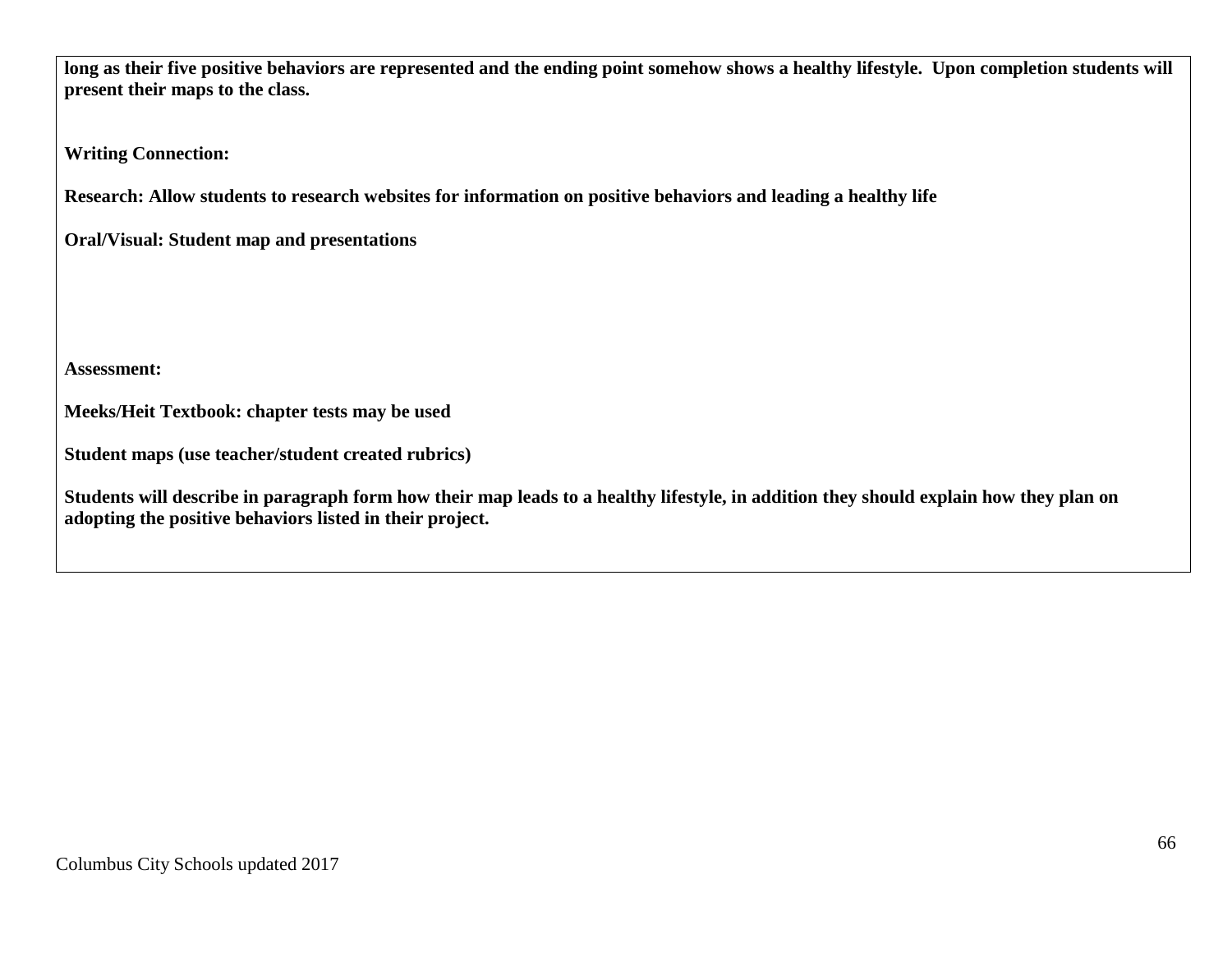**long as their five positive behaviors are represented and the ending point somehow shows a healthy lifestyle. Upon completion students will present their maps to the class.**

**Writing Connection:**

**Research: Allow students to research websites for information on positive behaviors and leading a healthy life**

**Oral/Visual: Student map and presentations** 

**Assessment:**

**Meeks/Heit Textbook: chapter tests may be used**

**Student maps (use teacher/student created rubrics)**

**Students will describe in paragraph form how their map leads to a healthy lifestyle, in addition they should explain how they plan on adopting the positive behaviors listed in their project.**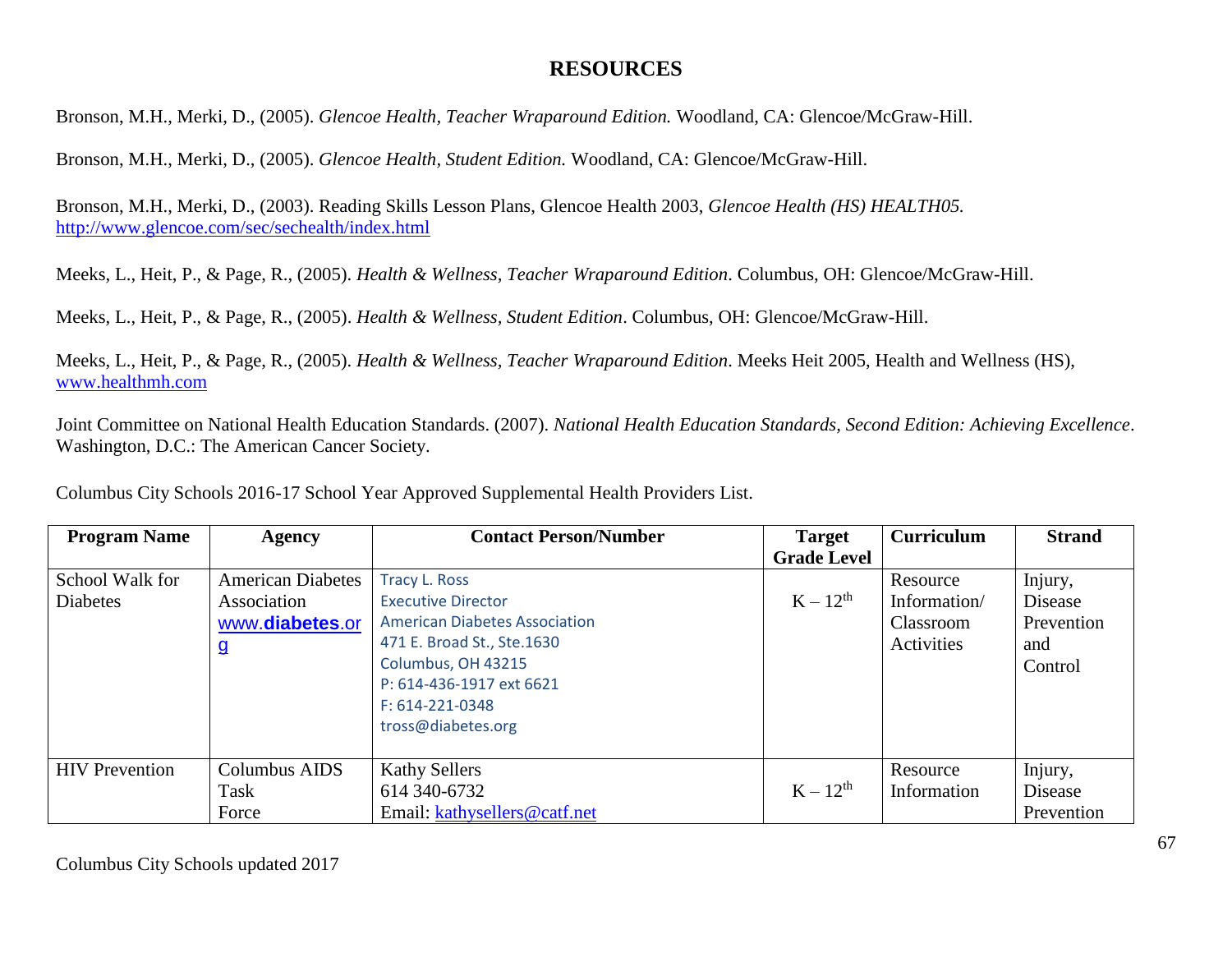# **RESOURCES**

Bronson, M.H., Merki, D., (2005). *Glencoe Health, Teacher Wraparound Edition.* Woodland, CA: Glencoe/McGraw-Hill.

Bronson, M.H., Merki, D., (2005). *Glencoe Health, Student Edition.* Woodland, CA: Glencoe/McGraw-Hill.

Bronson, M.H., Merki, D., (2003). Reading Skills Lesson Plans, Glencoe Health 2003, *Glencoe Health (HS) HEALTH05.* <http://www.glencoe.com/sec/sechealth/index.html>

Meeks, L., Heit, P., & Page, R., (2005). *Health & Wellness, Teacher Wraparound Edition*. Columbus, OH: Glencoe/McGraw-Hill.

Meeks, L., Heit, P., & Page, R., (2005). *Health & Wellness, Student Edition*. Columbus, OH: Glencoe/McGraw-Hill.

Meeks, L., Heit, P., & Page, R., (2005). *Health & Wellness, Teacher Wraparound Edition*. Meeks Heit 2005, Health and Wellness (HS), [www.healthmh.com](http://www.healthmh.com/)

Joint Committee on National Health Education Standards. (2007). *National Health Education Standards, Second Edition: Achieving Excellence*. Washington, D.C.: The American Cancer Society.

Columbus City Schools 2016-17 School Year Approved Supplemental Health Providers List.

| <b>Program Name</b>   | <b>Agency</b>            | <b>Contact Person/Number</b>         | <b>Target</b>      | Curriculum   | <b>Strand</b> |
|-----------------------|--------------------------|--------------------------------------|--------------------|--------------|---------------|
|                       |                          |                                      | <b>Grade Level</b> |              |               |
| School Walk for       | <b>American Diabetes</b> | <b>Tracy L. Ross</b>                 |                    | Resource     | Injury,       |
| <b>Diabetes</b>       | Association              | <b>Executive Director</b>            | $K-12^{th}$        | Information/ | Disease       |
|                       | www.diabetes.or          | <b>American Diabetes Association</b> |                    | Classroom    | Prevention    |
|                       | $\mathbf{q}$             | 471 E. Broad St., Ste.1630           |                    | Activities   | and           |
|                       |                          | Columbus, OH 43215                   |                    |              | Control       |
|                       |                          | P: 614-436-1917 ext 6621             |                    |              |               |
|                       |                          | F: 614-221-0348                      |                    |              |               |
|                       |                          | tross@diabetes.org                   |                    |              |               |
|                       |                          |                                      |                    |              |               |
| <b>HIV</b> Prevention | Columbus AIDS            | <b>Kathy Sellers</b>                 |                    | Resource     | Injury,       |
|                       | Task                     | 614 340-6732                         | $K - 12^{th}$      | Information  | Disease       |
|                       | Force                    | Email: kathysellers@catf.net         |                    |              | Prevention    |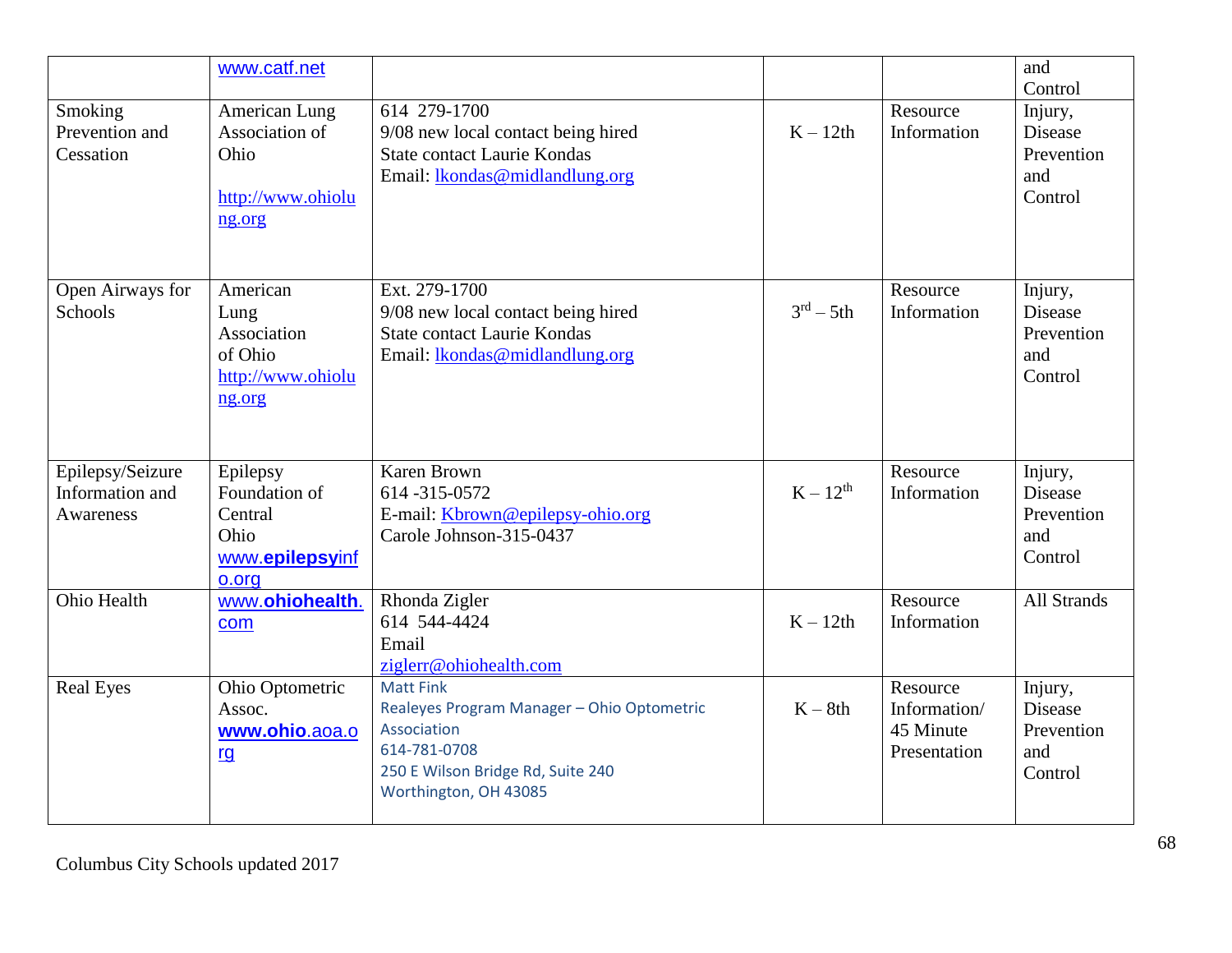|                                                  | www.catf.net                                                              |                                                                                                                                                             |                        |                                                       | and<br>Control                                            |
|--------------------------------------------------|---------------------------------------------------------------------------|-------------------------------------------------------------------------------------------------------------------------------------------------------------|------------------------|-------------------------------------------------------|-----------------------------------------------------------|
| Smoking<br>Prevention and<br>Cessation           | American Lung<br>Association of<br>Ohio<br>http://www.ohiolu<br>ng.org    | 614 279-1700<br>9/08 new local contact being hired<br><b>State contact Laurie Kondas</b><br>Email: lkondas@midlandlung.org                                  | $K - 12th$             | Resource<br>Information                               | Injury,<br>Disease<br>Prevention<br>and<br>Control        |
| Open Airways for<br>Schools                      | American<br>Lung<br>Association<br>of Ohio<br>http://www.ohiolu<br>ng.org | Ext. 279-1700<br>9/08 new local contact being hired<br><b>State contact Laurie Kondas</b><br>Email: <i>lkondas@midlandlung.org</i>                          | $3^{\text{rd}} - 5$ th | Resource<br>Information                               | Injury,<br>Disease<br>Prevention<br>and<br>Control        |
| Epilepsy/Seizure<br>Information and<br>Awareness | Epilepsy<br>Foundation of<br>Central<br>Ohio<br>www.epilepsyinf<br>o.org  | <b>Karen Brown</b><br>614-315-0572<br>E-mail: Kbrown@epilepsy-ohio.org<br>Carole Johnson-315-0437                                                           | $K-12^{th}$            | Resource<br>Information                               | Injury,<br><b>Disease</b><br>Prevention<br>and<br>Control |
| Ohio Health                                      | www.ohiohealth.<br>com                                                    | Rhonda Zigler<br>614 544-4424<br>Email<br>ziglerr@ohiohealth.com                                                                                            | $K - 12th$             | Resource<br>Information                               | All Strands                                               |
| <b>Real Eyes</b>                                 | Ohio Optometric<br>Assoc.<br>www.ohio.aoa.o<br><u>rg</u>                  | <b>Matt Fink</b><br>Realeyes Program Manager - Ohio Optometric<br>Association<br>614-781-0708<br>250 E Wilson Bridge Rd, Suite 240<br>Worthington, OH 43085 | $K - 8th$              | Resource<br>Information/<br>45 Minute<br>Presentation | Injury,<br>Disease<br>Prevention<br>and<br>Control        |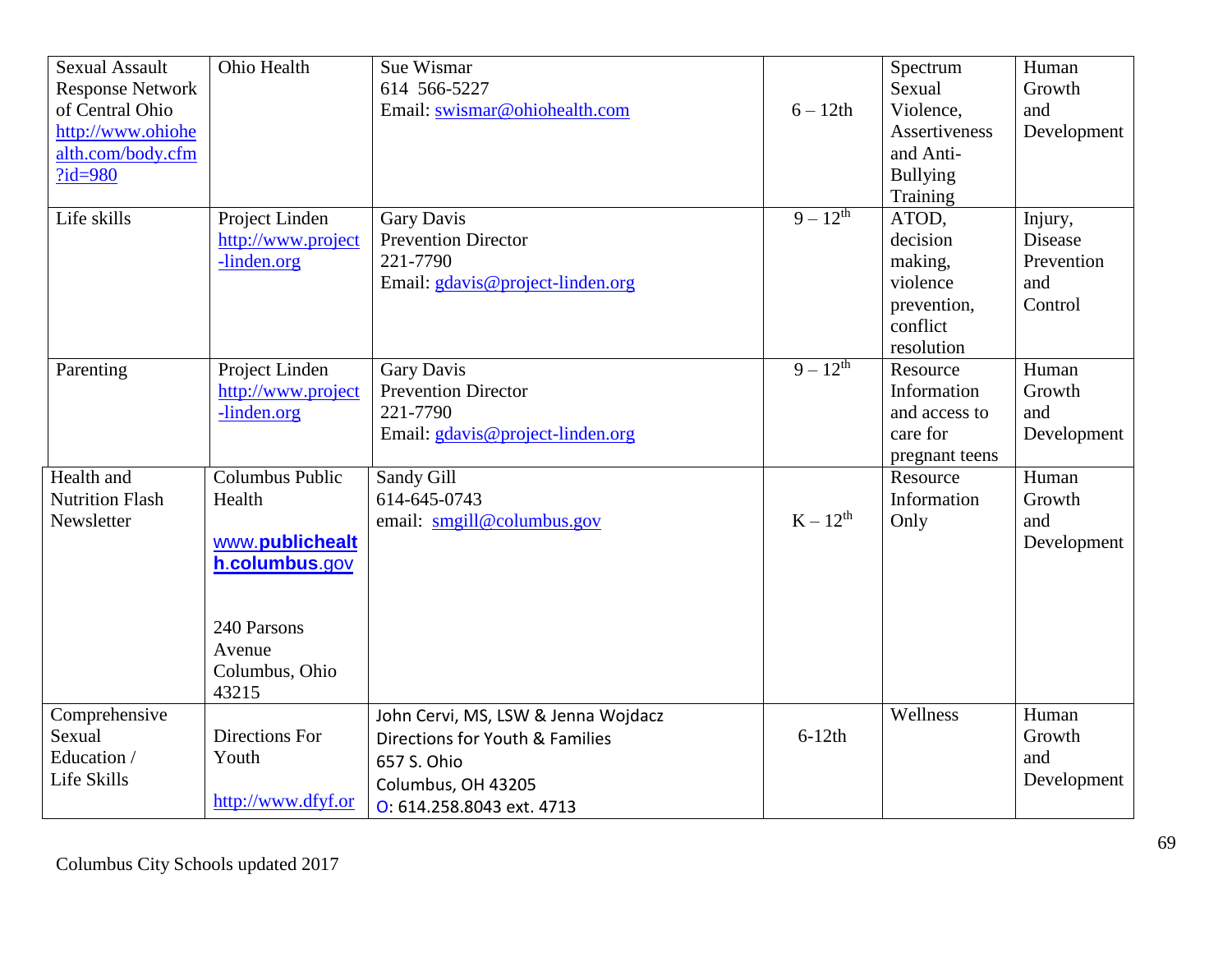| <b>Sexual Assault</b><br><b>Response Network</b><br>of Central Ohio<br>http://www.ohiohe<br>alth.com/body.cfm<br>$?id = 980$ | Ohio Health                                                                                                        | Sue Wismar<br>614 566-5227<br>Email: swismar@ohiohealth.com                                                                              | $6 - 12$ th   | Spectrum<br>Sexual<br>Violence,<br>Assertiveness<br>and Anti-<br><b>Bullying</b><br>Training | Human<br>Growth<br>and<br>Development                     |
|------------------------------------------------------------------------------------------------------------------------------|--------------------------------------------------------------------------------------------------------------------|------------------------------------------------------------------------------------------------------------------------------------------|---------------|----------------------------------------------------------------------------------------------|-----------------------------------------------------------|
| Life skills                                                                                                                  | Project Linden<br>http://www.project<br>-linden.org                                                                | Gary Davis<br><b>Prevention Director</b><br>221-7790<br>Email: gdavis@project-linden.org                                                 | $9 - 12^{th}$ | ATOD,<br>decision<br>making,<br>violence<br>prevention,<br>conflict<br>resolution            | Injury,<br><b>Disease</b><br>Prevention<br>and<br>Control |
| Parenting                                                                                                                    | Project Linden<br>http://www.project<br>-linden.org                                                                | <b>Gary Davis</b><br><b>Prevention Director</b><br>221-7790<br>Email: gdavis@project-linden.org                                          | $9 - 12^{th}$ | Resource<br>Information<br>and access to<br>care for<br>pregnant teens                       | Human<br>Growth<br>and<br>Development                     |
| Health and<br><b>Nutrition Flash</b><br>Newsletter                                                                           | Columbus Public<br>Health<br>www.publichealt<br>h.columbus.gov<br>240 Parsons<br>Avenue<br>Columbus, Ohio<br>43215 | Sandy Gill<br>614-645-0743<br>email: smgill@columbus.gov                                                                                 | $K-12^{th}$   | Resource<br>Information<br>Only                                                              | Human<br>Growth<br>and<br>Development                     |
| Comprehensive<br>Sexual<br>Education /<br>Life Skills                                                                        | Directions For<br>Youth<br>http://www.dfyf.or                                                                      | John Cervi, MS, LSW & Jenna Wojdacz<br>Directions for Youth & Families<br>657 S. Ohio<br>Columbus, OH 43205<br>O: 614.258.8043 ext. 4713 | $6-12th$      | Wellness                                                                                     | Human<br>Growth<br>and<br>Development                     |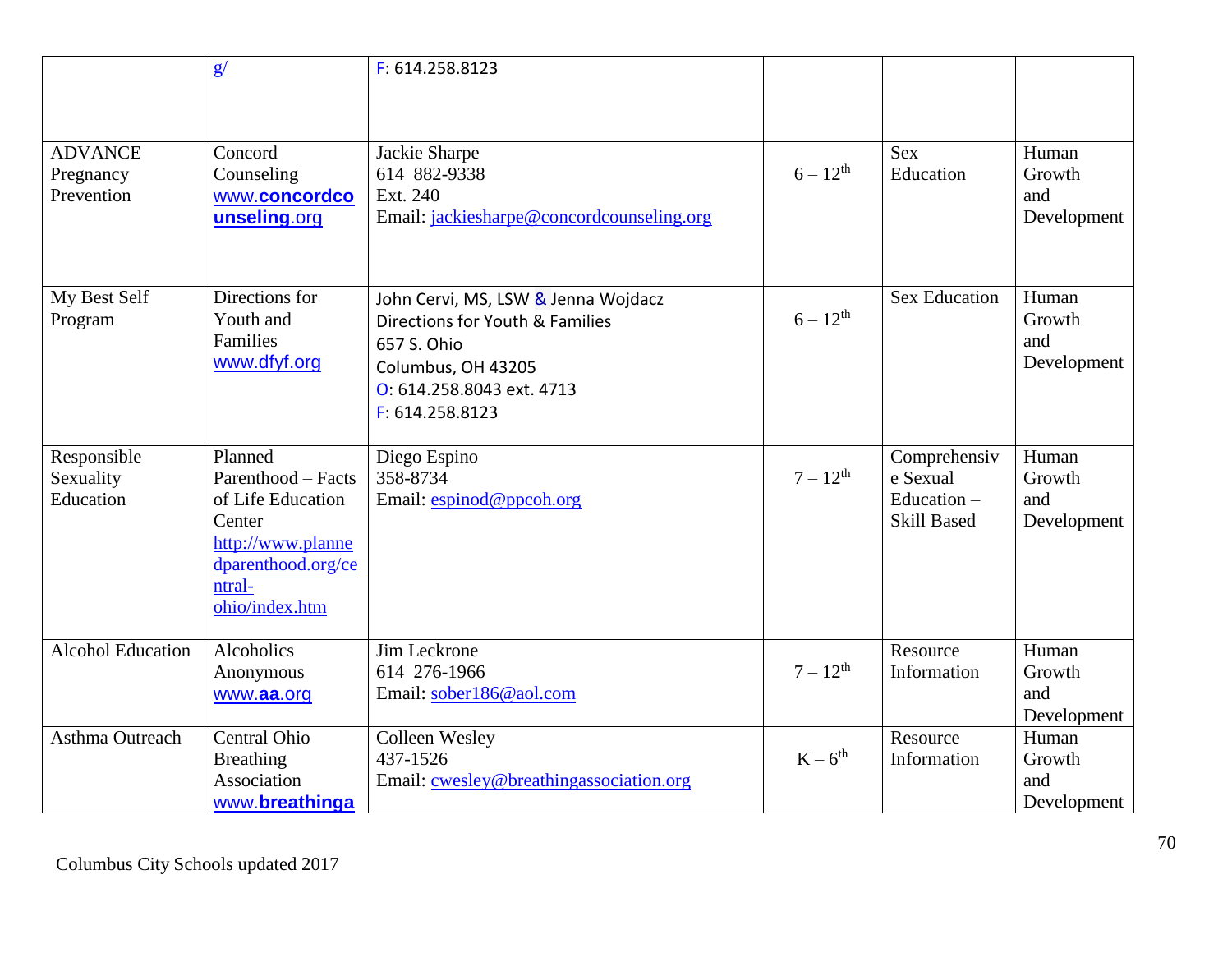|                                           | g/                                                                                                                                  | F: 614.258.8123                                                                                                                                             |               |                                                                 |                                       |
|-------------------------------------------|-------------------------------------------------------------------------------------------------------------------------------------|-------------------------------------------------------------------------------------------------------------------------------------------------------------|---------------|-----------------------------------------------------------------|---------------------------------------|
| <b>ADVANCE</b><br>Pregnancy<br>Prevention | Concord<br>Counseling<br>www.concordco<br>unseling.org                                                                              | Jackie Sharpe<br>614 882-9338<br>Ext. 240<br>Email: jackiesharpe@concordcounseling.org                                                                      | $6 - 12^{th}$ | <b>Sex</b><br>Education                                         | Human<br>Growth<br>and<br>Development |
| My Best Self<br>Program                   | Directions for<br>Youth and<br>Families<br>www.dfyf.org                                                                             | John Cervi, MS, LSW & Jenna Wojdacz<br>Directions for Youth & Families<br>657 S. Ohio<br>Columbus, OH 43205<br>O: 614.258.8043 ext. 4713<br>F: 614.258.8123 | $6 - 12^{th}$ | <b>Sex Education</b>                                            | Human<br>Growth<br>and<br>Development |
| Responsible<br>Sexuality<br>Education     | Planned<br>Parenthood - Facts<br>of Life Education<br>Center<br>http://www.planne<br>dparenthood.org/ce<br>ntral-<br>ohio/index.htm | Diego Espino<br>358-8734<br>Email: espinod@ppcoh.org                                                                                                        | $7 - 12^{th}$ | Comprehensiv<br>e Sexual<br>Education $-$<br><b>Skill Based</b> | Human<br>Growth<br>and<br>Development |
| <b>Alcohol Education</b>                  | Alcoholics<br>Anonymous<br>www.aa.org                                                                                               | Jim Leckrone<br>614 276-1966<br>Email: sober186@aol.com                                                                                                     | $7 - 12^{th}$ | Resource<br>Information                                         | Human<br>Growth<br>and<br>Development |
| Asthma Outreach                           | Central Ohio<br><b>Breathing</b><br>Association<br>www.breathinga                                                                   | Colleen Wesley<br>437-1526<br>Email: cwesley@breathingassociation.org                                                                                       | $K-6^{th}$    | Resource<br>Information                                         | Human<br>Growth<br>and<br>Development |